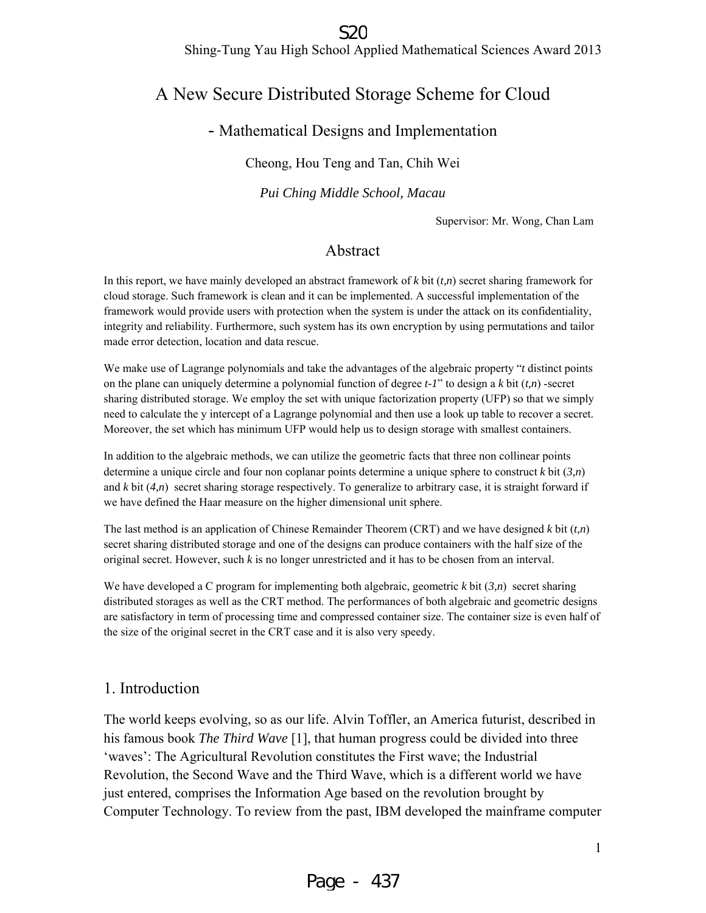#### S<sub>20</sub>

Shing-Tung Yau High School Applied Mathematical Sciences Award 2013

### A New Secure Distributed Storage Scheme for Cloud

#### - Mathematical Designs and Implementation

Cheong, Hou Teng and Tan, Chih Wei

*Pui Ching Middle School, Macau* 

Supervisor: Mr. Wong, Chan Lam

#### Abstract

In this report, we have mainly developed an abstract framework of *k* bit (*t,n*) secret sharing framework for cloud storage. Such framework is clean and it can be implemented. A successful implementation of the framework would provide users with protection when the system is under the attack on its confidentiality, integrity and reliability. Furthermore, such system has its own encryption by using permutations and tailor made error detection, location and data rescue.

We make use of Lagrange polynomials and take the advantages of the algebraic property "*t* distinct points on the plane can uniquely determine a polynomial function of degree *t-1*" to design a *k* bit (*t,n*) -secret sharing distributed storage. We employ the set with unique factorization property (UFP) so that we simply need to calculate the y intercept of a Lagrange polynomial and then use a look up table to recover a secret. Moreover, the set which has minimum UFP would help us to design storage with smallest containers.

In addition to the algebraic methods, we can utilize the geometric facts that three non collinear points determine a unique circle and four non coplanar points determine a unique sphere to construct *k* bit (*3,n*) and *k* bit (*4,n*) secret sharing storage respectively. To generalize to arbitrary case, it is straight forward if we have defined the Haar measure on the higher dimensional unit sphere.

The last method is an application of Chinese Remainder Theorem (CRT) and we have designed *k* bit (*t,n*) secret sharing distributed storage and one of the designs can produce containers with the half size of the original secret. However, such *k* is no longer unrestricted and it has to be chosen from an interval.

We have developed a C program for implementing both algebraic, geometric *k* bit (*3,n*) secret sharing distributed storages as well as the CRT method. The performances of both algebraic and geometric designs are satisfactory in term of processing time and compressed container size. The container size is even half of the size of the original secret in the CRT case and it is also very speedy.

#### 1. Introduction

The world keeps evolving, so as our life. Alvin Toffler, an America futurist, described in his famous book *The Third Wave* [1], that human progress could be divided into three 'waves': The Agricultural Revolution constitutes the First wave; the Industrial Revolution, the Second Wave and the Third Wave, which is a different world we have just entered, comprises the Information Age based on the revolution brought by Computer Technology. To review from the past, IBM developed the mainframe computer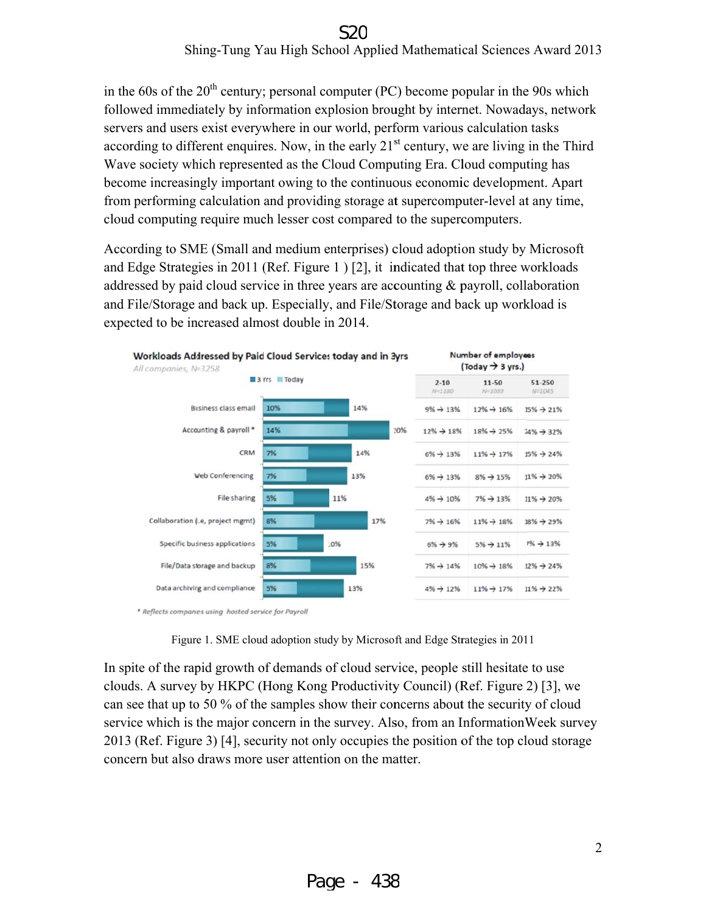# Shing-Tung Yau High School Applied Mathematical Sciences Award 2013

in the 60s of the  $20<sup>th</sup>$  century; personal computer (PC) become popular in the 90s which followed immediately by information explosion brought by internet. Nowadays, network servers and users exist everywhere in our world, perform various calculation tasks according to different enquires. Now, in the early  $21<sup>st</sup>$  century, we are living in the Third Wave society which represented as the Cloud Computing Era. Cloud computing has become increasingly important owing to the continuous economic development. Apart from performing calculation and providing storage at supercomputer-level at any time, cloud computing require much lesser cost compared to the supercomputers.

According to SME (Small and medium enterprises) cloud adoption study by Microsoft and Edge Strategies in 2011 (Ref. Figure 1) [2], it indicated that top three workloads addressed by paid cloud service in three years are accounting  $\&$  payroll, collaboration and File/Storage and back up. Especially, and File/Storage and back up workload is expected to be increased almost double in 2014.



\* Reflects companies using hosted service for Payroll

Figure 1. SME cloud adoption study by Microsoft and Edge Strategies in 2011

In spite of the rapid growth of demands of cloud service, people still hesitate to use clouds. A survey by HKPC (Hong Kong Productivity Council) (Ref. Figure 2) [3], we can see that up to 50 % of the samples show their concerns about the security of cloud service which is the major concern in the survey. Also, from an InformationWeek survey 2013 (Ref. Figure 3) [4], security not only occupies the position of the top cloud storage concern but also draws more user attention on the matter.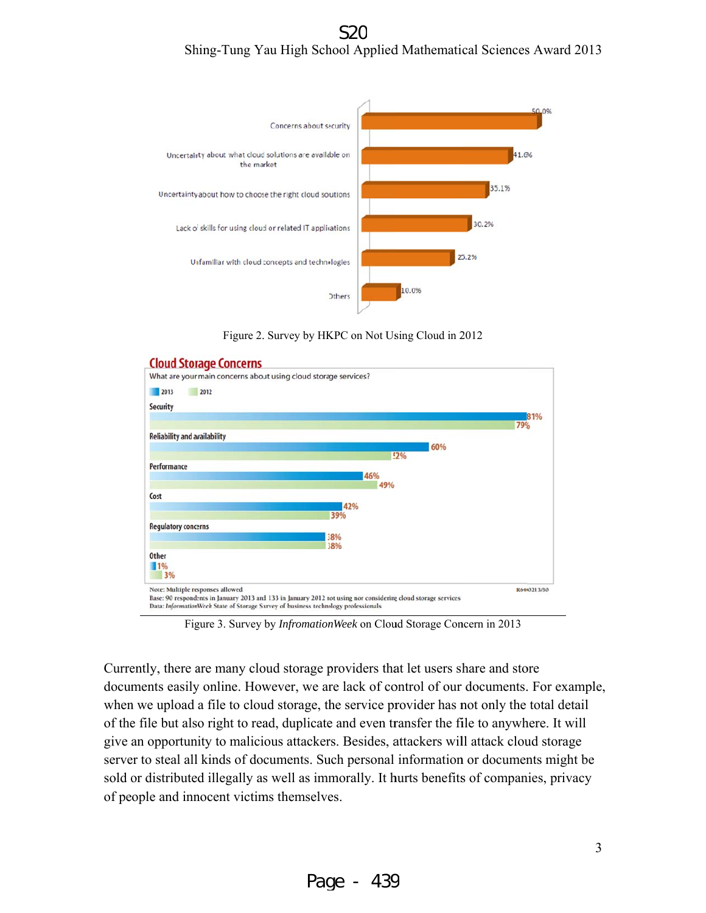Shing-Tung Yau High School Applied Mathematical Sciences Award 2013



Figure 2. Survey by HKPC on Not Using Cloud in 2012



Figure 3. Survey by *InfromationWeek* on Cloud Storage Concern in 2013

Currently, there are many cloud storage providers that let users share and store documents easily online. However, we are lack of control of our documents. For example, when we upload a file to cloud storage, the service provider has not only the total detail of the file but also right to read, duplicate and even transfer the file to anywhere. It will give an opportunity to malicious attackers. Besides, attackers will attack cloud storage server to steal all kinds of documents. Such personal information or documents might be sold or distributed illegally as well as immorally. It hurts benefits of companies, privacy of people and innocent victims themselves.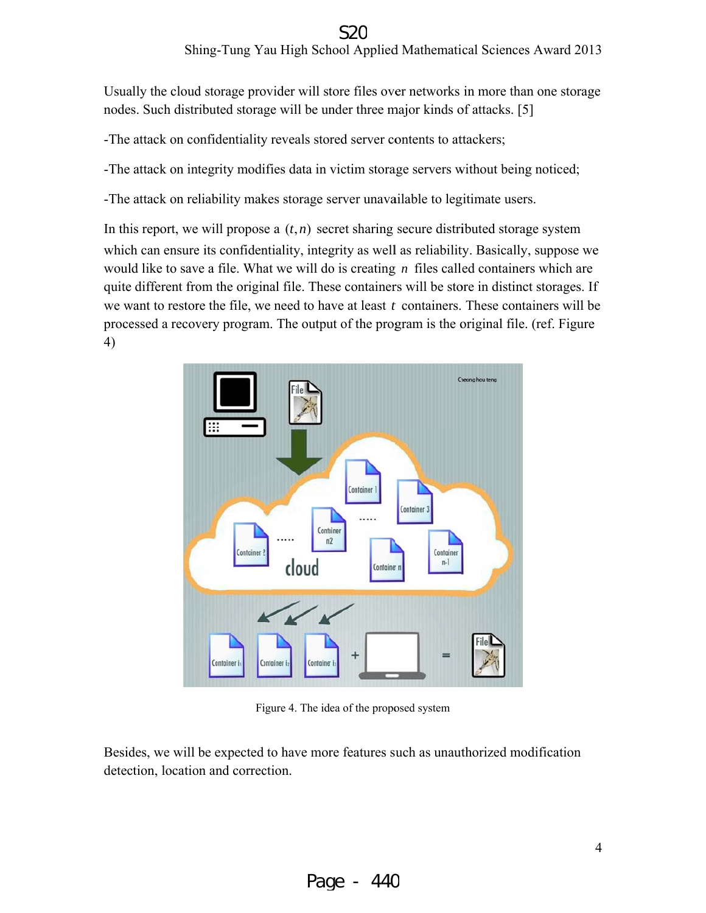#### Shing-Tung Yau High School Applied Mathematical Sciences Award 2013

Usually the cloud storage provider will store files over networks in more than one storage nodes. Such distributed storage will be under three major kinds of attacks. [5]

- The attack on confidentiality reveals stored server contents to attackers;

- The attack on integrity modifies data in victim storage servers without being noticed;

- The attack on reliability makes storage server unavailable to legitimate users.

In this report, we will propose a  $(t, n)$  secret sharing secure distributed storage system which can ensure its confidentiality, integrity as well as reliability. Basically, suppose we would like to save a file. What we will do is creating  $n$  files called containers which are quite different from the original file. These containers will be store in distinct storages. If we want to restore the file, we need to have at least  $t$  containers. These containers will be processed a recovery program. The output of the program is the original file. (ref. Figure 4) S2C<br>ol Applied Mathematical Sciences Award 201<br>re files over networks in more than one storag<br>ler three major kinds of attacks. [5]<br>d server contents to attackers;<br>ctim storage servers without being noticed;<br>rver unavaila



Figure 4. The idea of the proposed system

Besides, we will be expected to have more features such as unauthorized modification detection, location and correction.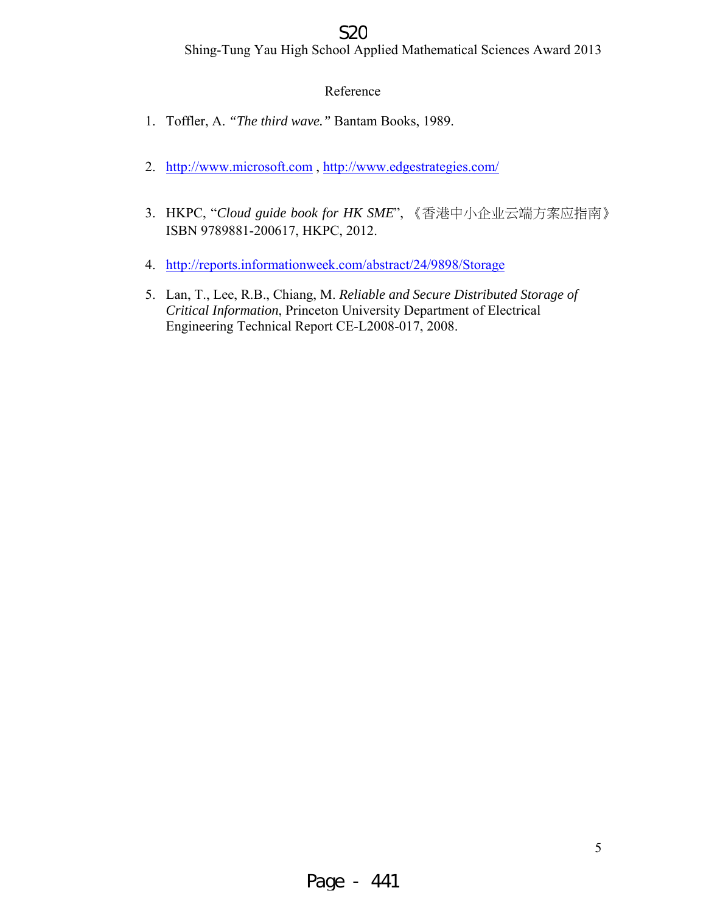#### S<sub>2</sub>C

Shing-Tung Yau High School Applied Mathematical Sciences Award 2013

#### Reference

- 1. Toffler, A. *"The third wave."* Bantam Books, 1989.
- 2. http://www.microsoft.com , http://www.edgestrategies.com/
- 3. HKPC, "*Cloud guide book for HK SME*", 《香港中小企业云端方案应指南》 ISBN 9789881-200617, HKPC, 2012.
- 4. http://reports.informationweek.com/abstract/24/9898/Storage
- 5. Lan, T., Lee, R.B., Chiang, M. *Reliable and Secure Distributed Storage of Critical Information*, Princeton University Department of Electrical Engineering Technical Report CE-L2008-017, 2008.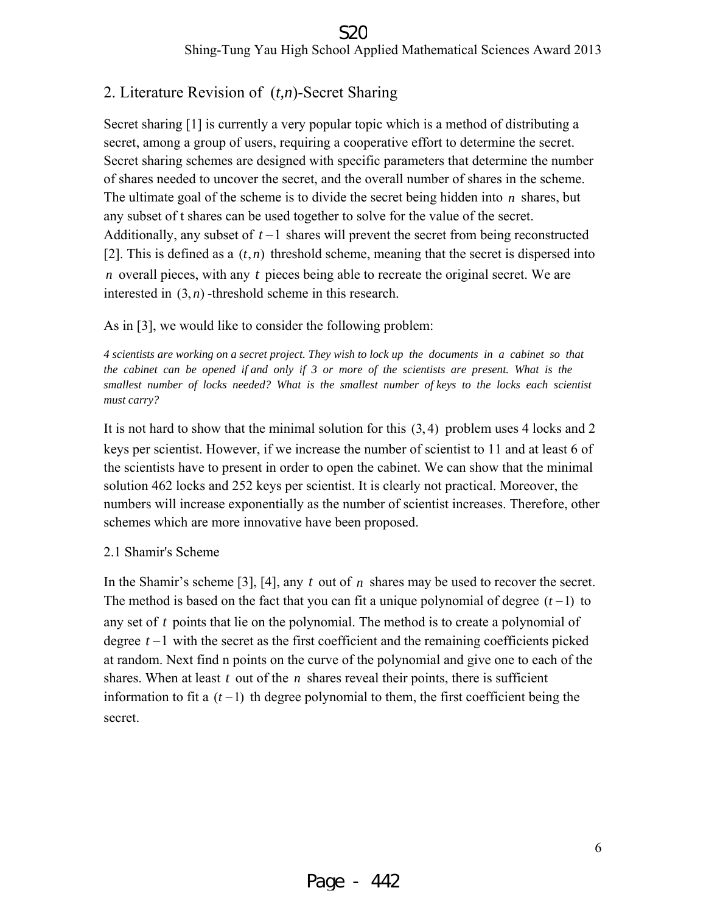#### 2. Literature Revision of (*t,n*)-Secret Sharing

Secret sharing [1] is currently a very popular topic which is a method of distributing a secret, among a group of users, requiring a cooperative effort to determine the secret. Secret sharing schemes are designed with specific parameters that determine the number of shares needed to uncover the secret, and the overall number of shares in the scheme. The ultimate goal of the scheme is to divide the secret being hidden into *n* shares, but any subset of t shares can be used together to solve for the value of the secret. Additionally, any subset of *t* −1 shares will prevent the secret from being reconstructed [2]. This is defined as a  $(t, n)$  threshold scheme, meaning that the secret is dispersed into *n* overall pieces, with any *t* pieces being able to recreate the original secret. We are interested in  $(3, n)$  -threshold scheme in this research.

As in [3], we would like to consider the following problem:

*4 scientists are working on a secret project. They wish to lock up the documents in a cabinet so that the cabinet can be opened if and only if 3 or more of the scientists are present. What is the smallest number of locks needed? What is the smallest number of keys to the locks each scientist must carry?* 

It is not hard to show that the minimal solution for this (3, 4) problem uses 4 locks and 2 keys per scientist. However, if we increase the number of scientist to 11 and at least 6 of the scientists have to present in order to open the cabinet. We can show that the minimal solution 462 locks and 252 keys per scientist. It is clearly not practical. Moreover, the numbers will increase exponentially as the number of scientist increases. Therefore, other schemes which are more innovative have been proposed.

#### 2.1 Shamir's Scheme

In the Shamir's scheme [3], [4], any *t* out of *n* shares may be used to recover the secret. The method is based on the fact that you can fit a unique polynomial of degree  $(t-1)$  to any set of *t* points that lie on the polynomial. The method is to create a polynomial of degree *t* −1 with the secret as the first coefficient and the remaining coefficients picked at random. Next find n points on the curve of the polynomial and give one to each of the shares. When at least  $t$  out of the  $n$  shares reveal their points, there is sufficient information to fit a  $(t-1)$  th degree polynomial to them, the first coefficient being the secret.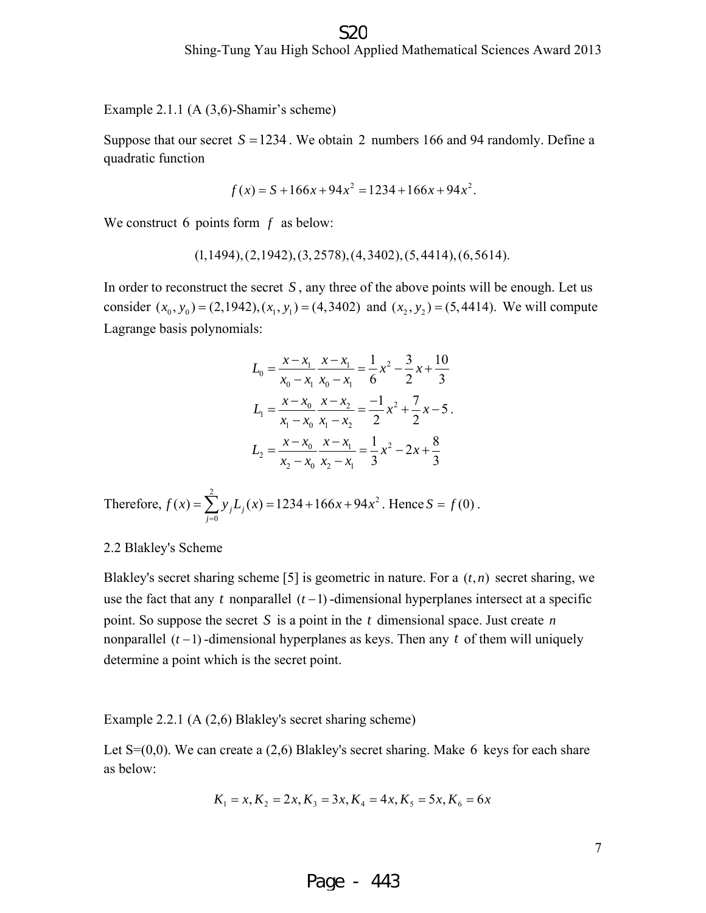Example 2.1.1 (A (3,6)-Shamir's scheme)

Suppose that our secret  $S = 1234$ . We obtain 2 numbers 166 and 94 randomly. Define a quadratic function

$$
f(x) = S + 166x + 94x^2 = 1234 + 166x + 94x^2.
$$

We construct 6 points form *f* as below:

$$
(1,1494), (2,1942), (3,2578), (4,3402), (5,4414), (6,5614).
$$

In order to reconstruct the secret *S* , any three of the above points will be enough. Let us consider  $(x_0, y_0) = (2, 1942), (x_1, y_1) = (4, 3402)$  and  $(x_2, y_2) = (5, 4414)$ . We will compute Lagrange basis polynomials:

$$
L_0 = \frac{x - x_1}{x_0 - x_1} \frac{x - x_1}{x_0 - x_1} = \frac{1}{6} x^2 - \frac{3}{2} x + \frac{10}{3}
$$
  
\n
$$
L_1 = \frac{x - x_0}{x_1 - x_0} \frac{x - x_2}{x_1 - x_2} = \frac{-1}{2} x^2 + \frac{7}{2} x - 5
$$
  
\n
$$
L_2 = \frac{x - x_0}{x_2 - x_0} \frac{x - x_1}{x_2 - x_1} = \frac{1}{3} x^2 - 2x + \frac{8}{3}
$$

Therefore, 
$$
f(x) = \sum_{j=0}^{2} y_j L_j(x) = 1234 + 166x + 94x^2
$$
. Hence  $S = f(0)$ .

#### 2.2 Blakley's Scheme

Blakley's secret sharing scheme [5] is geometric in nature. For a  $(t, n)$  secret sharing, we use the fact that any  $t$  nonparallel  $(t-1)$ -dimensional hyperplanes intersect at a specific point. So suppose the secret *S* is a point in the *t* dimensional space. Just create *n* nonparallel  $(t-1)$  -dimensional hyperplanes as keys. Then any  $t$  of them will uniquely determine a point which is the secret point.

#### Example 2.2.1 (A (2,6) Blakley's secret sharing scheme)

Let  $S=(0,0)$ . We can create a (2,6) Blakley's secret sharing. Make 6 keys for each share as below:

$$
K_1 = x, K_2 = 2x, K_3 = 3x, K_4 = 4x, K_5 = 5x, K_6 = 6x
$$

Page - 443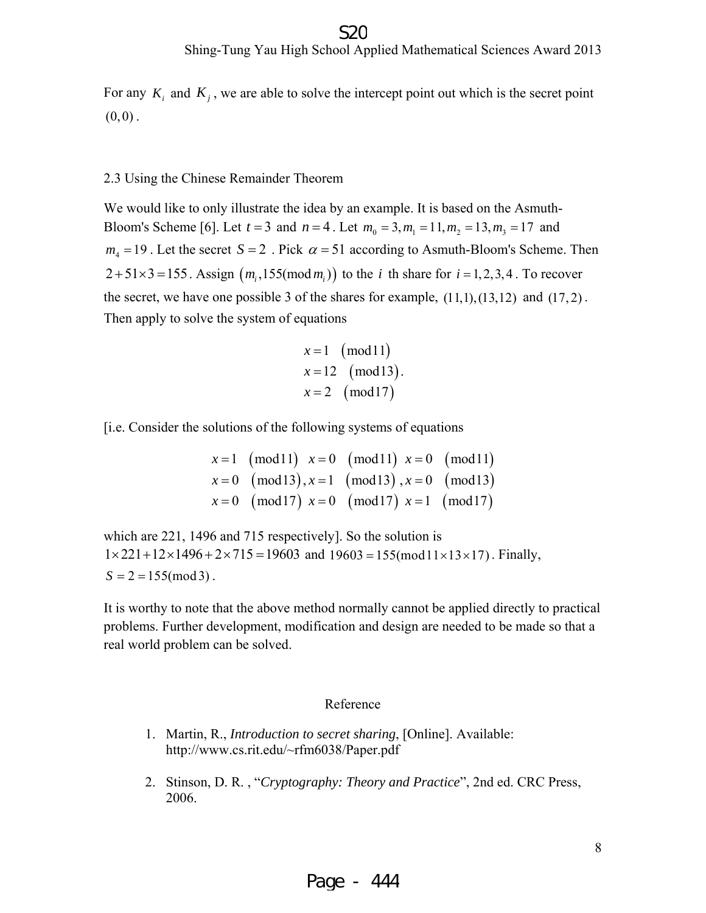For any  $K_i$  and  $K_j$ , we are able to solve the intercept point out which is the secret point  $(0,0)$ .

#### 2.3 Using the Chinese Remainder Theorem

We would like to only illustrate the idea by an example. It is based on the Asmuth-Bloom's Scheme [6]. Let  $t = 3$  and  $n = 4$ . Let  $m_0 = 3, m_1 = 11, m_2 = 13, m_3 = 17$  and  $m_4 = 19$ . Let the secret  $S = 2$ . Pick  $\alpha = 51$  according to Asmuth-Bloom's Scheme. Then  $2+51\times3=155$ . Assign  $(m_i,155 \pmod{m_i})$  to the *i* th share for  $i=1,2,3,4$ . To recover the secret, we have one possible 3 of the shares for example,  $(11,1)$ , $(13,12)$  and  $(17,2)$ . Then apply to solve the system of equations

$$
x=1
$$
 (mod 11)  
\n $x=12$  (mod 13).  
\n $x=2$  (mod 17)

[i.e. Consider the solutions of the following systems of equations

$$
x = 1 \pmod{11} \quad x = 0 \pmod{11} \quad x = 0 \pmod{11}
$$
  
\n
$$
x = 0 \pmod{13}, x = 1 \pmod{13}, x = 0 \pmod{13}
$$
  
\n
$$
x = 0 \pmod{17} \quad x = 0 \pmod{17} \quad x = 1 \pmod{17}
$$

which are 221, 1496 and 715 respectively]. So the solution is  $1 \times 221 + 12 \times 1496 + 2 \times 715 = 19603$  and  $19603 = 155 \text{(mod } 11 \times 13 \times 17)$ . Finally,  $S = 2 = 155 \pmod{3}$ .

It is worthy to note that the above method normally cannot be applied directly to practical problems. Further development, modification and design are needed to be made so that a real world problem can be solved.

#### Reference

- 1. Martin, R., *Introduction to secret sharing*, [Online]. Available: http://www.cs.rit.edu/~rfm6038/Paper.pdf
- 2. Stinson, D. R. , "*Cryptography: Theory and Practice*", 2nd ed. CRC Press, 2006.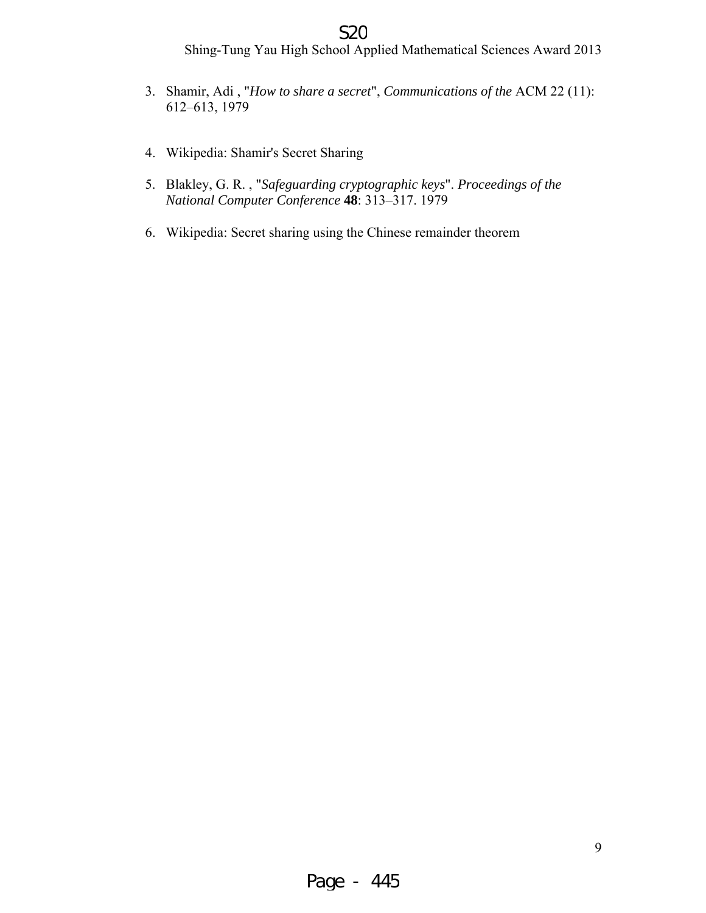#### S<sub>2</sub>C

Shing-Tung Yau High School Applied Mathematical Sciences Award 2013

- 3. Shamir, Adi , "*How to share a secret*", *Communications of the* ACM 22 (11): 612–613, 1979
- 4. Wikipedia: Shamir's Secret Sharing
- 5. Blakley, G. R. , "*Safeguarding cryptographic keys*". *Proceedings of the National Computer Conference* **48**: 313–317. 1979
- 6. Wikipedia: Secret sharing using the Chinese remainder theorem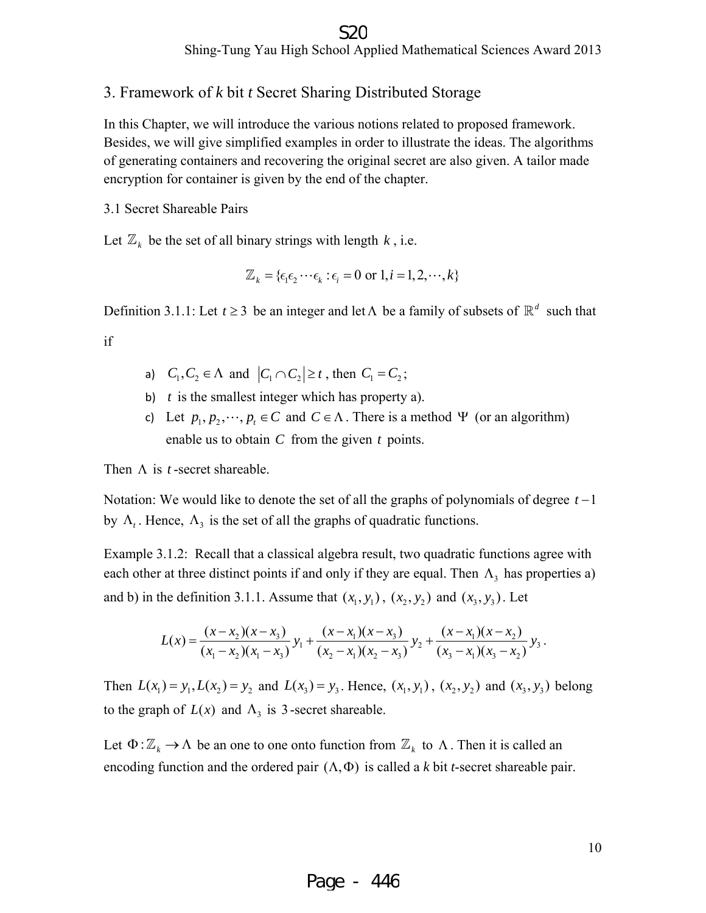#### 3. Framework of *k* bit *t* Secret Sharing Distributed Storage

In this Chapter, we will introduce the various notions related to proposed framework. Besides, we will give simplified examples in order to illustrate the ideas. The algorithms of generating containers and recovering the original secret are also given. A tailor made encryption for container is given by the end of the chapter.

3.1 Secret Shareable Pairs

Let  $\mathbb{Z}_k$  be the set of all binary strings with length *k*, i.e.

$$
\mathbb{Z}_k = \{ \epsilon_1 \epsilon_2 \cdots \epsilon_k : \epsilon_i = 0 \text{ or } 1, i = 1, 2, \cdots, k \}
$$

Definition 3.1.1: Let  $t \ge 3$  be an integer and let  $\Lambda$  be a family of subsets of  $\mathbb{R}^d$  such that

if

- a)  $C_1, C_2 \in \Lambda$  and  $|C_1 \cap C_2| \ge t$ , then  $C_1 = C_2$ ;
- b) *t* is the smallest integer which has property a).
- c) Let  $p_1, p_2, \dots, p_t \in C$  and  $C \in \Lambda$ . There is a method  $\Psi$  (or an algorithm) enable us to obtain *C* from the given *t* points.

Then  $\Lambda$  is *t*-secret shareable.

Notation: We would like to denote the set of all the graphs of polynomials of degree *t* −1 by  $\Lambda_t$ . Hence,  $\Lambda_3$  is the set of all the graphs of quadratic functions.

Example 3.1.2: Recall that a classical algebra result, two quadratic functions agree with each other at three distinct points if and only if they are equal. Then  $\Lambda_3$  has properties a) and b) in the definition 3.1.1. Assume that  $(x_1, y_1)$ ,  $(x_2, y_2)$  and  $(x_3, y_3)$ . Let

$$
L(x) = \frac{(x-x_2)(x-x_3)}{(x_1-x_2)(x_1-x_3)} y_1 + \frac{(x-x_1)(x-x_3)}{(x_2-x_1)(x_2-x_3)} y_2 + \frac{(x-x_1)(x-x_2)}{(x_3-x_1)(x_3-x_2)} y_3.
$$

Then  $L(x_1) = y_1, L(x_2) = y_2$  and  $L(x_3) = y_3$ . Hence,  $(x_1, y_1)$ ,  $(x_2, y_2)$  and  $(x_3, y_3)$  belong to the graph of  $L(x)$  and  $\Lambda$ <sub>3</sub> is 3-secret shareable.

Let  $\Phi: \mathbb{Z}_k \to \Lambda$  be an one to one onto function from  $\mathbb{Z}_k$  to  $\Lambda$ . Then it is called an encoding function and the ordered pair  $(\Lambda, \Phi)$  is called a *k* bit *t*-secret shareable pair.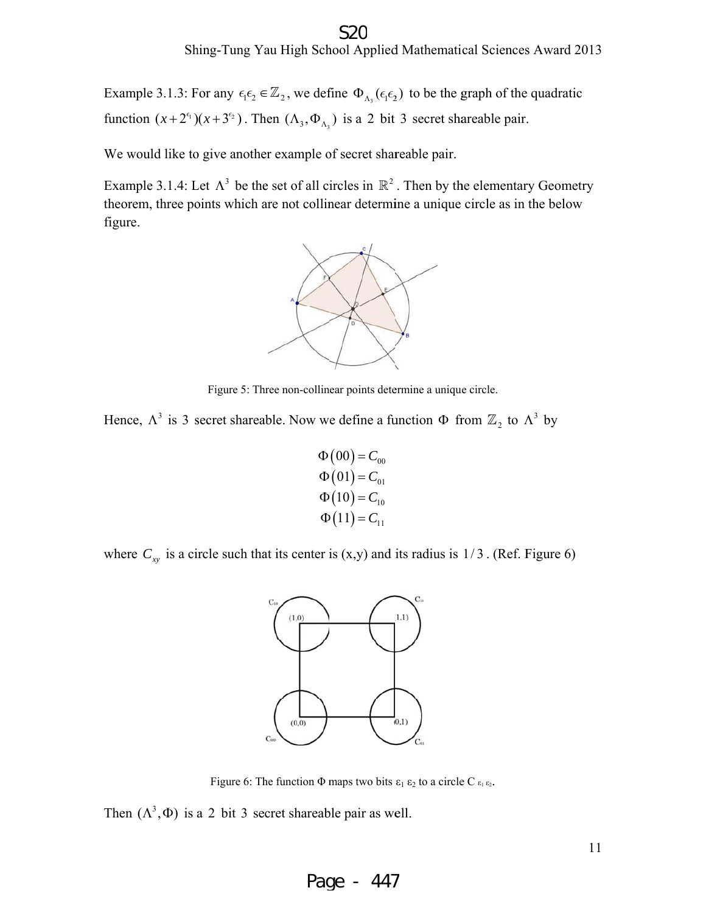Example 3.1.3: For any  $\epsilon_1 \epsilon_2 \in \mathbb{Z}_2$ , we define  $\Phi_{\Lambda_3}(\epsilon_1 \epsilon_2)$  to be the graph of the quadratic function  $(x+2^{\epsilon_1})(x+3^{\epsilon_2})$ . Then  $(\Lambda_3, \Phi_{\Lambda_3})$  is a 2 bit 3 secret shareable pair. S2C<br>ol Applied Mathematical Sciences Award 201<br>ne  $\Phi_{\Lambda_3}(\epsilon_1 \epsilon_2)$  to be the graph of the quadratic<br>is a 2 bit 3 secret shareable pair.<br>secret shareable pair.<br>cles in  $\mathbb{R}^2$ . Then by the elementary Geometry

We would like to give another example of secret shareable pair.

function  $(x+2^{\epsilon_1})(x+3^{\epsilon_2})$ . Then  $(\Lambda_3, \Phi_{\Lambda_3})$  is a 2 bit 3 secret shareable pair.<br>We would like to give another example of secret shareable pair.<br>Example 3.1.4: Let  $\Lambda^3$  be the set of all circles in  $\mathbb{R}^2$ . Th theorem, three points which are not collinear determine a unique circle as in the below figure.



Figure 5: Three non-collinear points determine a unique circle.

Hence,  $\Lambda^3$  is 3 secret shareable. Now we define a function  $\Phi$  from  $\mathbb{Z}_2$  to  $\Lambda^3$  by

$$
\Phi(00) = C_{00} \n\Phi(01) = C_{01} \n\Phi(10) = C_{10} \n\Phi(11) = C_{11}
$$

where  $C_{xy}$  is a circle such that its center is  $(x,y)$  and its radius is  $1/3$ . (Ref. Figure 6)



Figure 6: The function  $\Phi$  maps two bits  $\varepsilon_1 \varepsilon_2$  to a circle C  $\varepsilon_1 \varepsilon_2$ .

Then  $(\Lambda^3, \Phi)$  is a 2 bit 3 secret shareable pair as well.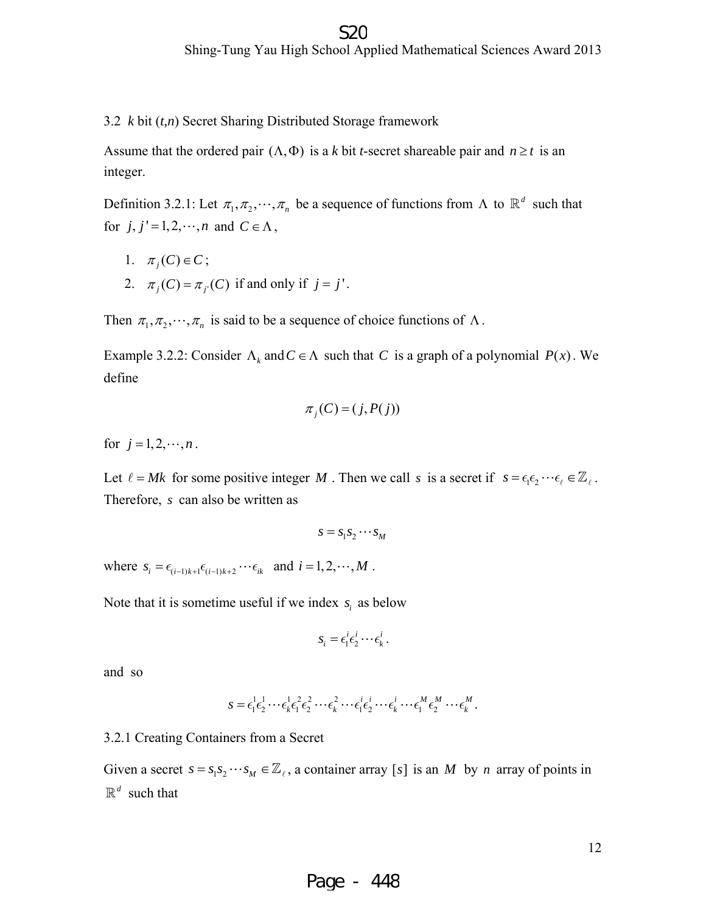3.2 *k* bit (*t,n*) Secret Sharing Distributed Storage framework

Assume that the ordered pair  $(\Lambda, \Phi)$  is a *k* bit *t*-secret shareable pair and  $n \ge t$  is an integer.

Definition 3.2.1: Let  $\pi_1, \pi_2, \dots, \pi_n$  be a sequence of functions from  $\Lambda$  to  $\mathbb{R}^d$  such that for  $j, j' = 1, 2, \dots, n$  and  $C \in \Lambda$ ,

- 1.  $\pi_i(C) \in C$ ;
- 2.  $\pi_j(C) = \pi_{j'}(C)$  if and only if  $j = j'$ .

Then  $\pi_1, \pi_2, \dots, \pi_n$  is said to be a sequence of choice functions of  $\Lambda$ .

Example 3.2.2: Consider  $\Lambda_k$  and  $C \in \Lambda$  such that *C* is a graph of a polynomial  $P(x)$ . We define

$$
\pi_j(C) = (j, P(j))
$$

for  $j = 1, 2, \dots, n$ .

Let  $\ell = Mk$  for some positive integer M. Then we call s is a secret if  $s = \epsilon_1 \epsilon_2 \cdots \epsilon_\ell \in \mathbb{Z}_\ell$ . Therefore, *s* can also be written as

$$
s = s_1 s_2 \cdots s_M
$$

where  $s_i = \epsilon_{(i-1)k+1} \epsilon_{(i-1)k+2} \cdots \epsilon_{ik}$  and  $i = 1, 2, \cdots, M$ .

Note that it is sometime useful if we index *s*, as below

$$
s_i = \epsilon_1^i \epsilon_2^i \cdots \epsilon_k^i.
$$

and so

$$
s = \epsilon_1^1 \epsilon_2^1 \cdots \epsilon_k^1 \epsilon_1^2 \epsilon_2^2 \cdots \epsilon_k^2 \cdots \epsilon_l^i \epsilon_2^i \cdots \epsilon_k^i \cdots \epsilon_1^M \epsilon_2^M \cdots \epsilon_k^M.
$$

#### 3.2.1 Creating Containers from a Secret

Given a secret  $s = s_1 s_2 \cdots s_M \in \mathbb{Z}_l$ , a container array [s] is an *M* by *n* array of points in  $\mathbb{R}^d$  such that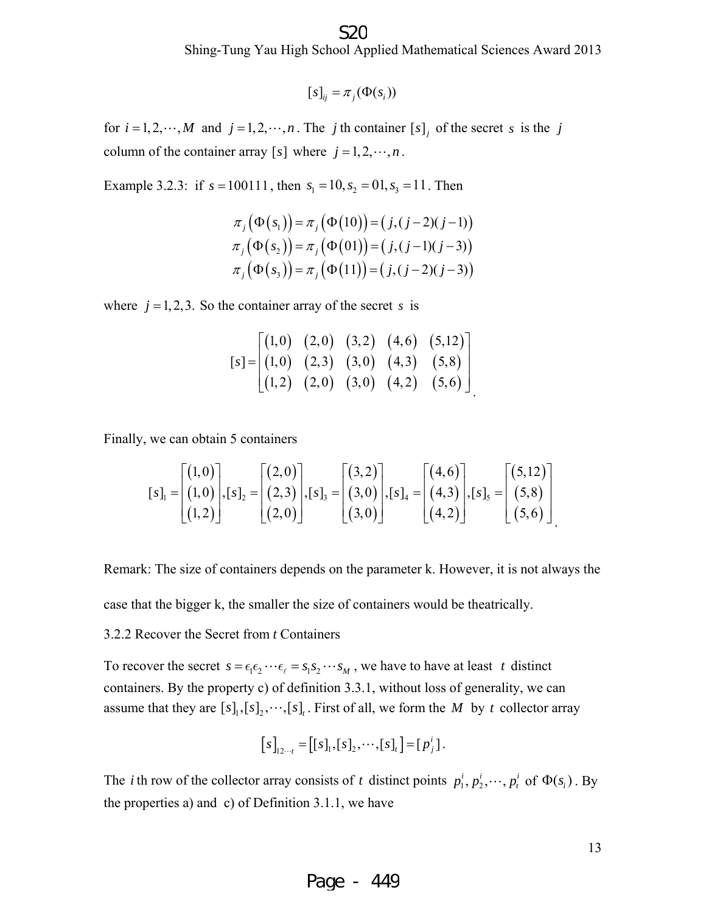$$
[s]_{ij} = \pi_j(\Phi(s_i))
$$

for  $i = 1, 2, \dots, M$  and  $j = 1, 2, \dots, n$ . The *j* th container  $[s]_j$  of the secret *s* is the *j* column of the container array [s] where  $j = 1, 2, \dots, n$ .

Example 3.2.3: if  $s = 100111$ , then  $s<sub>1</sub> = 10$ ,  $s<sub>2</sub> = 01$ ,  $s<sub>3</sub> = 11$ . Then

$$
\pi_j(\Phi(s_1)) = \pi_j(\Phi(10)) = (j, (j-2)(j-1))
$$
  
\n
$$
\pi_j(\Phi(s_2)) = \pi_j(\Phi(01)) = (j, (j-1)(j-3))
$$
  
\n
$$
\pi_j(\Phi(s_3)) = \pi_j(\Phi(11)) = (j, (j-2)(j-3))
$$

where  $j = 1, 2, 3$ . So the container array of the secret *s* is

$$
[s] = \begin{bmatrix} (1,0) & (2,0) & (3,2) & (4,6) & (5,12) \\ (1,0) & (2,3) & (3,0) & (4,3) & (5,8) \\ (1,2) & (2,0) & (3,0) & (4,2) & (5,6) \end{bmatrix}
$$

Finally, we can obtain 5 containers

$$
\begin{bmatrix} s \end{bmatrix}_1 = \begin{bmatrix} (1,0) \\ (1,0) \\ (1,2) \end{bmatrix}, \begin{bmatrix} s \end{bmatrix}_2 = \begin{bmatrix} (2,0) \\ (2,3) \\ (2,0) \end{bmatrix}, \begin{bmatrix} s \end{bmatrix}_3 = \begin{bmatrix} (3,2) \\ (3,0) \\ (3,0) \end{bmatrix}, \begin{bmatrix} s \end{bmatrix}_4 = \begin{bmatrix} (4,6) \\ (4,3) \\ (4,2) \end{bmatrix}, \begin{bmatrix} s \end{bmatrix}_5 = \begin{bmatrix} (5,12) \\ (5,8) \\ (5,6) \end{bmatrix}
$$

Remark: The size of containers depends on the parameter k. However, it is not always the

case that the bigger k, the smaller the size of containers would be theatrically.

3.2.2 Recover the Secret from *t* Containers

To recover the secret  $s = \epsilon_1 \epsilon_2 \cdots \epsilon_\ell = s_1 s_2 \cdots s_M$ , we have to have at least *t* distinct containers. By the property c) of definition 3.3.1, without loss of generality, we can assume that they are  $[s]_1$ ,  $[s]_2$ ,  $\dots$ ,  $[s]_t$ . First of all, we form the *M* by *t* collector array

$$
[s]_{12\cdots t} = [[s]_1, [s]_2, \cdots, [s]_t] = [p_j^i].
$$

The *i* th row of the collector array consists of *t* distinct points  $p_1^i, p_2^i, \dots, p_t^i$  of  $\Phi(s_i)$ . By the properties a) and c) of Definition 3.1.1, we have

13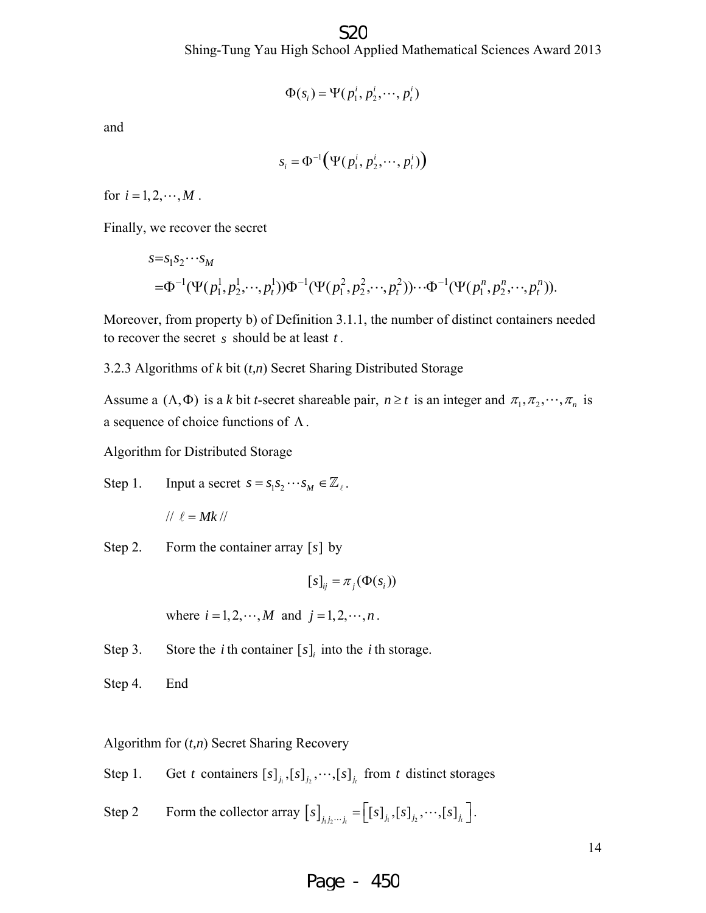Shing-Tung Yau High School Applied Mathematical Sciences Award 2013 S<sub>2</sub>C

$$
\Phi(s_i) = \Psi(p_1^i, p_2^i, \cdots, p_t^i)
$$

and

$$
s_i = \Phi^{-1}\big(\Psi(p_1^i, p_2^i, \cdots, p_t^i)\big)
$$

for  $i = 1, 2, \dots, M$ .

Finally, we recover the secret

$$
s=s_1s_2\cdots s_M
$$
  
= $\Phi^{-1}(\Psi(p_1^1, p_2^1, \dots, p_t^1))\Phi^{-1}(\Psi(p_1^2, p_2^2, \dots, p_t^2))\cdots \Phi^{-1}(\Psi(p_1^n, p_2^n, \dots, p_t^n)).$ 

Moreover, from property b) of Definition 3.1.1, the number of distinct containers needed to recover the secret *s* should be at least *t* .

3.2.3 Algorithms of *k* bit (*t,n*) Secret Sharing Distributed Storage

Assume a  $(\Lambda, \Phi)$  is a *k* bit *t*-secret shareable pair,  $n \ge t$  is an integer and  $\pi_1, \pi_2, \dots, \pi_n$  is a sequence of choice functions of Λ.

Algorithm for Distributed Storage

Step 1. Input a secret 
$$
s = s_1 s_2 \cdots s_M \in \mathbb{Z}_\ell
$$
.

$$
// \ell = Mk \, //
$$

Step 2. Form the container array  $[s]$  by

 $[s]_{ii} = \pi_i(\Phi(s_i))$ 

where  $i = 1, 2, \dots, M$  and  $j = 1, 2, \dots, n$ .

Step 3. Store the *i* th container  $[s]_i$  into the *i* th storage.

Step 4. End

Algorithm for (*t,n*) Secret Sharing Recovery

Step 1. Get *t* containers  $[s]_{j_1}, [s]_{j_2}, \cdots, [s]_{j_t}$  from *t* distinct storages

Step 2 Form the collector array  $[s]_{j_1 j_2 \cdots j_t} = \left[ [s]_{j_1} , [s]_{j_2} , \cdots , [s]_{j_t} \right]$ .

#### Page - 450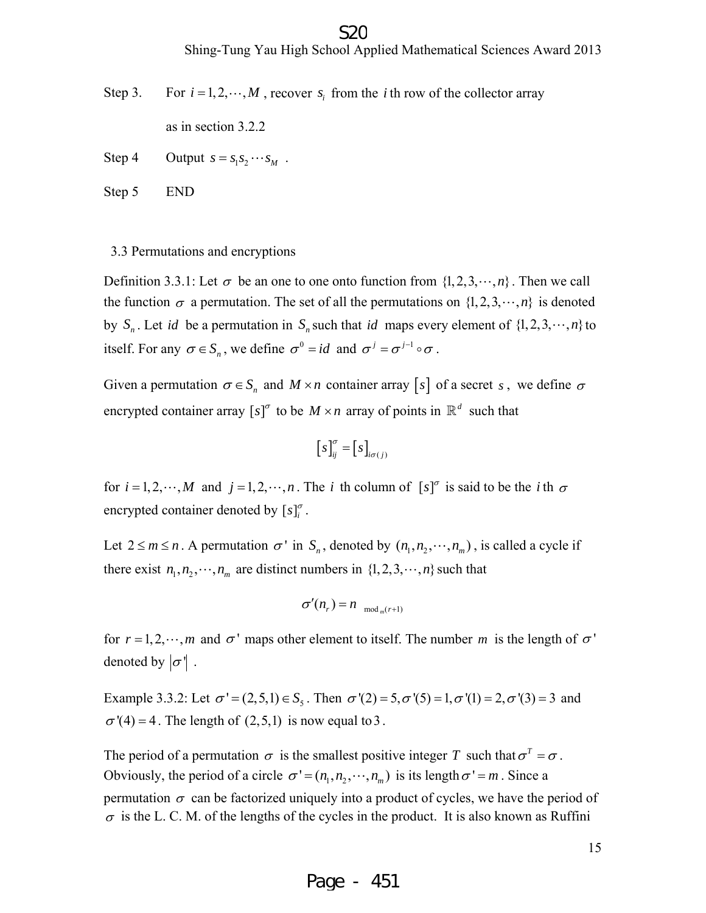#### S20

Shing-Tung Yau High School Applied Mathematical Sciences Award 2013

Step 3. For  $i = 1, 2, \dots, M$ , recover  $s_i$  from the *i* th row of the collector array

as in section 3.2.2

Step 4 Output  $s = s_1 s_2 \cdots s_M$ .

Step 5 END

#### 3.3 Permutations and encryptions

Definition 3.3.1: Let  $\sigma$  be an one to one onto function from  $\{1, 2, 3, \dots, n\}$ . Then we call the function  $\sigma$  a permutation. The set of all the permutations on  $\{1, 2, 3, \dots, n\}$  is denoted by  $S_n$ . Let *id* be a permutation in  $S_n$  such that *id* maps every element of  $\{1, 2, 3, \dots, n\}$  to itself. For any  $\sigma \in S_n$ , we define  $\sigma^0 = id$  and  $\sigma^j = \sigma^{j-1} \circ \sigma$ .

Given a permutation  $\sigma \in S_n$  and  $M \times n$  container array [s] of a secret *s*, we define  $\sigma$ encrypted container array  $[s]^{\sigma}$  to be  $M \times n$  array of points in  $\mathbb{R}^d$  such that

$$
\left[s\right]^\sigma_{ij} = \left[s\right]_{i\sigma(j)}
$$

for  $i = 1, 2, \dots, M$  and  $j = 1, 2, \dots, n$ . The *i* th column of  $[s]^{\sigma}$  is said to be the *i* th  $\sigma$ encrypted container denoted by  $[s]_i^{\sigma}$ .

Let  $2 \le m \le n$ . A permutation  $\sigma'$  in  $S_n$ , denoted by  $(n_1, n_2, \dots, n_m)$ , is called a cycle if there exist  $n_1, n_2, \dots, n_m$  are distinct numbers in  $\{1, 2, 3, \dots, n\}$  such that

$$
\sigma'(n_r) = n_{\mod_{m}(r+1)}
$$

for  $r = 1, 2, \dots, m$  and  $\sigma'$  maps other element to itself. The number *m* is the length of  $\sigma'$ denoted by  $|\sigma|$ .

Example 3.3.2: Let  $\sigma' = (2,5,1) \in S_5$ . Then  $\sigma'(2) = 5, \sigma'(5) = 1, \sigma'(1) = 2, \sigma'(3) = 3$  and  $\sigma'(4) = 4$ . The length of (2,5,1) is now equal to 3.

The period of a permutation  $\sigma$  is the smallest positive integer T such that  $\sigma^T = \sigma$ . Obviously, the period of a circle  $\sigma' = (n_1, n_2, \dots, n_m)$  is its length  $\sigma' = m$ . Since a permutation  $\sigma$  can be factorized uniquely into a product of cycles, we have the period of  $\sigma$  is the L. C. M. of the lengths of the cycles in the product. It is also known as Ruffini

15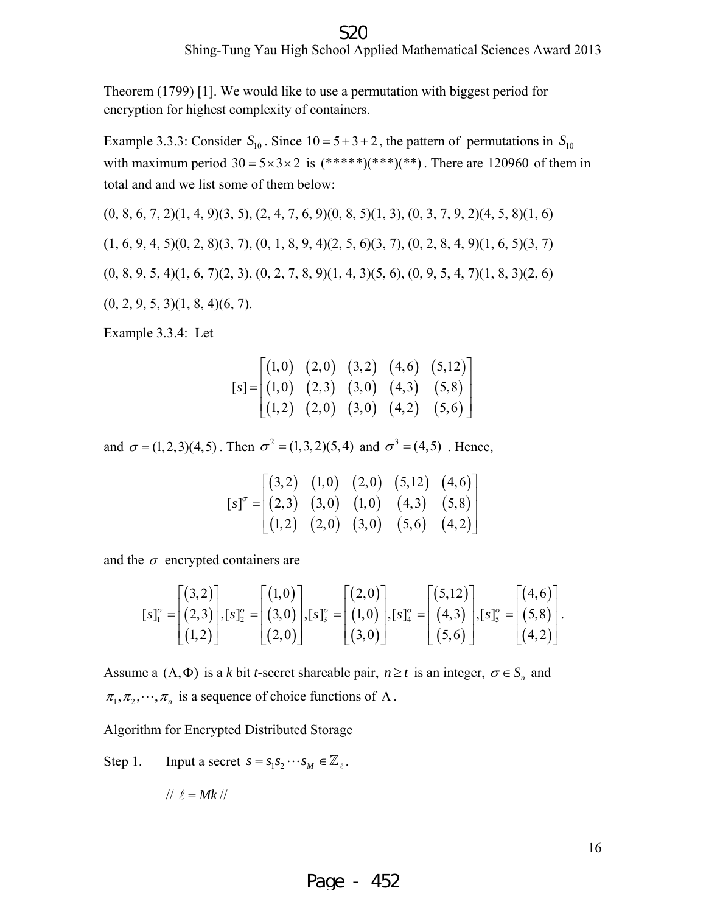#### Shing-Tung Yau High School Applied Mathematical Sciences Award 2013 S<sub>20</sub>

Theorem (1799) [1]. We would like to use a permutation with biggest period for encryption for highest complexity of containers.

Example 3.3.3: Consider  $S_{10}$ . Since  $10 = 5 + 3 + 2$ , the pattern of permutations in  $S_{10}$ with maximum period  $30 = 5 \times 3 \times 2$  is  $(*****)(***)**)$ . There are 120960 of them in total and and we list some of them below:

 $(0, 8, 6, 7, 2)(1, 4, 9)(3, 5), (2, 4, 7, 6, 9)(0, 8, 5)(1, 3), (0, 3, 7, 9, 2)(4, 5, 8)(1, 6)$  $(1, 6, 9, 4, 5)(0, 2, 8)(3, 7), (0, 1, 8, 9, 4)(2, 5, 6)(3, 7), (0, 2, 8, 4, 9)(1, 6, 5)(3, 7)$  $(0, 8, 9, 5, 4)(1, 6, 7)(2, 3), (0, 2, 7, 8, 9)(1, 4, 3)(5, 6), (0, 9, 5, 4, 7)(1, 8, 3)(2, 6)$  $(0, 2, 9, 5, 3)(1, 8, 4)(6, 7).$ 

Example 3.3.4: Let

$$
\begin{bmatrix}\n(1,0) & (2,0) & (3,2) & (4,6) & (5,12) \\
(1,0) & (2,3) & (3,0) & (4,3) & (5,8) \\
(1,2) & (2,0) & (3,0) & (4,2) & (5,6)\n\end{bmatrix}
$$

and  $\sigma = (1,2,3)(4,5)$ . Then  $\sigma^2 = (1,3,2)(5,4)$  and  $\sigma^3 = (4,5)$ . Hence,

$$
\begin{bmatrix} s \end{bmatrix}^{\sigma} = \begin{bmatrix} (3,2) & (1,0) & (2,0) & (5,12) & (4,6) \\ (2,3) & (3,0) & (1,0) & (4,3) & (5,8) \\ (1,2) & (2,0) & (3,0) & (5,6) & (4,2) \end{bmatrix}
$$

and the  $\sigma$  encrypted containers are

$$
[s]_1^{\sigma} = \begin{bmatrix} (3,2) \\ (2,3) \\ (1,2) \end{bmatrix}, [s]_2^{\sigma} = \begin{bmatrix} (1,0) \\ (3,0) \\ (2,0) \end{bmatrix}, [s]_3^{\sigma} = \begin{bmatrix} (2,0) \\ (1,0) \\ (3,0) \end{bmatrix}, [s]_4^{\sigma} = \begin{bmatrix} (5,12) \\ (4,3) \\ (5,6) \end{bmatrix}, [s]_5^{\sigma} = \begin{bmatrix} (4,6) \\ (5,8) \\ (4,2) \end{bmatrix}.
$$

Assume a  $(\Lambda, \Phi)$  is a *k* bit *t*-secret shareable pair,  $n \ge t$  is an integer,  $\sigma \in S_n$  and  $\pi_1, \pi_2, \cdots, \pi_n$  is a sequence of choice functions of  $\Lambda$ .

Algorithm for Encrypted Distributed Storage

Step 1. Input a secret 
$$
s = s_1 s_2 \cdots s_M \in \mathbb{Z}_\ell
$$
.

$$
// \ell = Mk \, //
$$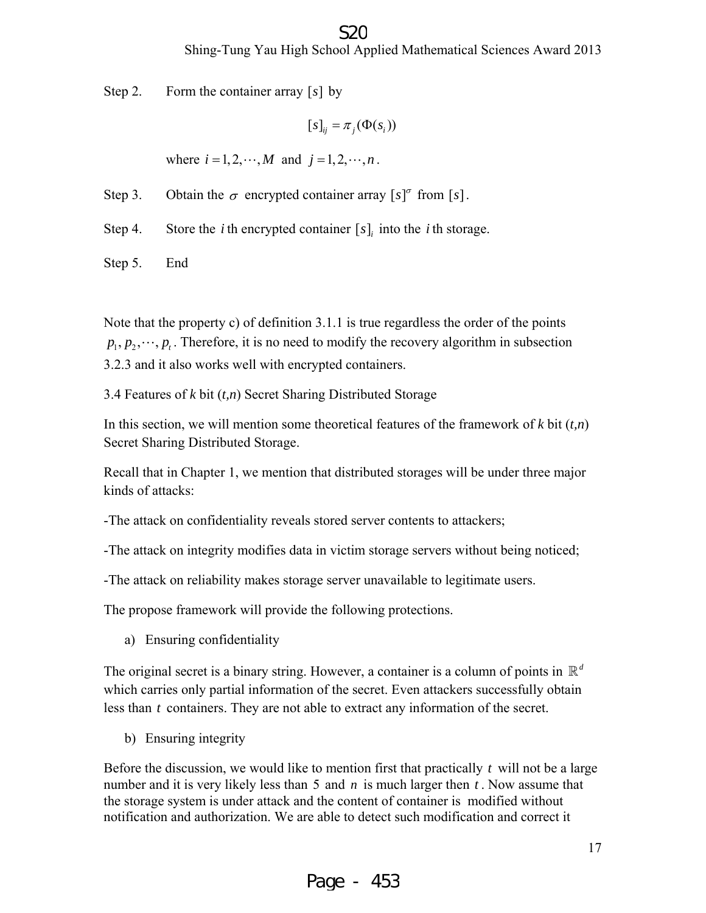#### S2C

#### Shing-Tung Yau High School Applied Mathematical Sciences Award 2013

Step 2. Form the container array  $[s]$  by

```
[s]_{ii} = \pi_i(\Phi(s_i))
```
where  $i = 1, 2, \dots, M$  and  $j = 1, 2, \dots, n$ .

Step 3. Obtain the  $\sigma$  encrypted container array  $[s]^\sigma$  from  $[s]$ .

Step 4. Store the *i* th encrypted container  $[s]$  into the *i* th storage.

Step 5. End

Note that the property c) of definition 3.1.1 is true regardless the order of the points  $p_1, p_2, \dots, p_t$ . Therefore, it is no need to modify the recovery algorithm in subsection 3.2.3 and it also works well with encrypted containers.

3.4 Features of *k* bit (*t,n*) Secret Sharing Distributed Storage

In this section, we will mention some theoretical features of the framework of *k* bit (*t,n*) Secret Sharing Distributed Storage.

Recall that in Chapter 1, we mention that distributed storages will be under three major kinds of attacks:

-The attack on confidentiality reveals stored server contents to attackers;

-The attack on integrity modifies data in victim storage servers without being noticed;

-The attack on reliability makes storage server unavailable to legitimate users.

The propose framework will provide the following protections.

a) Ensuring confidentiality

The original secret is a binary string. However, a container is a column of points in  $\mathbb{R}^d$ which carries only partial information of the secret. Even attackers successfully obtain less than *t* containers. They are not able to extract any information of the secret.

b) Ensuring integrity

Before the discussion, we would like to mention first that practically *t* will not be a large number and it is very likely less than 5 and *n* is much larger then *t* . Now assume that the storage system is under attack and the content of container is modified without notification and authorization. We are able to detect such modification and correct it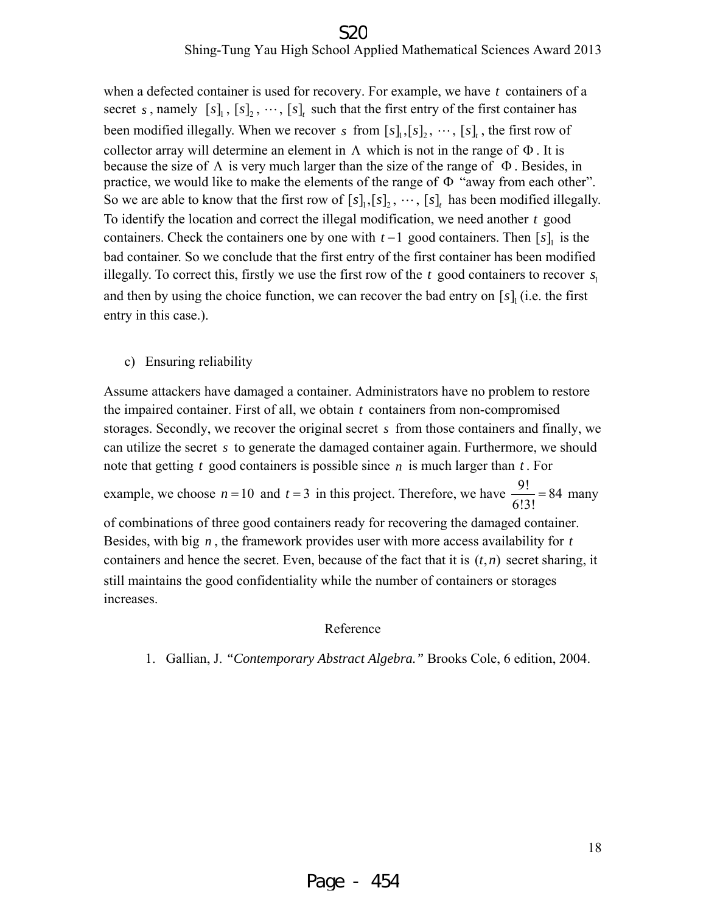#### Shing-Tung Yau High School Applied Mathematical Sciences Award 2013 S2C

when a defected container is used for recovery. For example, we have *t* containers of a secret *s*, namely  $[s]_1$ ,  $[s]_2$ ,  $\dots$ ,  $[s]_t$  such that the first entry of the first container has been modified illegally. When we recover *s* from  $[s]_1$ ,  $[s]_2$ ,  $\dots$ ,  $[s]_t$ , the first row of collector array will determine an element in  $\Lambda$  which is not in the range of  $\Phi$ . It is because the size of  $\Lambda$  is very much larger than the size of the range of  $\Phi$ . Besides, in practice, we would like to make the elements of the range of Φ "away from each other". So we are able to know that the first row of  $[s]_1, [s]_2, \cdots, [s]_t$  has been modified illegally. To identify the location and correct the illegal modification, we need another *t* good containers. Check the containers one by one with  $t-1$  good containers. Then  $[s]_1$  is the bad container. So we conclude that the first entry of the first container has been modified illegally. To correct this, firstly we use the first row of the  $t$  good containers to recover  $s<sub>i</sub>$ and then by using the choice function, we can recover the bad entry on  $[s]$ , (i.e. the first entry in this case.).

c) Ensuring reliability

Assume attackers have damaged a container. Administrators have no problem to restore the impaired container. First of all, we obtain *t* containers from non-compromised storages. Secondly, we recover the original secret *s* from those containers and finally, we can utilize the secret *s* to generate the damaged container again. Furthermore, we should note that getting *t* good containers is possible since *n* is much larger than *t* . For example, we choose  $n = 10$  and  $t = 3$  in this project. Therefore, we have  $\frac{9!}{6!3!} = 84$  many of combinations of three good containers ready for recovering the damaged container. Besides, with big *n* , the framework provides user with more access availability for *t* containers and hence the secret. Even, because of the fact that it is  $(t, n)$  secret sharing, it still maintains the good confidentiality while the number of containers or storages increases.

#### Reference

1. Gallian, J. *"Contemporary Abstract Algebra."* Brooks Cole, 6 edition, 2004.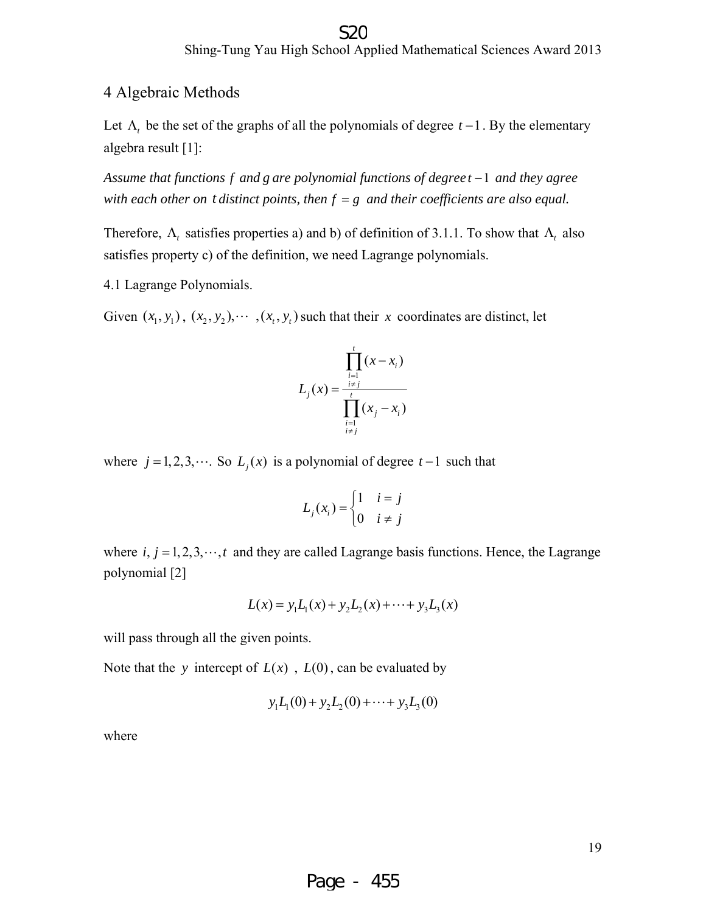#### Shing-Tung Yau High School Applied Mathematical Sciences Award 2013 S<sub>2</sub>C

#### 4 Algebraic Methods

Let  $Λ$ <sub>*t*</sub> be the set of the graphs of all the polynomials of degree *t* −1. By the elementary algebra result [1]:

*Assume that functions f and g are polynomial functions of degree t* −1 *and they agree with each other on t distinct points, then f* = *g and their coefficients are also equal.* 

Therefore,  $\Lambda_t$  satisfies properties a) and b) of definition of 3.1.1. To show that  $\Lambda_t$  also satisfies property c) of the definition, we need Lagrange polynomials.

4.1 Lagrange Polynomials.

Given  $(x_1, y_1)$ ,  $(x_2, y_2)$ ,  $\cdots$ ,  $(x_t, y_t)$  such that their *x* coordinates are distinct, let

$$
L_{j}(x) = \frac{\prod_{\substack{i=1 \ i \neq j}}^{t} (x - x_{i})}{\prod_{\substack{i=1 \ i \neq j}}^{t} (x_{j} - x_{i})}
$$

where  $j = 1, 2, 3, \cdots$ . So  $L_i(x)$  is a polynomial of degree  $t-1$  such that

$$
L_j(x_i) = \begin{cases} 1 & i = j \\ 0 & i \neq j \end{cases}
$$

where  $i, j = 1,2,3,\dots, t$  and they are called Lagrange basis functions. Hence, the Lagrange polynomial [2]

$$
L(x) = y_1 L_1(x) + y_2 L_2(x) + \dots + y_3 L_3(x)
$$

will pass through all the given points.

Note that the *y* intercept of  $L(x)$ ,  $L(0)$ , can be evaluated by

$$
y_1L_1(0) + y_2L_2(0) + \cdots + y_3L_3(0)
$$

where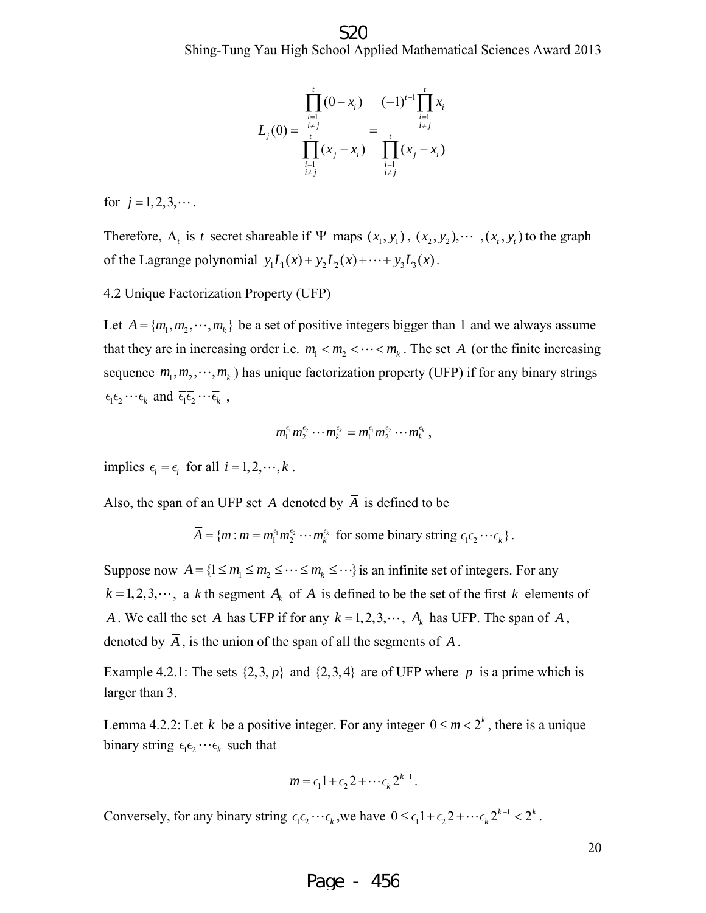$$
L_j(0) = \frac{\prod_{\substack{i=1 \ i \neq j}}^t (0 - x_i)}{\prod_{\substack{i=1 \ i \neq j}}^t (x_j - x_i)} = \frac{(-1)^{t-1} \prod_{\substack{i=1 \ i \neq j}}^t x_i}{\prod_{\substack{i=1 \ i \neq j}}^t (x_j - x_i)}
$$

for  $j = 1, 2, 3, \cdots$ .

Therefore,  $\Lambda$ , is *t* secret shareable if  $\Psi$  maps  $(x_1, y_1)$ ,  $(x_2, y_2)$ ,  $\cdots$ ,  $(x_i, y_j)$  to the graph of the Lagrange polynomial  $y_1 L_1(x) + y_2 L_2(x) + \cdots + y_3 L_3(x)$ .

4.2 Unique Factorization Property (UFP)

Let  $A = \{m_1, m_2, \dots, m_k\}$  be a set of positive integers bigger than 1 and we always assume that they are in increasing order i.e.  $m_1 < m_2 < \cdots < m_k$ . The set *A* (or the finite increasing sequence  $m_1, m_2, \dots, m_k$ ) has unique factorization property (UFP) if for any binary strings  $\epsilon_1 \epsilon_2 \cdots \epsilon_k$  and  $\overline{\epsilon_1 \epsilon_2} \cdots \overline{\epsilon_k}$ ,

$$
m_1^{\epsilon_1}m_2^{\epsilon_2}\cdots m_k^{\epsilon_k}=m_1^{\overline{\epsilon_1}}m_2^{\overline{\epsilon_2}}\cdots m_k^{\overline{\epsilon_k}},
$$

implies  $\epsilon_i = \overline{\epsilon_i}$  for all  $i = 1, 2, \dots, k$ .

Also, the span of an UFP set *A* denoted by  $\overline{A}$  is defined to be

$$
\overline{A} = \{m : m = m_1^{\epsilon_1} m_2^{\epsilon_2} \cdots m_k^{\epsilon_k} \text{ for some binary string } \epsilon_1 \epsilon_2 \cdots \epsilon_k \}.
$$

Suppose now  $A = \{1 \le m_1 \le m_2 \le \cdots \le m_k \le \cdots \}$  is an infinite set of integers. For any  $k = 1, 2, 3, \dots$ , a *k* th segment  $A_k$  of *A* is defined to be the set of the first *k* elements of *A* . We call the set *A* has UFP if for any  $k = 1, 2, 3, \dots, A_k$  has UFP. The span of *A*, denoted by  $\overline{A}$ , is the union of the span of all the segments of A.

Example 4.2.1: The sets  $\{2,3, p\}$  and  $\{2,3,4\}$  are of UFP where p is a prime which is larger than 3.

Lemma 4.2.2: Let *k* be a positive integer. For any integer  $0 \le m < 2^k$ , there is a unique binary string  $\epsilon_1 \epsilon_2 \cdots \epsilon_k$  such that

$$
m = \epsilon_1 1 + \epsilon_2 2 + \cdots \epsilon_k 2^{k-1}.
$$

Conversely, for any binary string  $\epsilon_1 \epsilon_2 \cdots \epsilon_k$ , we have  $0 \le \epsilon_1 1 + \epsilon_2 2 + \cdots \epsilon_k 2^{k-1} < 2^k$ .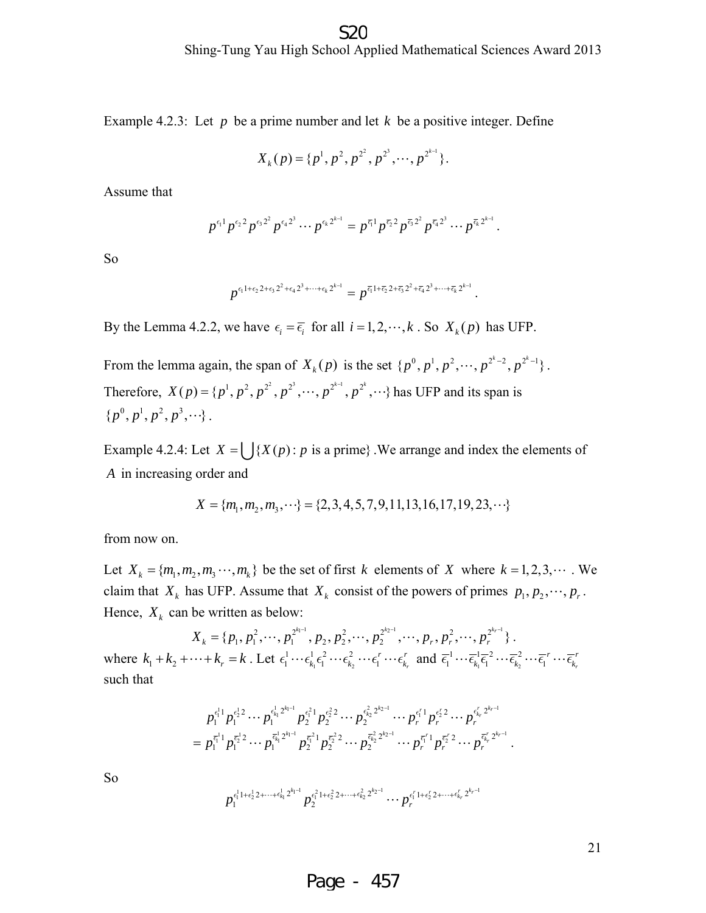Example 4.2.3: Let *p* be a prime number and let *k* be a positive integer. Define

$$
X_k(p) = \{p^1, p^2, p^{2^2}, p^{2^3}, \cdots, p^{2^{k-1}}\}.
$$

Assume that

$$
p^{\epsilon_1}p^{\epsilon_2}p^{\epsilon_3}p^{\epsilon_4}p^{\epsilon_4}p^{\epsilon_5} \cdots p^{\epsilon_k}p^{k-1}} = p^{\overline{\epsilon_1}}p^{\overline{\epsilon_2}}p^{\overline{\epsilon_3}}p^{\overline{\epsilon_4}}p^{\overline{\epsilon_4}}p^{\overline{\epsilon_4}}p^{\overline{\epsilon_4}}p^{\overline{\epsilon_4}}p^{\overline{\epsilon_4}}p^{\overline{\epsilon_4}}.
$$

So

$$
p^{\epsilon_1 1+\epsilon_2 2+\epsilon_3 2^2+\epsilon_4 2^3+\cdots+\epsilon_k 2^{k-1}} = p^{\bar{\epsilon_1} 1+\bar{\epsilon_2} 2+\bar{\epsilon_3} 2^2+\bar{\epsilon_4} 2^3+\cdots+\bar{\epsilon_k} 2^{k-1}}.
$$

By the Lemma 4.2.2, we have  $\epsilon_i = \overline{\epsilon_i}$  for all  $i = 1, 2, \dots, k$ . So  $X_k(p)$  has UFP.

From the lemma again, the span of  $X_k(p)$  is the set  $\{p^0, p^1, p^2, \dots, p^{2^k-2}, p^{2^k-1}\}\.$ Therefore,  $X(p) = \{p^1, p^2, p^{2^2}, p^{2^3}, \dots, p^{2^{k-1}}, p^{2^k}, \dots\}$  has UFP and its span is  $\{p^0, p^1, p^2, p^3, \cdots \}.$ 

Example 4.2.4: Let  $X = \int \{X(p) : p \text{ is a prime}\}\$ . We arrange and index the elements of *A* in increasing order and

$$
X = \{m_1, m_2, m_3, \cdots\} = \{2, 3, 4, 5, 7, 9, 11, 13, 16, 17, 19, 23, \cdots\}
$$

from now on.

Let  $X_k = \{m_1, m_2, m_3, \dots, m_k\}$  be the set of first *k* elements of *X* where  $k = 1, 2, 3, \dots$ . We claim that  $X_k$  has UFP. Assume that  $X_k$  consist of the powers of primes  $p_1, p_2, \dots, p_r$ . Hence,  $X_k$  can be written as below:

 $X_k = \{p_1, p_1^2, \cdots, p_1^{2^{k_1-1}}, p_2, p_2^2, \cdots, p_2^{2^{k_2-1}}, \cdots, p_r, p_r^2, \cdots, p_r^{2^{k_r-1}}\}\.$ where  $k_1 + k_2 + \cdots + k_r = k$ . Let  $\epsilon_1^1 \cdots \epsilon_{k_1}^1 \epsilon_1^2 \cdots \epsilon_{k_2}^2$  $\epsilon_1^1 \cdots \epsilon_{k_1}^1 \epsilon_1^2 \cdots \epsilon_{k_2}^2 \cdots \epsilon_l^r \cdots \epsilon_{k_r}^r$  and  $\overline{\epsilon}_1^1 \cdots \overline{\epsilon}_{k_1}^1 \overline{\epsilon}_1^2 \cdots \overline{\epsilon}_{k_2}^2$  $\overline{\epsilon}_{1}^{1} \cdots \overline{\epsilon}_{k_{1}}^{1} \overline{\epsilon}_{1}^{2} \cdots \overline{\epsilon}_{k_{2}}^{2} \cdots \overline{\epsilon}_{1}^{r} \cdots \overline{\epsilon}_{k_{r}}^{r}$ such that

$$
p_1^{\epsilon_1^1} p_1^{\epsilon_2^1} \cdots p_1^{\epsilon_{k_1}^1 2^{k_1-1}} p_2^{\epsilon_1^2} p_2^{\epsilon_2^2} \cdots p_2^{\epsilon_{k_2}^2 2^{k_2-1}} \cdots p_r^{\epsilon_1^r} p_r^{\epsilon_2^r} 2 \cdots p_r^{\epsilon_{k_r}^r 2^{k_r-1}}
$$
  
=  $p_1^{\epsilon_1^r} p_1^{\epsilon_2^r} 2 \cdots p_1^{\epsilon_{k_1}^1 2^{k_1-1}} p_2^{\epsilon_1^2} 1 p_2^{\epsilon_2^2} 2 \cdots p_2^{\epsilon_{k_2}^2 2^{k_2-1}} \cdots p_r^{\epsilon_r^r} p_r^{\epsilon_r^r} 2 \cdots p_r^{\epsilon_{k_r}^r 2^{k_r-1}}$ .

So  

$$
p_1^{\epsilon_1^1 + \epsilon_2^1 2 + \cdots + \epsilon_{k_1}^1 2^{k_1 - 1}} p_2^{\epsilon_1^2 + \epsilon_2^2 2 + \cdots + \epsilon_{k_2}^2 2^{k_2 - 1}} \cdots p_r^{\epsilon_1^r 1 + \epsilon_2^r 2 + \cdots + \epsilon_{k_r}^r 2^{k_r - 1}}
$$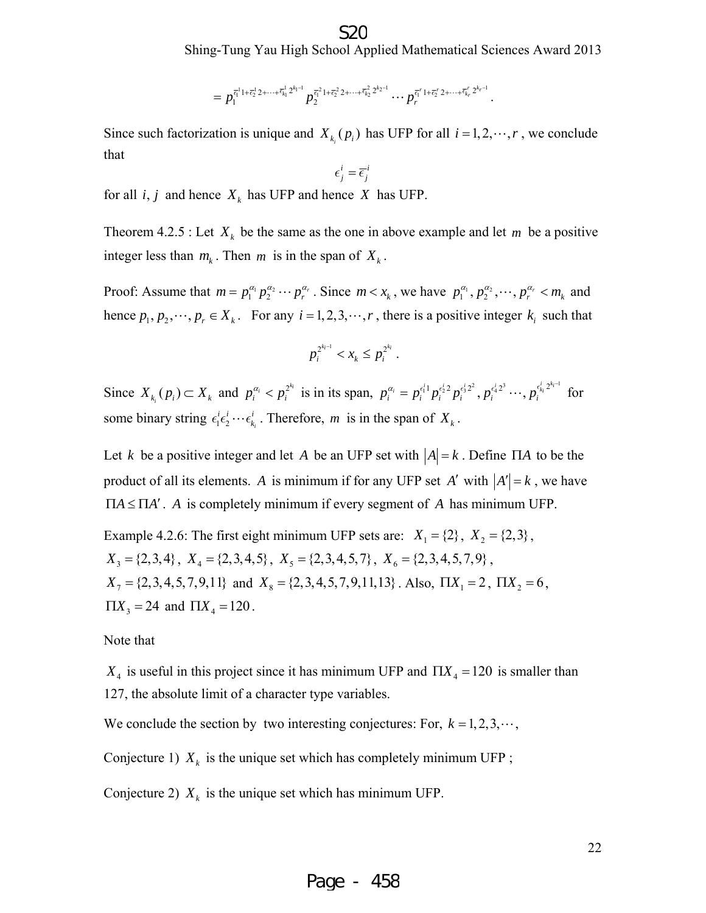$$
=p_1^{\bar{\epsilon}_1^{1}1+\bar{\epsilon}_2^{1}2+\cdots+\bar{\epsilon}_{k_1}^{1}2^{k_1-1}}p_2^{\bar{\epsilon}_1^{2}1+\bar{\epsilon}_2^{2}2+\cdots+\bar{\epsilon}_{k_2}^{2}2^{k_2-1}}\cdots p_r^{\bar{\epsilon}_1^{r}1+\bar{\epsilon}_2^{r}2+\cdots+\bar{\epsilon}_{k_r}^{r}2^{k_r-1}}.
$$

Since such factorization is unique and  $X_{k_i}(p_i)$  has UFP for all  $i = 1, 2, \dots, r$ , we conclude that

$$
\epsilon_j^i = \overline{\epsilon}_j^i
$$

for all  $i, j$  and hence  $X_k$  has UFP and hence *X* has UFP.

Theorem 4.2.5 : Let  $X_k$  be the same as the one in above example and let m be a positive integer less than  $m_k$ . Then  $m$  is in the span of  $X_k$ .

Proof: Assume that  $m = p_1^{\alpha_1} p_2^{\alpha_2} \cdots p_r^{\alpha_r}$ . Since  $m < x_k$ , we have  $p_1^{\alpha_1}, p_2^{\alpha_2}, \cdots, p_r^{\alpha_r} < m_k$  and hence  $p_1, p_2, \dots, p_r \in X_k$ . For any  $i = 1, 2, 3, \dots, r$ , there is a positive integer  $k_i$  such that

$$
p_i^{2^{k_i-1}} < x_k \leq p_i^{2^{k_i}} \, .
$$

Since  $X_{k_i}(p_i) \subset X_k$  and  $p_i^{\alpha_i} < p_i^{2^{k_i}}$  is in its span,  $p_i^{\alpha_i} = p_i^{\epsilon_1^i} p_i^{\epsilon_2^i} p_i^{\epsilon_3^i} \cdots, p_i^{\epsilon_k^i} p_i^{\epsilon_k^i} p_i^{2^{k_i-1}}$  for some binary string  $\epsilon_1^i \epsilon_2^i \cdots \epsilon_{k_i}^i$ . Therefore, *m* is in the span of  $X_k$ .

Let *k* be a positive integer and let *A* be an UFP set with  $|A| = k$ . Define  $\Pi A$  to be the product of all its elements. *A* is minimum if for any UFP set *A'* with  $|A'| = k$ , we have  $\Pi A \leq \Pi A'$ . *A* is completely minimum if every segment of *A* has minimum UFP.

Example 4.2.6: The first eight minimum UFP sets are:  $X_1 = \{2\}$ ,  $X_2 = \{2,3\}$ ,  $X_3 = \{2,3,4\}, X_4 = \{2,3,4,5\}, X_5 = \{2,3,4,5,7\}, X_6 = \{2,3,4,5,7,9\},$  $X_7 = \{2, 3, 4, 5, 7, 9, 11\}$  and  $X_8 = \{2, 3, 4, 5, 7, 9, 11, 13\}$ . Also,  $\Pi X_1 = 2$ ,  $\Pi X_2 = 6$ ,  $\Pi X_3 = 24$  and  $\Pi X_4 = 120$ .

Note that

 $X_4$  is useful in this project since it has minimum UFP and  $\prod X_4 = 120$  is smaller than 127, the absolute limit of a character type variables.

We conclude the section by two interesting conjectures: For,  $k = 1, 2, 3, \cdots$ ,

Conjecture 1)  $X_k$  is the unique set which has completely minimum UFP;

Conjecture 2)  $X_k$  is the unique set which has minimum UFP.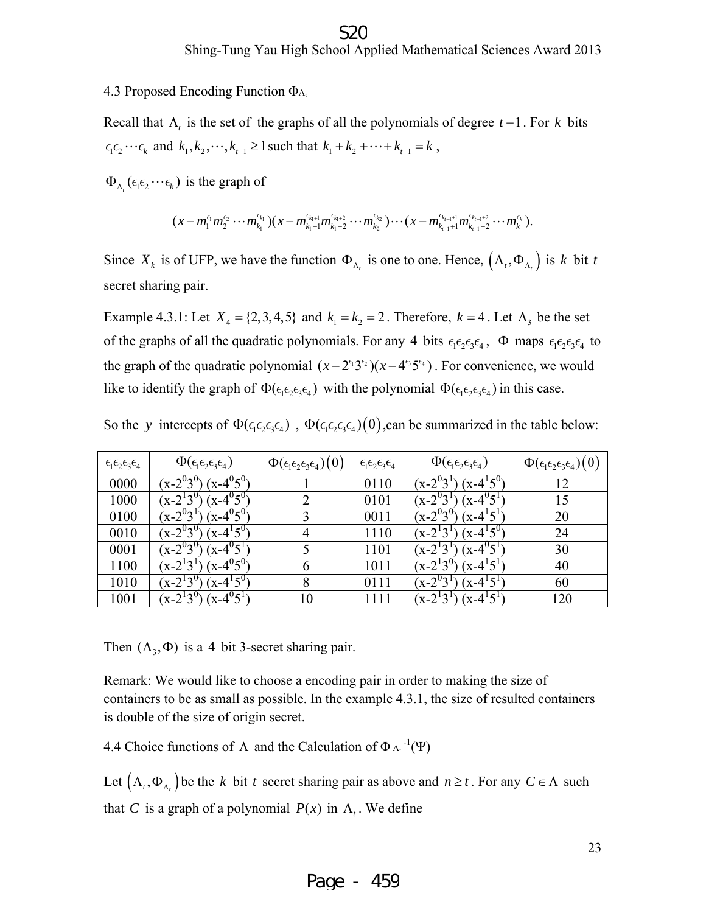#### S20

Shing-Tung Yau High School Applied Mathematical Sciences Award 2013

4.3 Proposed Encoding Function  $\Phi_{\Lambda_t}$ 

Recall that  $\Lambda$ , is the set of the graphs of all the polynomials of degree  $t-1$ . For  $k$  bits  $\epsilon_1 \epsilon_2 \cdots \epsilon_k$  and  $k_1, k_2, \cdots, k_{t-1} \ge 1$  such that  $k_1 + k_2 + \cdots + k_{t-1} = k$ ,

 $\Phi_{\Lambda_{i}}(\epsilon_{1}\epsilon_{2}\cdots\epsilon_{k})$  is the graph of

$$
(x-m_1^{\epsilon_{l_1}}m_2^{\epsilon_2}\cdots m_{k_l}^{\epsilon_{k_l}})(x-m_{k_1+1}^{\epsilon_{k_1+1}}m_{k_1+2}^{\epsilon_{k_1+2}}\cdots m_{k_2}^{\epsilon_{k_2}})\cdots (x-m_{k_{l-1}+1}^{\epsilon_{k_{l-1}+1}}m_{k_{l-1}+2}^{\epsilon_{k_{l-1}+2}}\cdots m_{k}^{\epsilon_{k}}).
$$

Since  $X_k$  is of UFP, we have the function  $\Phi_{\Lambda_k}$  is one to one. Hence,  $(\Lambda_t, \Phi_{\Lambda_k})$  is *k* bit *t* secret sharing pair.

Example 4.3.1: Let  $X_4 = \{2, 3, 4, 5\}$  and  $k_1 = k_2 = 2$ . Therefore,  $k = 4$ . Let  $\Lambda_3$  be the set of the graphs of all the quadratic polynomials. For any 4 bits  $\epsilon_1 \epsilon_2 \epsilon_3 \epsilon_4$ ,  $\Phi$  maps  $\epsilon_1 \epsilon_2 \epsilon_3 \epsilon_4$  to the graph of the quadratic polynomial  $(x - 2^{3} 3^{3} )(x - 4^{3} 5^{3} )$ . For convenience, we would like to identify the graph of  $\Phi(\epsilon_1\epsilon_2\epsilon_3\epsilon_4)$  with the polynomial  $\Phi(\epsilon_1\epsilon_2\epsilon_3\epsilon_4)$  in this case.

| $\epsilon_1 \epsilon_2 \epsilon_3 \epsilon_4$ | $\Phi(\epsilon_1\epsilon_2\epsilon_3\epsilon_4)$ | $\Phi(\epsilon_1\epsilon_2\epsilon_3\epsilon_4)(0)$ | $\epsilon_1 \epsilon_2 \epsilon_3 \epsilon_4$ | $\Phi(\epsilon_1\epsilon_2\epsilon_3\epsilon_4)$ | $\Phi(\epsilon_1\epsilon_2\epsilon_3\epsilon_4)(0)$ |
|-----------------------------------------------|--------------------------------------------------|-----------------------------------------------------|-----------------------------------------------|--------------------------------------------------|-----------------------------------------------------|
| 0000                                          | $(x-4^{0}5^{0})$<br>$(x-2^{0}3^{0})$             |                                                     | 0110                                          | $(x-2^03^1)$<br>$(x-4^{1}5^{0})$                 | 12                                                  |
| 1000                                          | $(x-4^{0}5^{0})$<br>$(x-2^{1}3^{0})$             | $\mathcal{D}_{\mathcal{L}}$                         | 0101                                          | $(x-4^{0}5^{1})$<br>$(x - 2^{0})$                | 15                                                  |
| 0100                                          | $(x-4^{0}5^{0})$<br>$(x - 2^{0}3^{1})$           |                                                     | 0011                                          | $(x-2^{0}3^{0})$<br>$(x-4^15^1)$                 | 20                                                  |
| 0010                                          | $(x-4^{1}5^{0})$<br>$(x - 2^{0}3^{0})$           | 4                                                   | 1110                                          | $(x-4^{1}5^{0})$<br>$(x-2^{1}3^{1})$             | 24                                                  |
| 0001                                          | $(x-4^{0}5^{1})$<br>$(x - 2^{0}3^{0})$           |                                                     | 1101                                          | $(x-4^{0}5^{1})$<br>$(x-2^13^1)$                 | 30                                                  |
| 1100                                          | $(x-4^{0}5^{0})$<br>$(x-2^13^1)$                 | 6                                                   | 1011                                          | $(x-2^{1}3^{0})$<br>$(x-4^{1}5^{1})$             | 40                                                  |
| 1010                                          | $(x-4^{1}5^{0})$<br>$(x - 2^13^0)$               | 8                                                   | 0111                                          | $(x - 2^0)$<br>$(x-4^{1}5^{1})$                  | 60                                                  |
| 1001                                          | $(x-4^{0}5^{1})$<br>$(x-2^{1}3^{0})$             | 10                                                  | 1111                                          | $(x-4^{1}5^{1})$<br>$(x-2^{1}3^{1})$             | 120                                                 |

So the *y* intercepts of  $\Phi(\epsilon_1 \epsilon_2 \epsilon_3 \epsilon_4)$ ,  $\Phi(\epsilon_1 \epsilon_2 \epsilon_3 \epsilon_4)(0)$ ,can be summarized in the table below:

Then  $(\Lambda_3, \Phi)$  is a 4 bit 3-secret sharing pair.

Remark: We would like to choose a encoding pair in order to making the size of containers to be as small as possible. In the example 4.3.1, the size of resulted containers is double of the size of origin secret.

4.4 Choice functions of  $\Lambda$  and the Calculation of  $\Phi_{\Lambda_{\tau}}^{-1}(\Psi)$ 

Let  $(\Lambda_t, \Phi_{\Lambda_t})$  be the *k* bit *t* secret sharing pair as above and  $n \ge t$ . For any  $C \in \Lambda$  such that *C* is a graph of a polynomial  $P(x)$  in  $\Lambda_t$ . We define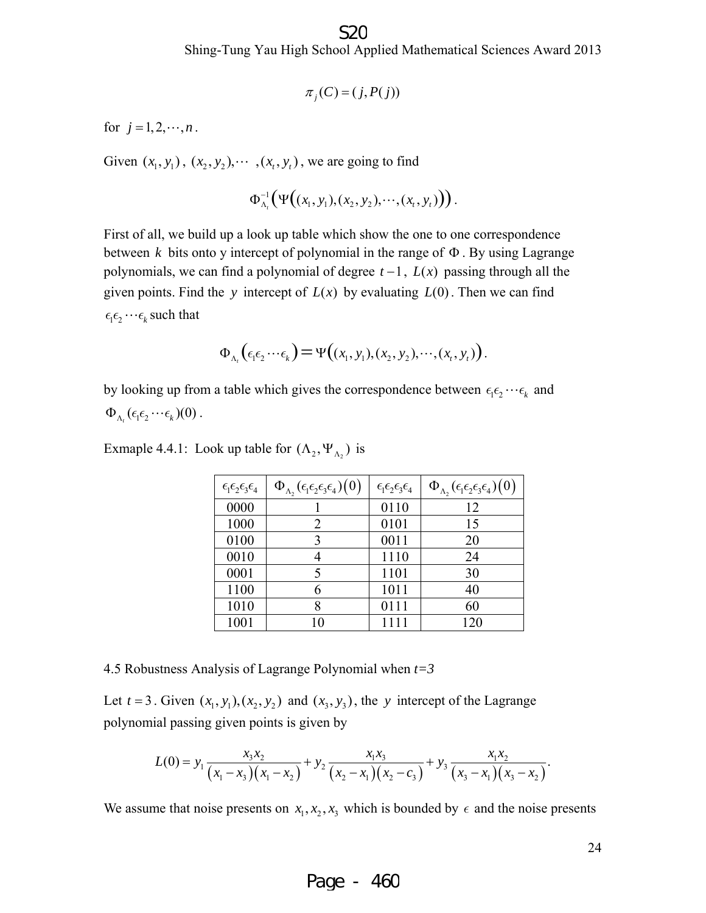$$
\pi_j(C) = (j, P(j))
$$

for  $j = 1, 2, \dots, n$ .

Given  $(x_1, y_1)$ ,  $(x_2, y_2)$ ,  $\cdots$ ,  $(x_t, y_t)$ , we are going to find

$$
\Phi_{\Lambda_t}^{-1}\big(\Psi\big((x_1,y_1),(x_2,y_2),\cdots,(x_t,y_t)\big)\big).
$$

First of all, we build up a look up table which show the one to one correspondence between  $k$  bits onto y intercept of polynomial in the range of  $\Phi$ . By using Lagrange polynomials, we can find a polynomial of degree  $t-1$ ,  $L(x)$  passing through all the given points. Find the *y* intercept of  $L(x)$  by evaluating  $L(0)$ . Then we can find  $\epsilon_1 \epsilon_2 \cdots \epsilon_k$  such that

$$
\Phi_{\Lambda_t}(\epsilon_1\epsilon_2\cdots\epsilon_k)=\Psi((x_1,y_1),(x_2,y_2),\cdots,(x_t,y_t)).
$$

by looking up from a table which gives the correspondence between  $\epsilon_1 \epsilon_2 \cdots \epsilon_k$  and  $\Phi_{\Lambda_{t}}(\epsilon_{1}\epsilon_{2}\cdots\epsilon_{k})(0)$ .

Exmaple 4.4.1: Look up table for  $(\Lambda_2, \Psi_{\Lambda_2})$  is

| $\epsilon_1\epsilon_2\epsilon_3\epsilon_4$ | $\Phi_{\Lambda_2}(\epsilon_1\epsilon_2\epsilon_3\epsilon_4)(0)$ | $\epsilon_1 \epsilon_2 \epsilon_3 \epsilon_4$ | $\Phi_{\Lambda_2}(\epsilon_1\epsilon_2\epsilon_3\epsilon_4)(0)$ |
|--------------------------------------------|-----------------------------------------------------------------|-----------------------------------------------|-----------------------------------------------------------------|
| 0000                                       |                                                                 | 0110                                          | 12                                                              |
| 1000                                       | 2                                                               | 0101                                          | 15                                                              |
| 0100                                       | 3                                                               | 0011                                          | 20                                                              |
| 0010                                       |                                                                 | 1110                                          | 24                                                              |
| 0001                                       |                                                                 | 1101                                          | 30                                                              |
| 1100                                       |                                                                 | 1011                                          | 40                                                              |
| 1010                                       |                                                                 | 0111                                          | 60                                                              |
| 1001                                       |                                                                 | 1111                                          | 120                                                             |

4.5 Robustness Analysis of Lagrange Polynomial when *t=3* 

Let  $t = 3$ . Given  $(x_1, y_1), (x_2, y_2)$  and  $(x_3, y_3)$ , the *y* intercept of the Lagrange polynomial passing given points is given by

$$
L(0) = y_1 \frac{x_3 x_2}{(x_1 - x_3)(x_1 - x_2)} + y_2 \frac{x_1 x_3}{(x_2 - x_1)(x_2 - c_3)} + y_3 \frac{x_1 x_2}{(x_3 - x_1)(x_3 - x_2)}.
$$

We assume that noise presents on  $x_1, x_2, x_3$  which is bounded by  $\epsilon$  and the noise presents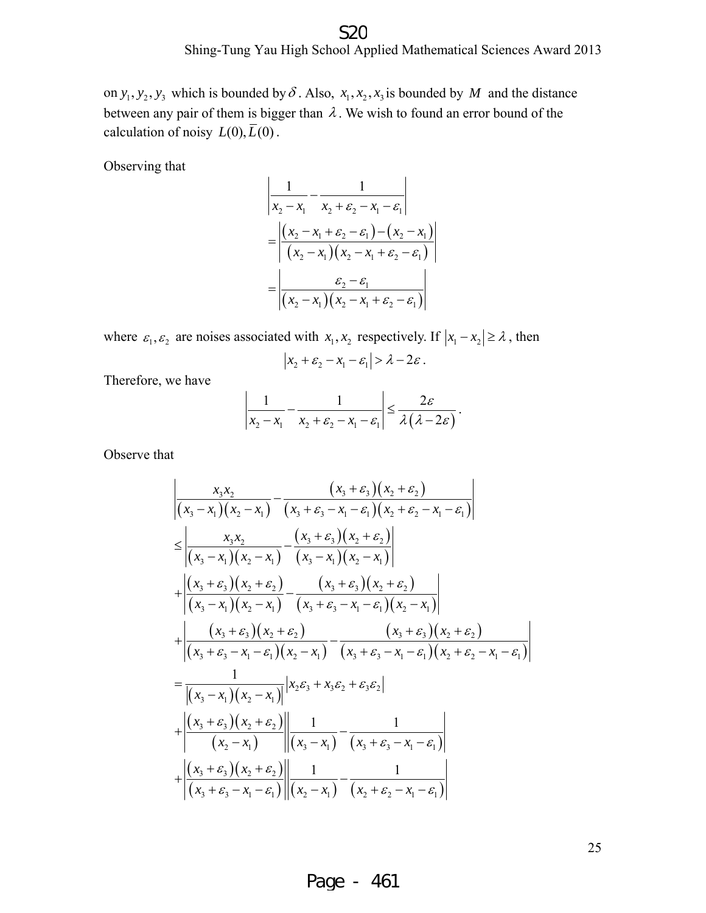Shing-Tung Yau High School Applied Mathematical Sciences Award 2013 S<sub>2</sub>C

on  $y_1, y_2, y_3$  which is bounded by  $\delta$ . Also,  $x_1, x_2, x_3$  is bounded by *M* and the distance between any pair of them is bigger than  $\lambda$ . We wish to found an error bound of the calculation of noisy  $L(0), \overline{L}(0)$ .

Observing that

$$
\frac{1}{x_2 - x_1} - \frac{1}{x_2 + \varepsilon_2 - x_1 - \varepsilon_1}
$$
\n
$$
= \frac{(x_2 - x_1 + \varepsilon_2 - \varepsilon_1) - (x_2 - x_1)}{(x_2 - x_1)(x_2 - x_1 + \varepsilon_2 - \varepsilon_1)}
$$
\n
$$
= \frac{\varepsilon_2 - \varepsilon_1}{(x_2 - x_1)(x_2 - x_1 + \varepsilon_2 - \varepsilon_1)}
$$

where  $\varepsilon_1, \varepsilon_2$  are noises associated with  $x_1, x_2$  respectively. If  $|x_1 - x_2| \ge \lambda$ , then  $|x_2 + \varepsilon_2 - x_1 - \varepsilon_1| > \lambda - 2\varepsilon$ .

Therefore, we have

$$
\left|\frac{1}{x_2-x_1}-\frac{1}{x_2+\varepsilon_2-x_1-\varepsilon_1}\right|\leq \frac{2\varepsilon}{\lambda(\lambda-2\varepsilon)}.
$$

Observe that

$$
\frac{x_3x_2}{\left| (x_3 - x_1)(x_2 - x_1) - (x_3 + \varepsilon_3)(x_2 + \varepsilon_2) \right|}
$$
\n
$$
\leq \frac{x_3x_2}{\left| (x_3 - x_1)(x_2 - x_1) - (x_3 + \varepsilon_3 - x_1 - \varepsilon_1)(x_2 + \varepsilon_2 - x_1 - \varepsilon_1) \right|}
$$
\n
$$
\leq \frac{x_3x_2}{\left| (x_3 - x_1)(x_2 - x_1) - (x_3 - x_1)(x_2 - x_1) \right|}
$$
\n
$$
+ \frac{\left| (x_3 + \varepsilon_3)(x_2 + \varepsilon_2) - (x_3 + \varepsilon_3)(x_2 + \varepsilon_2) \right|}{\left| (x_3 - x_1)(x_2 - x_1) - (x_3 + \varepsilon_3 - x_1 - \varepsilon_1)(x_2 - x_1) \right|}
$$
\n
$$
+ \frac{\left| (x_3 + \varepsilon_3)(x_2 + \varepsilon_2) - (x_3 + \varepsilon_3 - x_1 - \varepsilon_1)(x_2 - x_1) \right|}{\left| (x_3 + \varepsilon_3 - x_1 - \varepsilon_1)(x_2 - x_1) - (x_3 + \varepsilon_3 - x_1 - \varepsilon_1)(x_2 + \varepsilon_2 - x_1 - \varepsilon_1) \right|}
$$
\n
$$
= \frac{1}{\left| (x_3 - x_1)(x_2 - x_1) \right|} \left| x_2\varepsilon_3 + x_3\varepsilon_2 + \varepsilon_3\varepsilon_2 \right|
$$
\n
$$
+ \left| \frac{\left( x_3 + \varepsilon_3 \right) \left( x_2 + \varepsilon_2 \right)}{\left( x_2 - x_1 \right)} \right| \left| \frac{1}{\left( x_3 - x_1 \right)} - \frac{1}{\left( x_3 + \varepsilon_3 - x_1 - \varepsilon_1 \right)} \right|
$$
\n
$$
+ \left| \frac{\left( x_3 + \varepsilon_3 \right) \left( x_2 + \varepsilon_2 \right)}{\left( x_3 + \varepsilon_3 - x_1 - \varepsilon_1 \right)} \
$$

25

#### Page - 461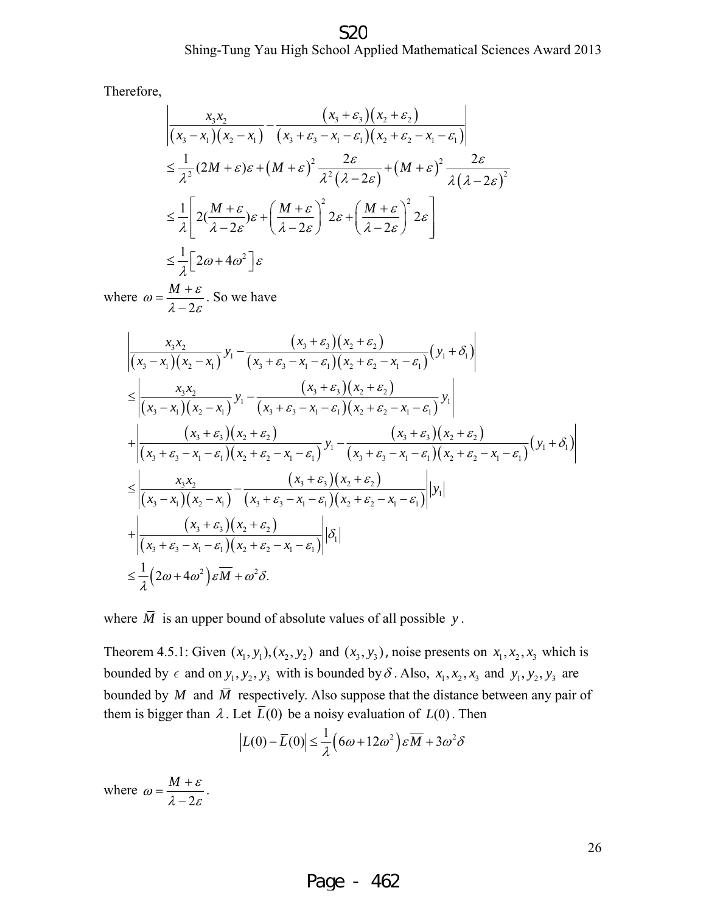#### Shing-Tung Yau High School Applied Mathematical Sciences Award 2013 S<sub>2</sub>C

Therefore,

$$
\begin{aligned}\n&\left|\frac{x_3x_2}{(x_3-x_1)(x_2-x_1)}-\frac{(x_3+\varepsilon_3)(x_2+\varepsilon_2)}{(x_3+\varepsilon_3-x_1-\varepsilon_1)(x_2+\varepsilon_2-x_1-\varepsilon_1)}\right| \\
&\leq \frac{1}{\lambda^2}(2M+\varepsilon)\varepsilon + \left(M+\varepsilon\right)^2 \frac{2\varepsilon}{\lambda^2(\lambda-2\varepsilon)}+\left(M+\varepsilon\right)^2 \frac{2\varepsilon}{\lambda(\lambda-2\varepsilon)^2} \\
&\leq \frac{1}{\lambda}\left[2\left(\frac{M+\varepsilon}{\lambda-2\varepsilon}\right)\varepsilon + \left(\frac{M+\varepsilon}{\lambda-2\varepsilon}\right)^2 2\varepsilon + \left(\frac{M+\varepsilon}{\lambda-2\varepsilon}\right)^2 2\varepsilon\right] \\
&\leq \frac{1}{\lambda}\left[2\omega+4\omega^2\right]\varepsilon\n\end{aligned}
$$

where 2  $M + \varepsilon$ ε  $\omega = \frac{M + \varepsilon}{\lambda - 2\varepsilon}$ . So we have

$$
\frac{x_3x_2}{(x_3 - x_1)(x_2 - x_1)} y_1 - \frac{(x_3 + \varepsilon_3)(x_2 + \varepsilon_2)}{(x_3 + \varepsilon_3 - x_1 - \varepsilon_1)(x_2 + \varepsilon_2 - x_1 - \varepsilon_1)} (y_1 + \delta_1)
$$
\n
$$
\leq \frac{x_3x_2}{(x_3 - x_1)(x_2 - x_1)} y_1 - \frac{(x_3 + \varepsilon_3)(x_2 + \varepsilon_2)}{(x_3 + \varepsilon_3 - x_1 - \varepsilon_1)(x_2 + \varepsilon_2 - x_1 - \varepsilon_1)} y_1
$$
\n
$$
+ \frac{(x_3 + \varepsilon_3)(x_2 + \varepsilon_2)}{(x_3 + \varepsilon_3 - x_1 - \varepsilon_1)(x_2 + \varepsilon_2 - x_1 - \varepsilon_1)} y_1 - \frac{(x_3 + \varepsilon_3)(x_2 + \varepsilon_2)}{(x_3 + \varepsilon_3 - x_1 - \varepsilon_1)(x_2 + \varepsilon_2 - x_1 - \varepsilon_1)} (y_1 + \delta_1)
$$
\n
$$
\leq \frac{x_3x_2}{(x_3 - x_1)(x_2 - x_1)} - \frac{(x_3 + \varepsilon_3)(x_2 + \varepsilon_2)}{(x_3 + \varepsilon_3 - x_1 - \varepsilon_1)(x_2 + \varepsilon_2 - x_1 - \varepsilon_1)} |y_1|
$$
\n
$$
+ \frac{(x_3 + \varepsilon_3)(x_2 + \varepsilon_2)}{(x_3 + \varepsilon_3 - x_1 - \varepsilon_1)(x_2 + \varepsilon_2 - x_1 - \varepsilon_1)} |b_1|
$$
\n
$$
\leq \frac{1}{\lambda} (2\omega + 4\omega^2) \varepsilon M + \omega^2 \delta.
$$

where  $\overline{M}$  is an upper bound of absolute values of all possible *y*.

Theorem 4.5.1: Given  $(x_1, y_1), (x_2, y_2)$  and  $(x_3, y_3)$ , noise presents on  $x_1, x_2, x_3$  which is bounded by  $\epsilon$  and on  $y_1, y_2, y_3$  with is bounded by  $\delta$ . Also,  $x_1, x_2, x_3$  and  $y_1, y_2, y_3$  are bounded by *M* and  $\overline{M}$  respectively. Also suppose that the distance between any pair of them is bigger than  $\lambda$ . Let  $\overline{L}(0)$  be a noisy evaluation of  $L(0)$ . Then

$$
\left| L(0) - \overline{L}(0) \right| \le \frac{1}{\lambda} \left( 6\omega + 12\omega^2 \right) \varepsilon \overline{M} + 3\omega^2 \delta
$$

where 2  $M + \varepsilon$ ε  $\omega = \frac{M+\varepsilon}{\lambda-2\varepsilon}.$ 

26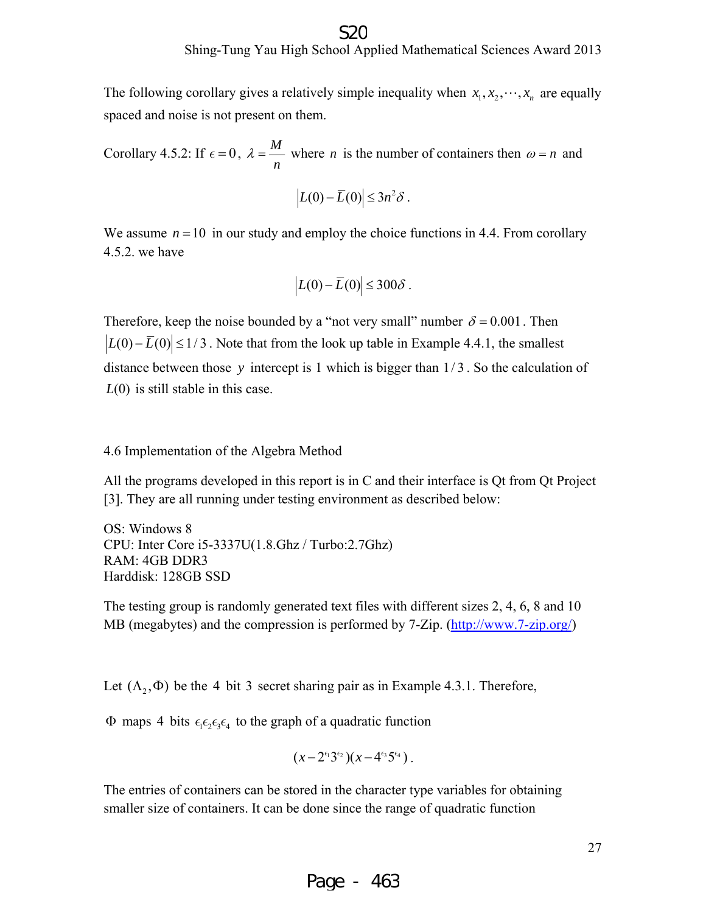The following corollary gives a relatively simple inequality when  $x_1, x_2, \dots, x_n$  are equally spaced and noise is not present on them.

Corollary 4.5.2: If  $\epsilon = 0$ ,  $\lambda = \frac{M}{A}$ *n*  $\lambda = \frac{m}{n}$  where *n* is the number of containers then  $\omega = n$  and

$$
|L(0)-\overline{L}(0)|\leq 3n^2\delta.
$$

We assume  $n = 10$  in our study and employ the choice functions in 4.4. From corollary 4.5.2. we have

$$
\left| L(0) - \overline{L}(0) \right| \leq 300 \delta.
$$

Therefore, keep the noise bounded by a "not very small" number  $\delta = 0.001$ . Then  $|L(0) - \overline{L}(0)| \le 1/3$ . Note that from the look up table in Example 4.4.1, the smallest distance between those *y* intercept is 1 which is bigger than 1/3 . So the calculation of *L*(0) is still stable in this case.

#### 4.6 Implementation of the Algebra Method

All the programs developed in this report is in C and their interface is Qt from Qt Project [3]. They are all running under testing environment as described below:

OS: Windows 8 CPU: Inter Core i5-3337U(1.8.Ghz / Turbo:2.7Ghz) RAM: 4GB DDR3 Harddisk: 128GB SSD

The testing group is randomly generated text files with different sizes 2, 4, 6, 8 and 10 MB (megabytes) and the compression is performed by 7-Zip. (http://www.7-zip.org/)

Let  $(\Lambda_2, \Phi)$  be the 4 bit 3 secret sharing pair as in Example 4.3.1. Therefore,

Φ maps 4 bits  $\epsilon_1 \epsilon_2 \epsilon_3 \epsilon_4$  to the graph of a quadratic function

$$
(x-2^{\epsilon_1}3^{\epsilon_2})(x-4^{\epsilon_3}5^{\epsilon_4}).
$$

The entries of containers can be stored in the character type variables for obtaining smaller size of containers. It can be done since the range of quadratic function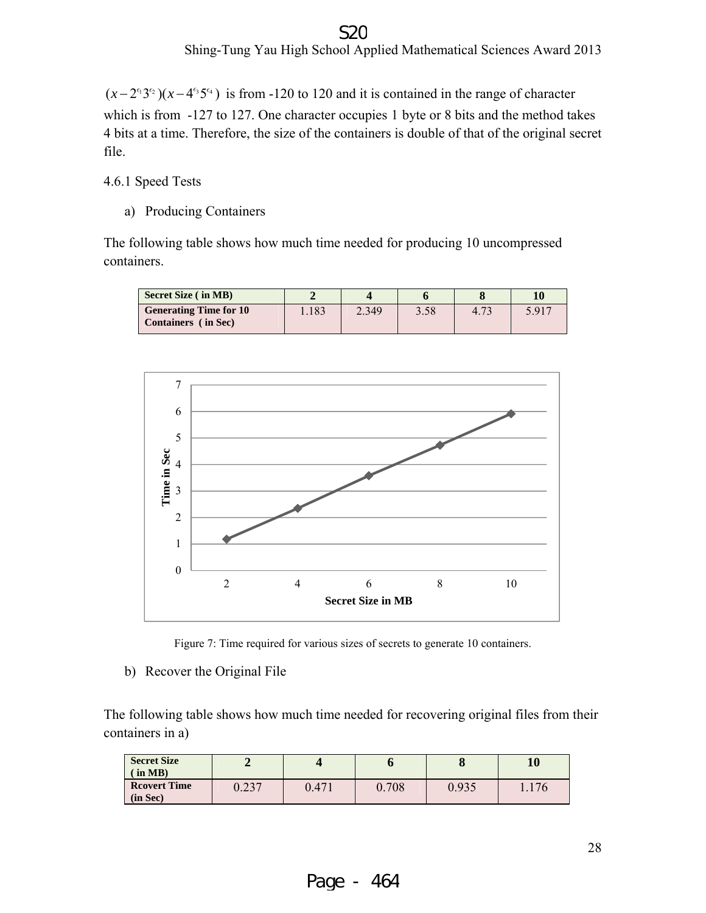#### S<sub>2</sub>C

Shing-Tung Yau High School Applied Mathematical Sciences Award 2013

 $(x-2^{6}3^{6}) (x-4^{6}5^{64})$  is from -120 to 120 and it is contained in the range of character which is from -127 to 127. One character occupies 1 byte or 8 bits and the method takes 4 bits at a time. Therefore, the size of the containers is double of that of the original secret file.

4.6.1 Speed Tests

a) Producing Containers

The following table shows how much time needed for producing 10 uncompressed containers.







b) Recover the Original File

The following table shows how much time needed for recovering original files from their containers in a)

| <b>Secret Size</b><br>in MB)    |                 |       |       | $\mathbf u$ | 10    |
|---------------------------------|-----------------|-------|-------|-------------|-------|
| <b>Reovert Time</b><br>(in Sec) | 0.227<br>0.ZJ 1 | 0.471 | 0.708 | 0.935       | 1.176 |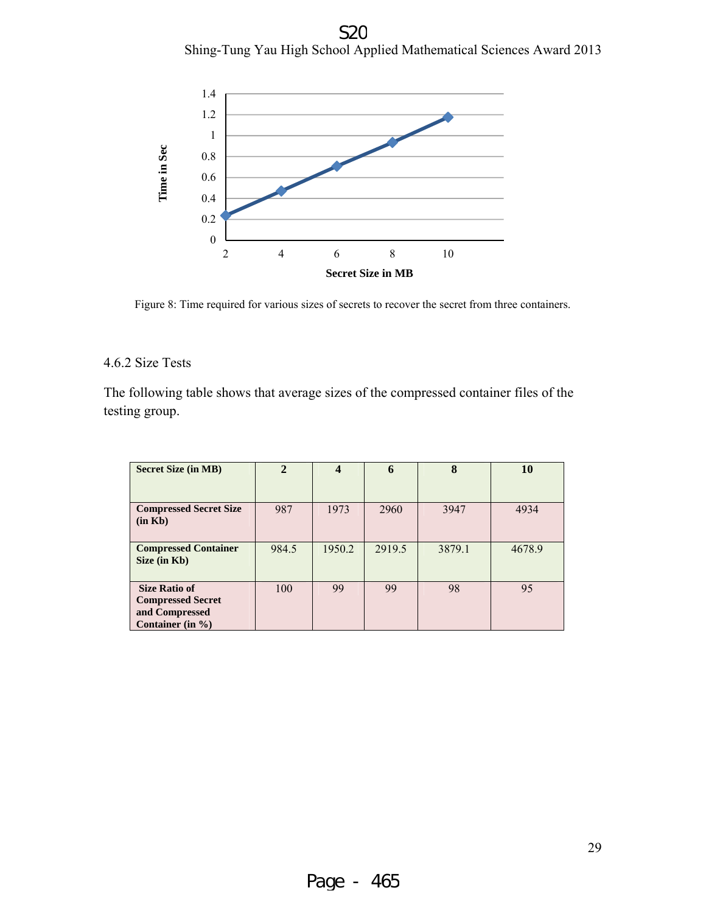Shing-Tung Yau High School Applied Mathematical Sciences Award 2013 S<sub>2</sub>C



Figure 8: Time required for various sizes of secrets to recover the secret from three containers.

#### 4.6.2 Size Tests

The following table shows that average sizes of the compressed container files of the testing group.

| <b>Secret Size (in MB)</b>                                                                 | $\mathcal{P}$ | $\boldsymbol{4}$ | 6      | 8      | 10     |
|--------------------------------------------------------------------------------------------|---------------|------------------|--------|--------|--------|
|                                                                                            |               |                  |        |        |        |
| <b>Compressed Secret Size</b><br>(in Kb)                                                   | 987           | 1973             | 2960   | 3947   | 4934   |
| <b>Compressed Container</b><br>Size (in Kb)                                                | 984.5         | 1950.2           | 2919.5 | 3879.1 | 4678.9 |
| <b>Size Ratio of</b><br><b>Compressed Secret</b><br>and Compressed<br>Container (in $\%$ ) | 100           | 99               | 99     | 98     | 95     |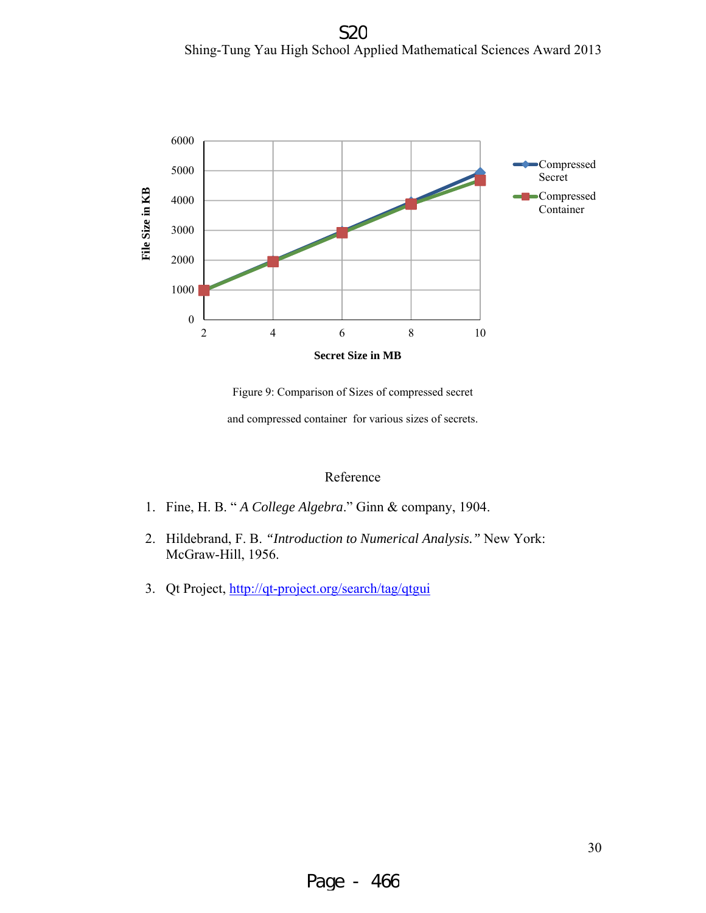Shing-Tung Yau High School Applied Mathematical Sciences Award 2013 S<sub>2</sub>C



Figure 9: Comparison of Sizes of compressed secret

and compressed container for various sizes of secrets.

#### Reference

- 1. Fine, H. B. " *A College Algebra*." Ginn & company, 1904.
- 2. Hildebrand, F. B. *"Introduction to Numerical Analysis."* New York: McGraw-Hill, 1956.
- 3. Qt Project, http://qt-project.org/search/tag/qtgui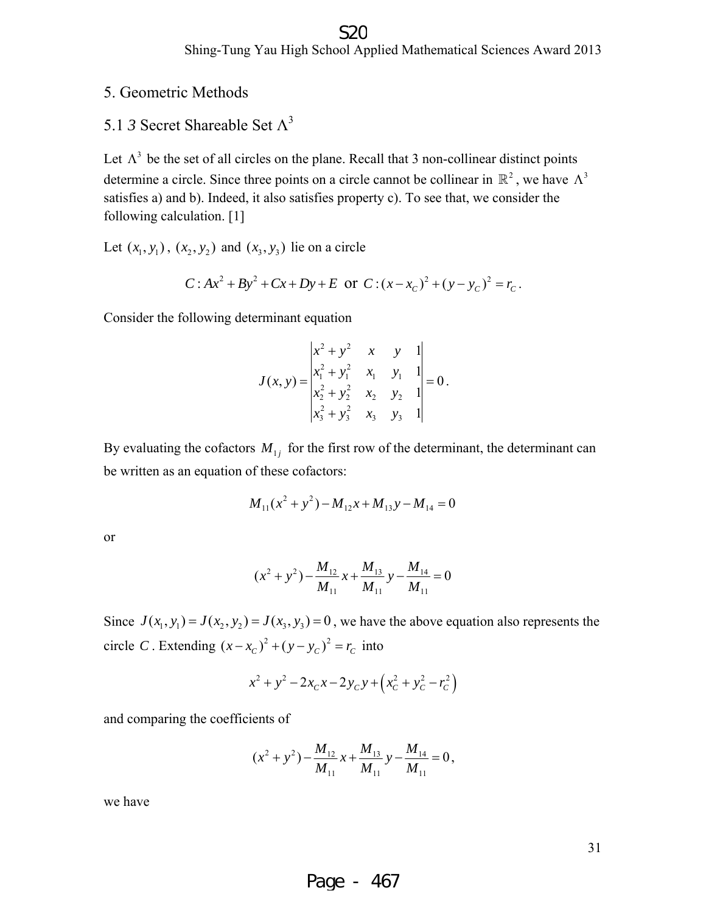#### S20

Shing-Tung Yau High School Applied Mathematical Sciences Award 2013

#### 5. Geometric Methods

5.1 *3* Secret Shareable Set  $\Lambda^3$ 

Let  $\Lambda^3$  be the set of all circles on the plane. Recall that 3 non-collinear distinct points determine a circle. Since three points on a circle cannot be collinear in  $\mathbb{R}^2$ , we have  $\Lambda^3$ satisfies a) and b). Indeed, it also satisfies property c). To see that, we consider the following calculation. [1]

Let  $(x_1, y_1)$ ,  $(x_2, y_2)$  and  $(x_3, y_3)$  lie on a circle

$$
C: Ax2 + By2 + Cx + Dy + E \text{ or } C: (x - xC)2 + (y - yC)2 = rC.
$$

Consider the following determinant equation

$$
J(x, y) = \begin{vmatrix} x^2 + y^2 & x & y & 1 \\ x_1^2 + y_1^2 & x_1 & y_1 & 1 \\ x_2^2 + y_2^2 & x_2 & y_2 & 1 \\ x_3^2 + y_3^2 & x_3 & y_3 & 1 \end{vmatrix} = 0.
$$

By evaluating the cofactors  $M_{1i}$  for the first row of the determinant, the determinant can be written as an equation of these cofactors:

$$
M_{11}(x^2 + y^2) - M_{12}x + M_{13}y - M_{14} = 0
$$

or

$$
(x^{2} + y^{2}) - \frac{M_{12}}{M_{11}}x + \frac{M_{13}}{M_{11}}y - \frac{M_{14}}{M_{11}} = 0
$$

Since  $J(x_1, y_1) = J(x_2, y_2) = J(x_3, y_3) = 0$ , we have the above equation also represents the circle *C*. Extending  $(x - x_c)^2 + (y - y_c)^2 = r_c$  into

$$
x^{2} + y^{2} - 2x_{C}x - 2y_{C}y + \left(x_{C}^{2} + y_{C}^{2} - r_{C}^{2}\right)
$$

and comparing the coefficients of

$$
(x2 + y2) - \frac{M_{12}}{M_{11}}x + \frac{M_{13}}{M_{11}}y - \frac{M_{14}}{M_{11}} = 0,
$$

we have

31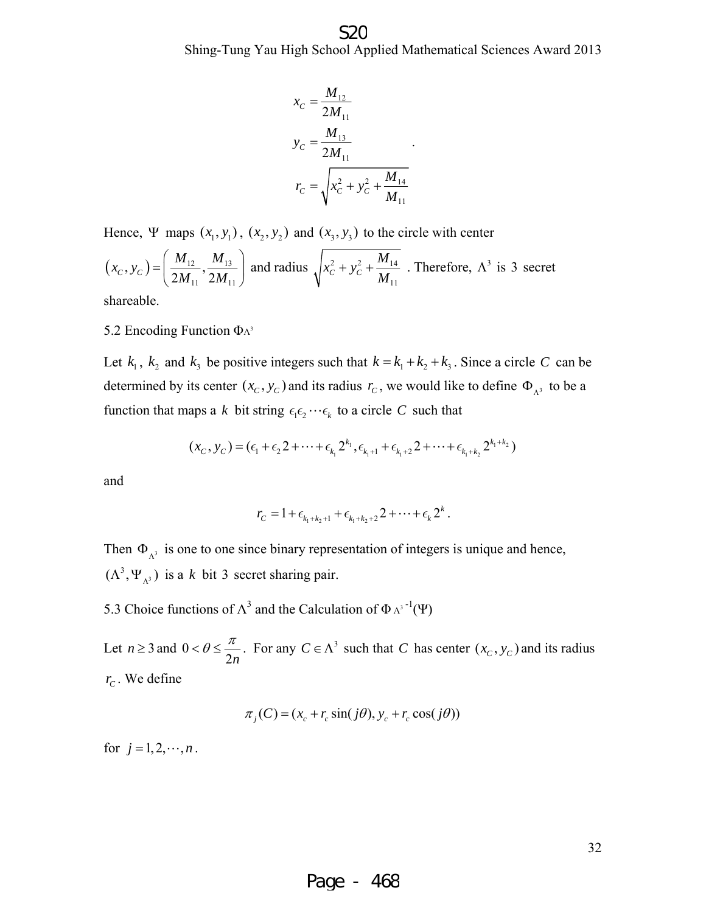#### Shing-Tung Yau High School Applied Mathematical Sciences Award 2013 S<sub>2</sub>C

.

$$
x_C = \frac{M_{12}}{2M_{11}}
$$
  

$$
y_C = \frac{M_{13}}{2M_{11}}
$$
  

$$
r_C = \sqrt{x_C^2 + y_C^2 + \frac{M_{14}}{M_{11}}}
$$

Hence, Ψ maps  $(x_1, y_1)$ ,  $(x_2, y_2)$  and  $(x_3, y_3)$  to the circle with center

$$
(x_C, y_C) = \left(\frac{M_{12}}{2M_{11}}, \frac{M_{13}}{2M_{11}}\right)
$$
 and radius  $\sqrt{x_C^2 + y_C^2 + \frac{M_{14}}{M_{11}}}$ . Therefore,  $\Lambda^3$  is 3 secret  
shareable

shareable.

5.2 Encoding Function  $ΦΛ<sup>3</sup>$ 

Let  $k_1$ ,  $k_2$  and  $k_3$  be positive integers such that  $k = k_1 + k_2 + k_3$ . Since a circle *C* can be determined by its center  $(x_c, y_c)$  and its radius  $r_c$ , we would like to define  $\Phi_{\Lambda^3}$  to be a function that maps a *k* bit string  $\epsilon_1 \epsilon_2 \cdots \epsilon_k$  to a circle *C* such that

$$
(x_C, y_C) = (\epsilon_1 + \epsilon_2 2 + \cdots + \epsilon_{k_1} 2^{k_1}, \epsilon_{k_1+1} + \epsilon_{k_1+2} 2 + \cdots + \epsilon_{k_1+k_2} 2^{k_1+k_2})
$$

and

$$
r_{C} = 1 + \epsilon_{k_1 + k_2 + 1} + \epsilon_{k_1 + k_2 + 2} + \cdots + \epsilon_k 2^k.
$$

Then  $\Phi_{\lambda^3}$  is one to one since binary representation of integers is unique and hence,  $(\Lambda^3, \Psi_{\Lambda^3})$  is a *k* bit 3 secret sharing pair.

5.3 Choice functions of  $\Lambda^3$  and the Calculation of  $\Phi \Lambda^{3-1}(\Psi)$ 

Let  $n \geq 3$  and 0  $26 < \frac{\pi}{2n}$ . For any  $C \in \Lambda^3$  such that *C* has center  $(x_c, y_c)$  and its radius  $r_c$ . We define

$$
\pi_j(C) = (x_c + r_c \sin(j\theta), y_c + r_c \cos(j\theta))
$$

for  $j = 1, 2, \dots, n$ .

32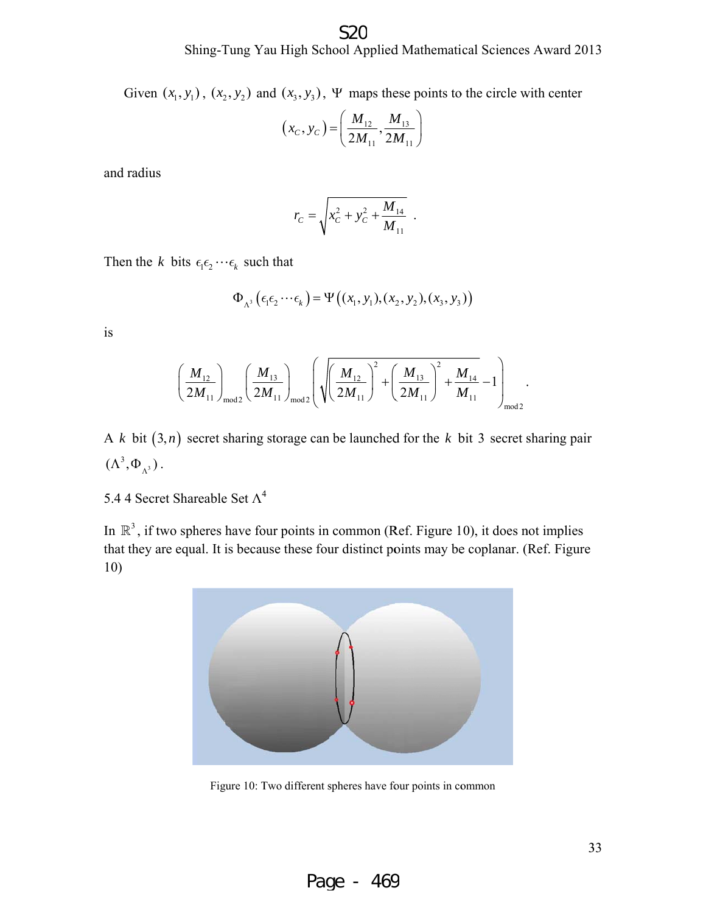Given  $(x_1, y_1)$ ,  $(x_2, y_2)$  and  $(x_3, y_3)$ ,  $\Psi$  maps these points to the circle with center

$$
(x_C, y_C) = \left(\frac{M_{12}}{2M_{11}}, \frac{M_{13}}{2M_{11}}\right)
$$

and r radius

$$
r_C = \sqrt{x_C^2 + y_C^2 + \frac{M_{14}}{M_{11}}}.
$$

Then the *k* bits  $\epsilon_1 \epsilon_2 \cdots \epsilon_k$  such that

$$
\Phi_{\Lambda^3}\left(\epsilon_1\epsilon_2\cdots\epsilon_k\right)=\Psi\left((x_1,y_1),(x_2,y_2),(x_3,y_3)\right)
$$

is

$$
\left(\frac{M_{12}}{2M_{11}}\right)_{\text{mod }2}\left(\frac{M_{13}}{2M_{11}}\right)_{\text{mod }2}\left(\sqrt{\left(\frac{M_{12}}{2M_{11}}\right)^2+\left(\frac{M_{13}}{2M_{11}}\right)^2+\frac{M_{14}}{M_{11}}}-1\right)_{\text{mod }2}.
$$

A k bit  $(3,n)$  secret sharing storage can be launched for the k bit 3 secret sharing pair  $(\Lambda^3, \Phi_{\Lambda^3})$ .

5.4 4 Secret Shareable Set  $\Lambda^4$ 

In  $\mathbb{R}^3$ , if two spheres have four points in common (Ref. Figure 10), it does not implies that they are equal. It is because these four distinct points may be coplanar. (Ref. Figure 10)



Figure 10: Two different spheres have four points in common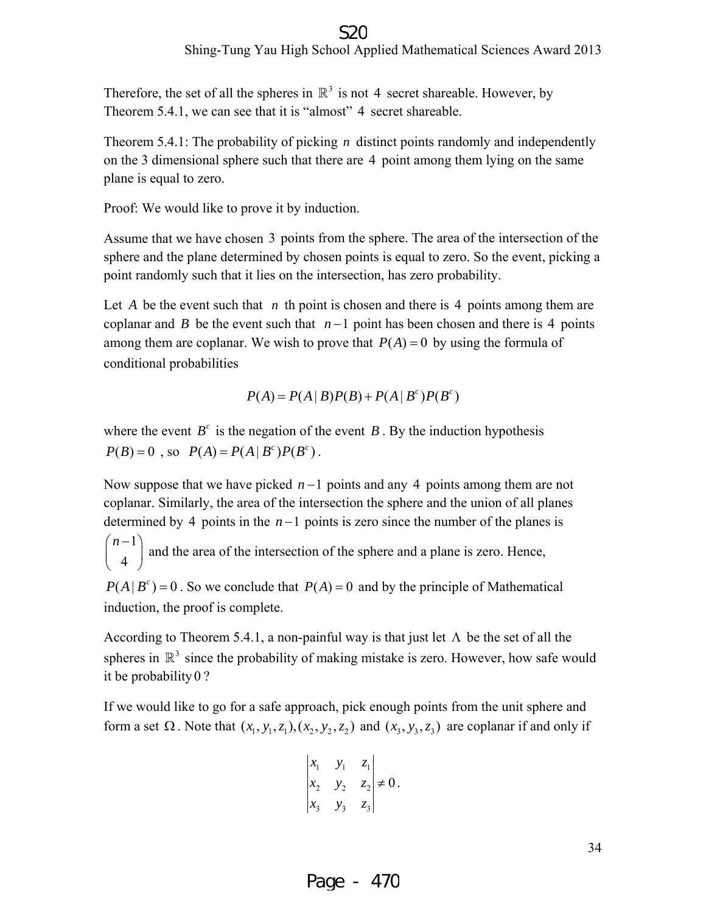Therefore, the set of all the spheres in  $\mathbb{R}^3$  is not 4 secret shareable. However, by Theorem 5.4.1, we can see that it is "almost" 4 secret shareable.

Theorem 5.4.1: The probability of picking *n* distinct points randomly and independently on the 3 dimensional sphere such that there are 4 point among them lying on the same plane is equal to zero.

Proof: We would like to prove it by induction.

Assume that we have chosen 3 points from the sphere. The area of the intersection of the sphere and the plane determined by chosen points is equal to zero. So the event, picking a point randomly such that it lies on the intersection, has zero probability.

Let *A* be the event such that *n* th point is chosen and there is 4 points among them are coplanar and *B* be the event such that  $n-1$  point has been chosen and there is 4 points among them are coplanar. We wish to prove that  $P(A) = 0$  by using the formula of conditional probabilities

$$
P(A) = P(A | B)P(B) + P(A | B^c)P(B^c)
$$

where the event  $B^c$  is the negation of the event *B*. By the induction hypothesis  $P(B) = 0$ , so  $P(A) = P(A | B^c)P(B^c)$ .

Now suppose that we have picked *n* −1 points and any 4 points among them are not coplanar. Similarly, the area of the intersection the sphere and the union of all planes determined by 4 points in the *n* −1 points is zero since the number of the planes is 1

 $\binom{n-1}{4}$ and the area of the intersection of the sphere and a plane is zero. Hence,

 $P(A | B<sup>c</sup>) = 0$ . So we conclude that  $P(A) = 0$  and by the principle of Mathematical induction, the proof is complete.

According to Theorem 5.4.1, a non-painful way is that just let  $\Lambda$  be the set of all the spheres in  $\mathbb{R}^3$  since the probability of making mistake is zero. However, how safe would it be probability 0 ?

If we would like to go for a safe approach, pick enough points from the unit sphere and form a set  $\Omega$ . Note that  $(x_1, y_1, z_1), (x_2, y_2, z_2)$  and  $(x_3, y_3, z_3)$  are coplanar if and only if

$$
\begin{vmatrix} x_1 & y_1 & z_1 \ x_2 & y_2 & z_2 \ x_3 & y_3 & z_3 \end{vmatrix} \neq 0.
$$

Page - 470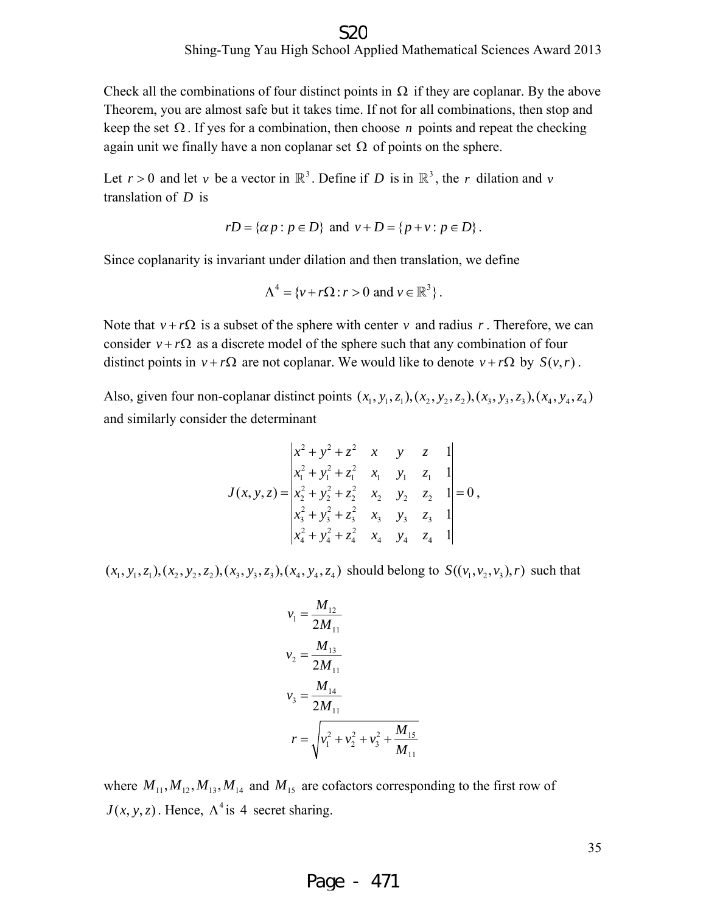#### Shing-Tung Yau High School Applied Mathematical Sciences Award 2013 S20

Check all the combinations of four distinct points in  $\Omega$  if they are coplanar. By the above Theorem, you are almost safe but it takes time. If not for all combinations, then stop and keep the set  $\Omega$ . If yes for a combination, then choose *n* points and repeat the checking again unit we finally have a non coplanar set  $\Omega$  of points on the sphere.

Let  $r > 0$  and let *v* be a vector in  $\mathbb{R}^3$ . Define if *D* is in  $\mathbb{R}^3$ , the *r* dilation and *v* translation of *D* is

$$
rD = \{ \alpha p : p \in D \}
$$
 and  $v + D = \{ p + v : p \in D \}$ .

Since coplanarity is invariant under dilation and then translation, we define

$$
\Lambda^4 = \{v + r\Omega : r > 0 \text{ and } v \in \mathbb{R}^3\}.
$$

Note that  $v + r\Omega$  is a subset of the sphere with center *v* and radius *r*. Therefore, we can consider  $v + r\Omega$  as a discrete model of the sphere such that any combination of four distinct points in  $v + r\Omega$  are not coplanar. We would like to denote  $v + r\Omega$  by  $S(v, r)$ .

Also, given four non-coplanar distinct points  $(x_1, y_1, z_1), (x_2, y_2, z_2), (x_3, y_3, z_3), (x_4, y_4, z_4)$ and similarly consider the determinant

$$
J(x, y, z) = \begin{vmatrix} x^2 + y^2 + z^2 & x & y & z & 1\\ x_1^2 + y_1^2 + z_1^2 & x_1 & y_1 & z_1 & 1\\ x_2^2 + y_2^2 + z_2^2 & x_2 & y_2 & z_2 & 1\\ x_3^2 + y_3^2 + z_3^2 & x_3 & y_3 & z_3 & 1\\ x_4^2 + y_4^2 + z_4^2 & x_4 & y_4 & z_4 & 1 \end{vmatrix} = 0,
$$

 $(x_1, y_1, z_1), (x_2, y_2, z_2), (x_3, y_3, z_3), (x_4, y_4, z_4)$  should belong to  $S((v_1, v_2, v_3), r)$  such that

$$
v_1 = \frac{M_{12}}{2M_{11}}
$$
  
\n
$$
v_2 = \frac{M_{13}}{2M_{11}}
$$
  
\n
$$
v_3 = \frac{M_{14}}{2M_{11}}
$$
  
\n
$$
r = \sqrt{v_1^2 + v_2^2 + v_3^2 + \frac{M_{15}}{M_{11}}}
$$

where  $M_{11}$ ,  $M_{12}$ ,  $M_{13}$ ,  $M_{14}$  and  $M_{15}$  are cofactors corresponding to the first row of  $J(x, y, z)$ . Hence,  $\Lambda^4$  is 4 secret sharing.

35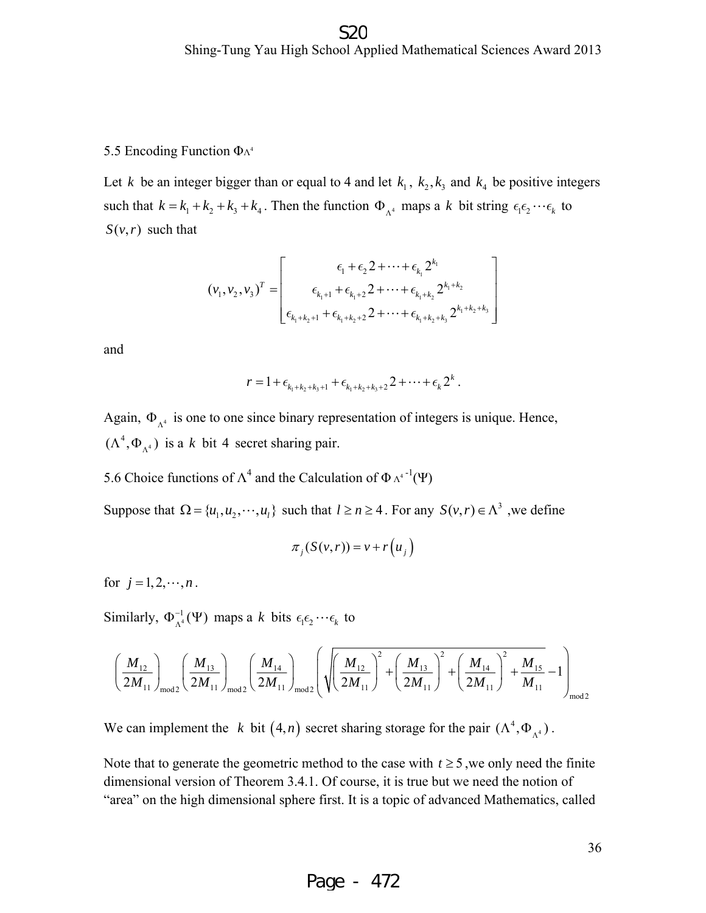#### 5.5 Encoding Function  $\Phi_{\Lambda^4}$

Let *k* be an integer bigger than or equal to 4 and let  $k_1$ ,  $k_2$ ,  $k_3$  and  $k_4$  be positive integers such that  $k = k_1 + k_2 + k_3 + k_4$ . Then the function  $\Phi_{\Lambda^4}$  maps a *k* bit string  $\epsilon_1 \epsilon_2 \cdots \epsilon_k$  to  $S(v, r)$  such that

$$
(v_1, v_2, v_3)^T = \begin{bmatrix} \epsilon_1 + \epsilon_2 2 + \cdots + \epsilon_{k_1} 2^{k_1} \\ \epsilon_{k_1+1} + \epsilon_{k_1+2} 2 + \cdots + \epsilon_{k_1+k_2} 2^{k_1+k_2} \\ \epsilon_{k_1+k_2+1} + \epsilon_{k_1+k_2+2} 2 + \cdots + \epsilon_{k_1+k_2+k_3} 2^{k_1+k_2+k_3} \end{bmatrix}
$$

and

$$
r = 1 + \epsilon_{k_1 + k_2 + k_3 + 1} + \epsilon_{k_1 + k_2 + k_3 + 2} + \cdots + \epsilon_k 2^k.
$$

Again,  $\Phi_{\lambda^4}$  is one to one since binary representation of integers is unique. Hence,  $(\Lambda^4, \Phi_{\Lambda^4})$  is a *k* bit 4 secret sharing pair.

5.6 Choice functions of  $\Lambda^4$  and the Calculation of  $\Phi \Lambda^{4-1}(\Psi)$ 

Suppose that  $\Omega = \{u_1, u_2, \dots, u_l\}$  such that  $l \geq n \geq 4$ . For any  $S(v, r) \in \Lambda^3$ , we define

$$
\pi_j(S(v,r)) = v + r(u_j)
$$

for  $j = 1, 2, \dots, n$ .

Similarly,  $\Phi_{\Lambda^4}^{-1}(\Psi)$  maps a *k* bits  $\epsilon_1 \epsilon_2 \cdots \epsilon_k$  to

$$
\left(\frac{M_{12}}{2M_{11}}\right)_{\text{mod}2}\left(\frac{M_{13}}{2M_{11}}\right)_{\text{mod}2}\left(\frac{M_{14}}{2M_{11}}\right)_{\text{mod}2}\left(\sqrt{\left(\frac{M_{12}}{2M_{11}}\right)^2+\left(\frac{M_{13}}{2M_{11}}\right)^2+\left(\frac{M_{14}}{2M_{11}}\right)^2+\frac{M_{15}}{M_{11}}-1}\right)_{\text{mod}2}
$$

We can implement the *k* bit  $(4, n)$  secret sharing storage for the pair  $(\Lambda^4, \Phi_{\Lambda^4})$ .

Note that to generate the geometric method to the case with  $t \geq 5$ , we only need the finite dimensional version of Theorem 3.4.1. Of course, it is true but we need the notion of "area" on the high dimensional sphere first. It is a topic of advanced Mathematics, called

36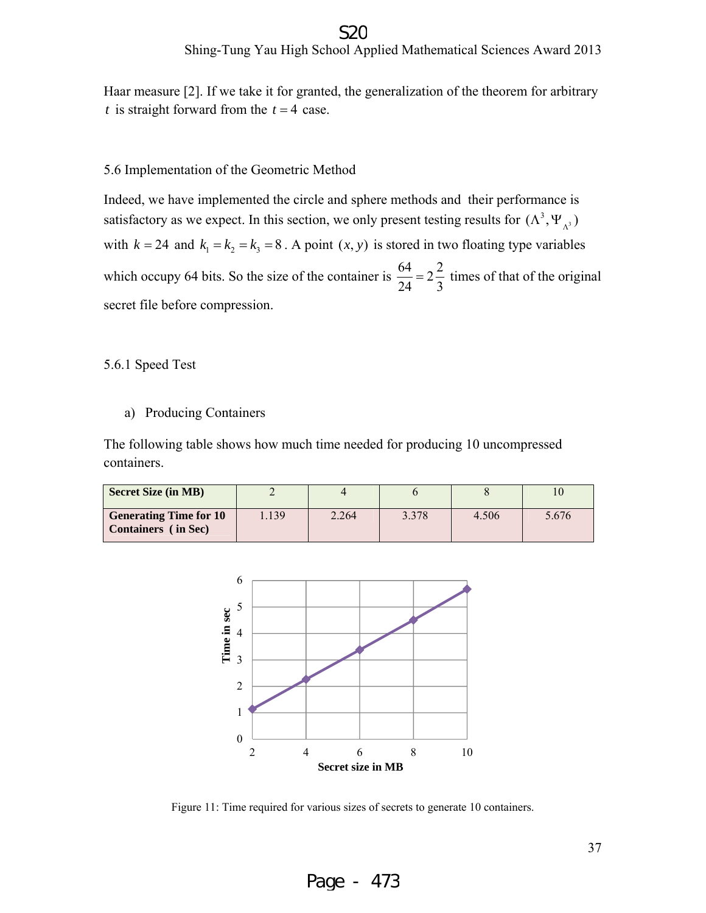#### S<sub>2C</sub>

Haar measure [2]. If we take it for granted, the generalization of the theorem for arbitrary *t* is straight forward from the  $t = 4$  case.

#### 5.6 Implementation of the Geometric Method

Indeed, we have implemented the circle and sphere methods and their performance is satisfactory as we expect. In this section, we only present testing results for  $(\Lambda^3, \Psi_{\Lambda^3})$ with  $k = 24$  and  $k_1 = k_2 = k_3 = 8$ . A point  $(x, y)$  is stored in two floating type variables which occupy 64 bits. So the size of the container is  $\frac{64}{24} = 2\frac{2}{3}$  times of that of the original secret file before compression.

5.6.1 Speed Test

a) Producing Containers

The following table shows how much time needed for producing 10 uncompressed containers.

| <b>Secret Size (in MB)</b>                                  |      |       |       |       |       |
|-------------------------------------------------------------|------|-------|-------|-------|-------|
| <b>Generating Time for 10</b><br><b>Containers</b> (in Sec) | .139 | 2.264 | 3.378 | 4.506 | 5.676 |



Figure 11: Time required for various sizes of secrets to generate 10 containers.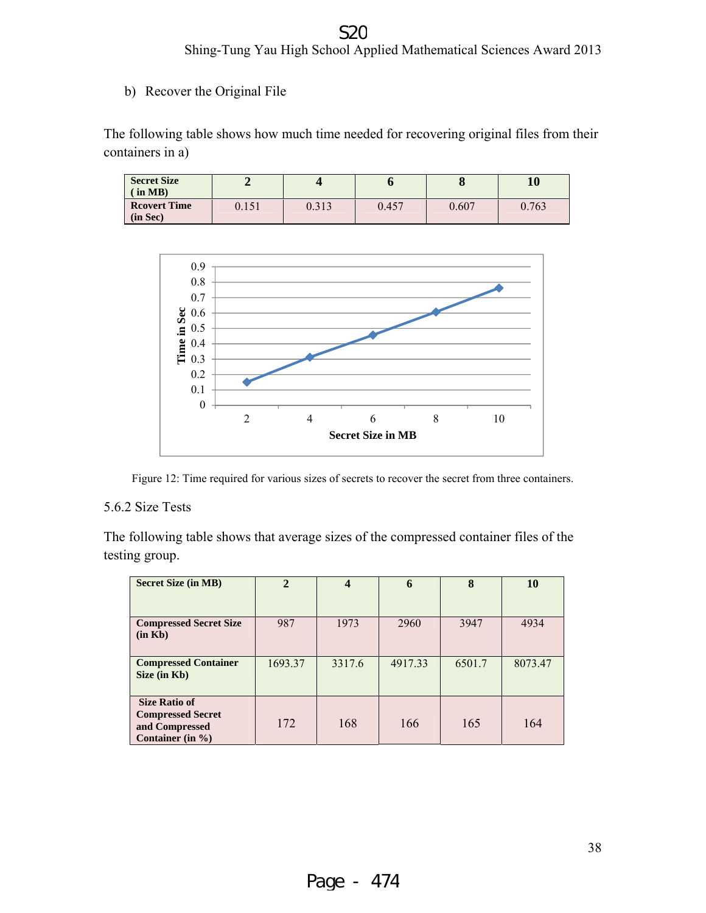#### Shing-Tung Yau High School Applied Mathematical Sciences Award 2013 S<sub>2</sub>C

b) Recover the Original File

The following table shows how much time needed for recovering original files from their containers in a)

| <b>Secret Size</b><br>$\sin MB$ |       |       |       | ω     | 10    |
|---------------------------------|-------|-------|-------|-------|-------|
| <b>Reovert Time</b><br>(in Sec) | 0.151 | 0.313 | 0.457 | 0.607 | 0.763 |



Figure 12: Time required for various sizes of secrets to recover the secret from three containers.

#### 5.6.2 Size Tests

The following table shows that average sizes of the compressed container files of the testing group.

| <b>Secret Size (in MB)</b>                                                                 | $\overline{2}$ | 4      | 6       | 8      | 10      |
|--------------------------------------------------------------------------------------------|----------------|--------|---------|--------|---------|
|                                                                                            |                |        |         |        |         |
| <b>Compressed Secret Size</b><br>(in Kb)                                                   | 987            | 1973   | 2960    | 3947   | 4934    |
| <b>Compressed Container</b><br>Size (in Kb)                                                | 1693.37        | 3317.6 | 4917.33 | 6501.7 | 8073.47 |
| <b>Size Ratio of</b><br><b>Compressed Secret</b><br>and Compressed<br>Container (in $\%$ ) | 172            | 168    | 166     | 165    | 164     |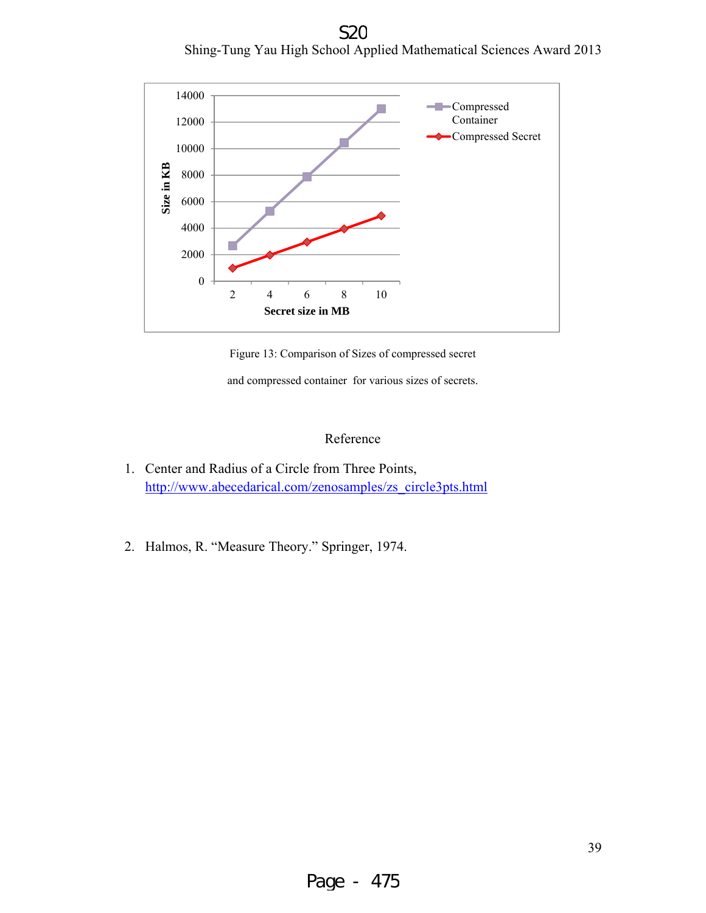Shing-Tung Yau High School Applied Mathematical Sciences Award 2013 S<sub>2</sub>C



Figure 13: Comparison of Sizes of compressed secret

and compressed container for various sizes of secrets.

#### Reference

- 1. Center and Radius of a Circle from Three Points, http://www.abecedarical.com/zenosamples/zs\_circle3pts.html
- 2. Halmos, R. "Measure Theory." Springer, 1974.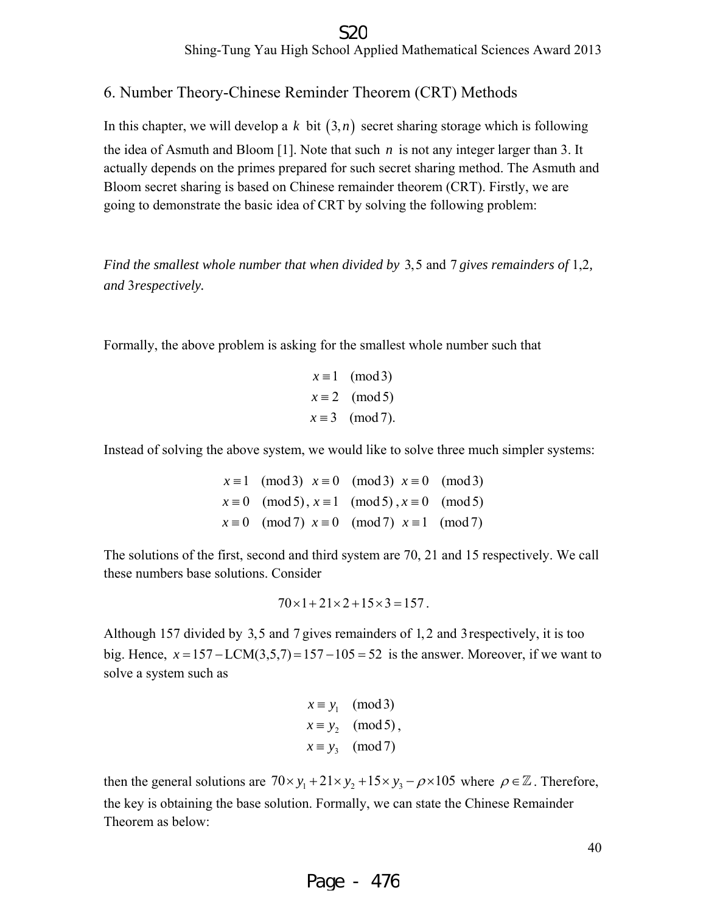6. Number Theory-Chinese Reminder Theorem (CRT) Methods

In this chapter, we will develop a  $k$  bit  $(3, n)$  secret sharing storage which is following the idea of Asmuth and Bloom [1]. Note that such *n* is not any integer larger than 3. It actually depends on the primes prepared for such secret sharing method. The Asmuth and Bloom secret sharing is based on Chinese remainder theorem (CRT). Firstly, we are going to demonstrate the basic idea of CRT by solving the following problem:

*Find the smallest whole number that when divided by* 3,5 and 7 *gives remainders of* 1,2*, and* 3*respectively.* 

Formally, the above problem is asking for the smallest whole number such that

 $x \equiv 1 \pmod{3}$  $x \equiv 2 \pmod{5}$  $x \equiv 3 \pmod{7}$ .

Instead of solving the above system, we would like to solve three much simpler systems:

 $x \equiv 1 \pmod{3}$   $x \equiv 0 \pmod{3}$   $x \equiv 0 \pmod{3}$  $x \equiv 0 \pmod{5}$ ,  $x \equiv 1 \pmod{5}$ ,  $x \equiv 0 \pmod{5}$  $x \equiv 0 \pmod{7}$   $x \equiv 0 \pmod{7}$   $x \equiv 1 \pmod{7}$ 

The solutions of the first, second and third system are 70, 21 and 15 respectively. We call these numbers base solutions. Consider

$$
70 \times 1 + 21 \times 2 + 15 \times 3 = 157.
$$

Although 157 divided by 3,5 and 7 gives remainders of 1, 2 and 3respectively, it is too big. Hence,  $x = 157 - LCM(3.5.7) = 157 - 105 = 52$  is the answer. Moreover, if we want to solve a system such as

$$
x \equiv y_1 \pmod{3}
$$
  
\n
$$
x \equiv y_2 \pmod{5},
$$
  
\n
$$
x \equiv y_3 \pmod{7}
$$

then the general solutions are  $70 \times y_1 + 21 \times y_2 + 15 \times y_3 - \rho \times 105$  where  $\rho \in \mathbb{Z}$ . Therefore, the key is obtaining the base solution. Formally, we can state the Chinese Remainder Theorem as below:

40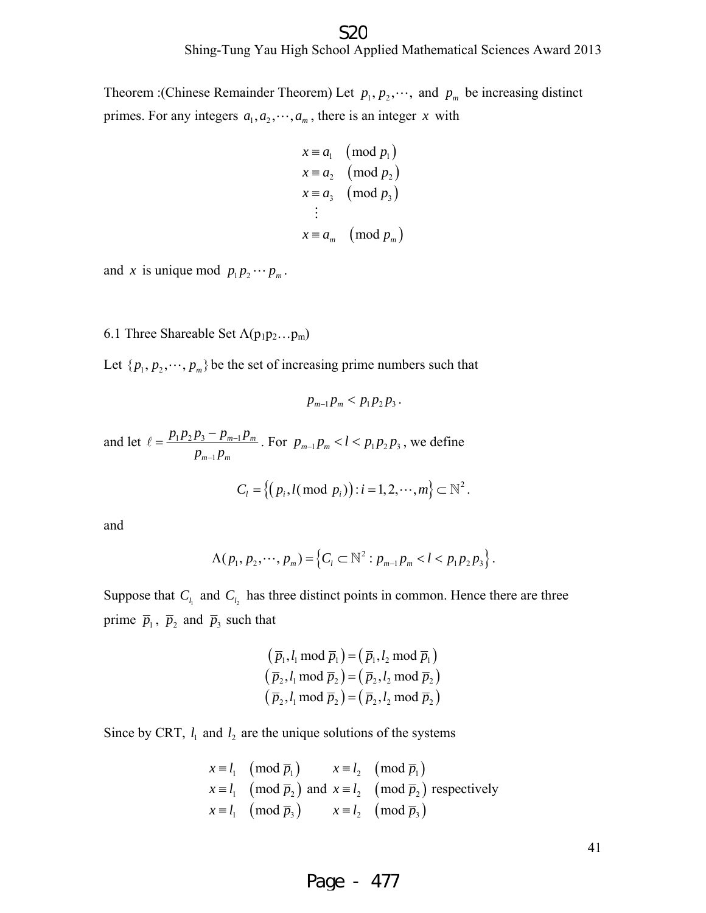Theorem :(Chinese Remainder Theorem) Let  $p_1, p_2, \dots$ , and  $p_m$  be increasing distinct primes. For any integers  $a_1, a_2, \dots, a_m$ , there is an integer *x* with

$$
x \equiv a_1 \pmod{p_1}
$$
  
\n
$$
x \equiv a_2 \pmod{p_2}
$$
  
\n
$$
x \equiv a_3 \pmod{p_3}
$$
  
\n
$$
\vdots
$$
  
\n
$$
x \equiv a_m \pmod{p_m}
$$

and *x* is unique mod  $p_1 p_2 \cdots p_m$ .

#### 6.1 Three Shareable Set  $\Lambda(p_1p_2...p_m)$

Let  $\{p_1, p_2, \dots, p_m\}$  be the set of increasing prime numbers such that

$$
p_{m-1}p_m < p_1p_2p_3.
$$

and let  $\ell = \frac{P_1 P_2 P_3 - P_{m-1}}{P_m}$ 1  $m-1$   $P_m$  $m-1$   $Pm$  $p_1 p_2 p_3 - p_{m-1} p$  $p_{m-1}p$ − −  $\ell = \frac{p_1 p_2 p_3 - p_{m-1} p_m}{p_m}$ . For  $p_{m-1} p_m < l < p_1 p_2 p_3$ , we define

$$
C_i = \left\{ \left( p_i, l \left( \bmod p_i \right) \right) : i = 1, 2, \cdots, m \right\} \subset \mathbb{N}^2.
$$

and

$$
\Lambda(p_1, p_2, \cdots, p_m) = \left\{ C_l \subset \mathbb{N}^2 : p_{m-1} p_m < l < p_1 p_2 p_3 \right\}.
$$

Suppose that  $C_{l_1}$  and  $C_{l_2}$  has three distinct points in common. Hence there are three prime  $\overline{p}_1$ ,  $\overline{p}_2$  and  $\overline{p}_3$  such that

$$
(\overline{p}_1, l_1 \mod \overline{p}_1) = (\overline{p}_1, l_2 \mod \overline{p}_1)
$$
  

$$
(\overline{p}_2, l_1 \mod \overline{p}_2) = (\overline{p}_2, l_2 \mod \overline{p}_2)
$$
  

$$
(\overline{p}_2, l_1 \mod \overline{p}_2) = (\overline{p}_2, l_2 \mod \overline{p}_2)
$$

Since by CRT,  $l_1$  and  $l_2$  are the unique solutions of the systems

$$
x \equiv l_1 \pmod{\overline{p}_1}
$$
  $x \equiv l_2 \pmod{\overline{p}_1}$   
\n $x \equiv l_1 \pmod{\overline{p}_2}$  and  $x \equiv l_2 \pmod{\overline{p}_2}$  respectively  
\n $x \equiv l_1 \pmod{\overline{p}_3}$   $x \equiv l_2 \pmod{\overline{p}_3}$ 

41

Page - 477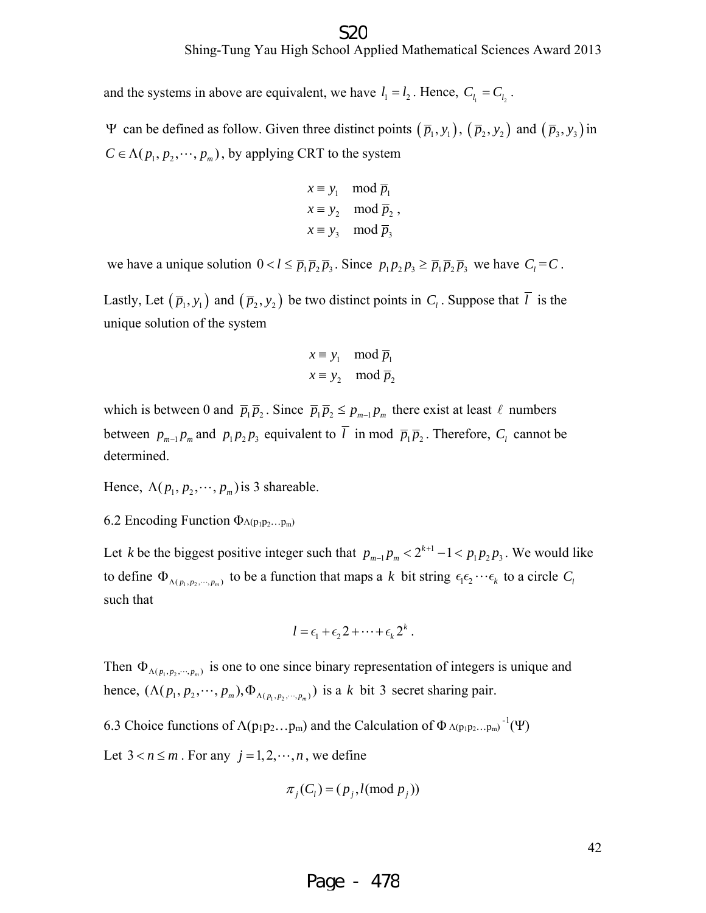and the systems in above are equivalent, we have  $l_1 = l_2$ . Hence,  $C_{l_1} = C_{l_2}$ .

Ψ can be defined as follow. Given three distinct points  $(\bar{p}_1, y_1)$ ,  $(\bar{p}_2, y_2)$  and  $(\bar{p}_3, y_3)$  in  $C \in \Lambda(p_1, p_2, \dots, p_m)$ , by applying CRT to the system

$$
x \equiv y_1 \mod \overline{p}_1
$$
  
\n
$$
x \equiv y_2 \mod \overline{p}_2
$$
,  
\n
$$
x \equiv y_3 \mod \overline{p}_3
$$

we have a unique solution  $0 < l \leq \overline{p}_1 \overline{p}_2 \overline{p}_3$ . Since  $p_1 p_2 p_3 \geq \overline{p}_1 \overline{p}_2 \overline{p}_3$  we have  $C_l = C$ .

Lastly, Let  $(\bar{p}_1, y_1)$  and  $(\bar{p}_2, y_2)$  be two distinct points in  $C_l$ . Suppose that  $\bar{l}$  is the unique solution of the system

$$
x \equiv y_1 \mod \overline{p}_1
$$
  

$$
x \equiv y_2 \mod \overline{p}_2
$$

which is between 0 and  $\overline{p}_1 \overline{p}_2$ . Since  $\overline{p}_1 \overline{p}_2 \leq p_{m-1} p_m$  there exist at least  $\ell$  numbers between  $p_{m-1}p_m$  and  $p_1p_2p_3$  equivalent to  $\overline{l}$  in mod  $\overline{p}_1\overline{p}_2$ . Therefore,  $C_l$  cannot be determined.

Hence,  $\Lambda(p_1, p_2, \dots, p_m)$  is 3 shareable.

6.2 Encoding Function  $\Phi_{\Lambda(p_1p_2...p_m)}$ 

Let *k* be the biggest positive integer such that  $p_{m-1}p_m < 2^{k+1} - 1 < p_1p_2p_3$ . We would like to define  $\Phi_{\Lambda(p_1, p_2, \dots, p_m)}$  to be a function that maps a k bit string  $\epsilon_1 \epsilon_2 \cdots \epsilon_k$  to a circle  $C_l$ such that

$$
l = \epsilon_1 + \epsilon_2 2 + \cdots + \epsilon_k 2^k.
$$

Then  $\Phi_{\Lambda(p_1, p_2, \dots, p_m)}$  is one to one since binary representation of integers is unique and hence,  $(\Lambda(p_1, p_2, \dots, p_m), \Phi_{\Lambda(p_1, p_2, \dots, p_m)})$  is a *k* bit 3 secret sharing pair.

6.3 Choice functions of  $\Lambda(p_1p_2...p_m)$  and the Calculation of  $\Phi \Lambda(p_1p_2...p_m)^{-1}(\Psi)$ 

Let  $3 < n \le m$ . For any  $j = 1, 2, \dots, n$ , we define

$$
\pi_j(C_i) = (p_j, l(\text{mod } p_j))
$$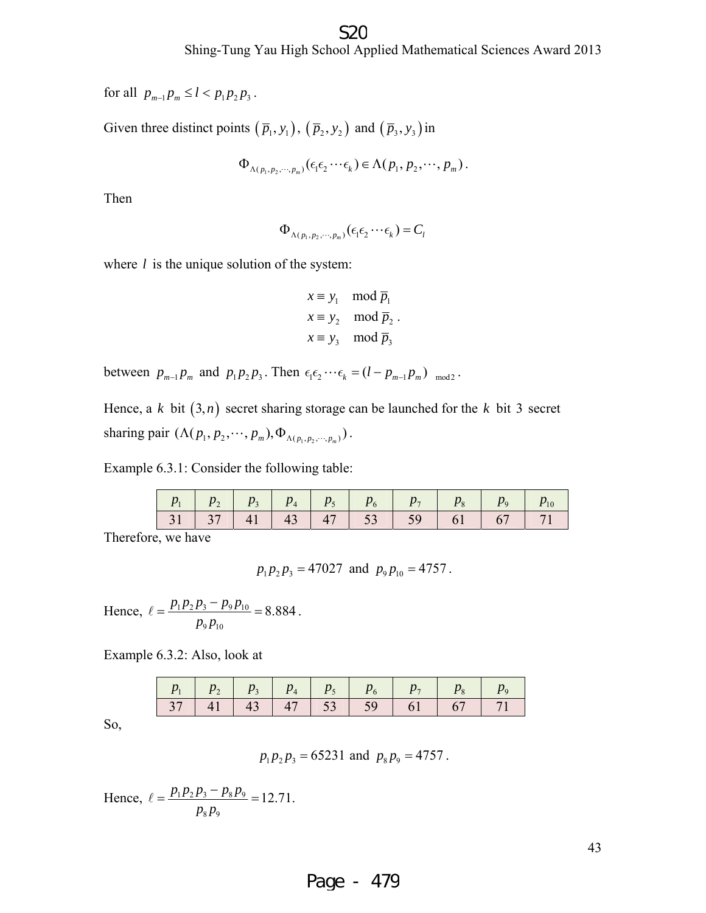#### S<sub>2</sub>C

for all  $p_{m-1}p_m \le l < p_1p_2p_3$ .

Given three distinct points  $(\bar{p}_1, y_1)$ ,  $(\bar{p}_2, y_2)$  and  $(\bar{p}_3, y_3)$  in

$$
\Phi_{\Lambda(p_1,p_2,\cdots,p_m)}(\epsilon_1\epsilon_2\cdots\epsilon_k)\in\Lambda(p_1,p_2,\cdots,p_m).
$$

Then

$$
\Phi_{\Lambda(p_1,p_2,\cdots,p_m)}(\epsilon_1\epsilon_2\cdots\epsilon_k)=C_l
$$

where *l* is the unique solution of the system:

$$
x \equiv y_1 \mod \overline{p}_1
$$
  
\n
$$
x \equiv y_2 \mod \overline{p}_2
$$
  
\n
$$
x \equiv y_3 \mod \overline{p}_3
$$

between  $p_{m-1}p_m$  and  $p_1p_2p_3$ . Then  $\epsilon_1\epsilon_2 \cdots \epsilon_k = (l - p_{m-1}p_m)$  <sub>mod2</sub>.

Hence, a  $k$  bit  $(3, n)$  secret sharing storage can be launched for the  $k$  bit 3 secret sharing pair  $(\Lambda(p_1, p_2, \dots, p_m), \Phi_{\Lambda(p_1, p_2, \dots, p_m)})$ .

Example 6.3.1: Consider the following table:

|  |  |  |  | 31   37   41   43   47   53   59   61   67   71 |  |
|--|--|--|--|-------------------------------------------------|--|

Therefore, we have

$$
p_1 p_2 p_3 = 47027
$$
 and  $p_9 p_{10} = 4757$ .

Hence,  $\ell = \frac{P_1 P_2 P_3}{P_1 P_0}$  $9P_{10}$  $P_1P_2P_3 - P_9P_{10} = 8.884$ *p p*  $\ell = \frac{p_1 p_2 p_3 - p_9 p_{10}}{P} = 8.884$ .

Example 6.3.2: Also, look at

|  |  |  |  | 37   41   43   47   53   59   61   67   71 |
|--|--|--|--|--------------------------------------------|

So,

$$
p_1 p_2 p_3 = 65231
$$
 and  $p_8 p_9 = 4757$ .

Hence,  $\ell = \frac{P_1 P_2 P_3}{P_8 P_9}$  $8P9$  $\frac{p_1 p_2 p_3 - p_8 p_9}{p_1 p_2 p_3} = 12.71$ .  $p_{8}p$  $\ell = \frac{p_1 p_2 p_3 - p_8 p_9}{\ell}$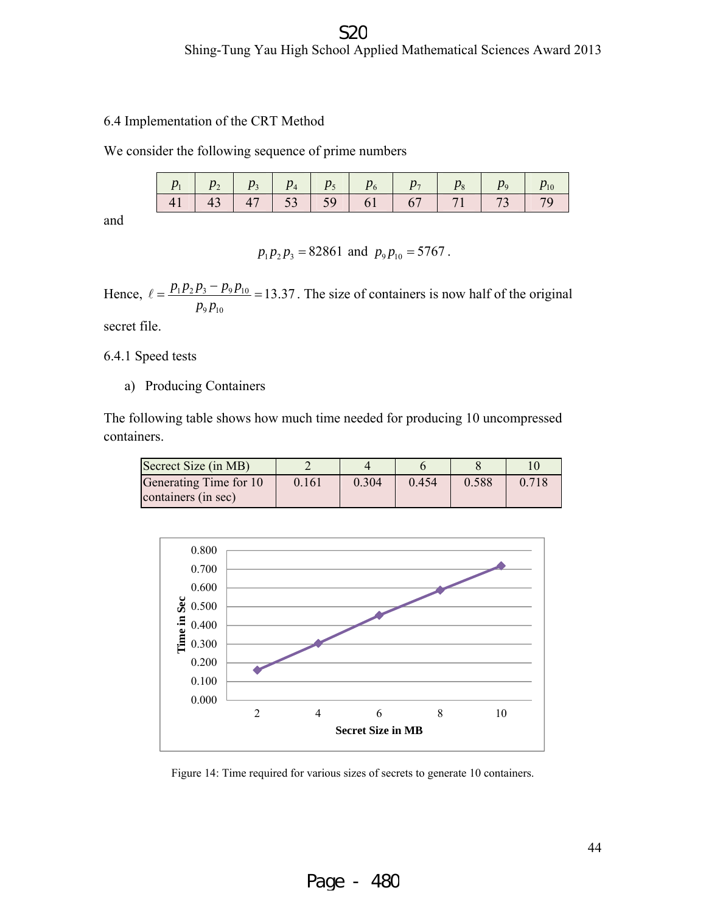#### Shing-Tung Yau High School Applied Mathematical Sciences Award 2013 S<sub>2</sub>C

6.4 Implementation of the CRT Method

We consider the following sequence of prime numbers

|  |  |  |  | 41   43   47   53   59   61   67   71   73   79 |
|--|--|--|--|-------------------------------------------------|

and

$$
p_1 p_2 p_3 = 82861
$$
 and  $p_9 p_{10} = 5767$ .

Hence,  $\ell = \frac{p_1 p_2 p_3 - p_9 p_{10}}{p_1} = 13.37$ . The size of containers is now half of the original  $p_{9}p_{10}$ 

secret file.

6.4.1 Speed tests

a) Producing Containers

The following table shows how much time needed for producing 10 uncompressed containers.

| Secrect Size (in MB)                          |       |       |       |       |       |
|-----------------------------------------------|-------|-------|-------|-------|-------|
| Generating Time for 10<br>containers (in sec) | 0.161 | 0.304 | 0.454 | 0.588 | 0.718 |



Figure 14: Time required for various sizes of secrets to generate 10 containers.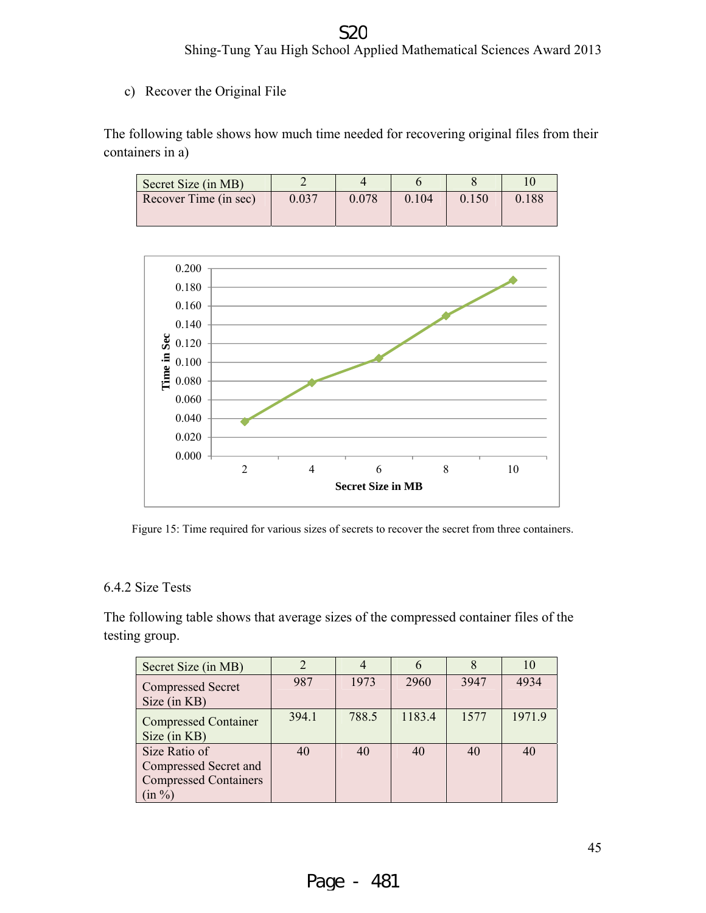#### Shing-Tung Yau High School Applied Mathematical Sciences Award 2013 S20

c) Recover the Original File

The following table shows how much time needed for recovering original files from their containers in a)

| Secret Size (in MB)   |           |       |       |       |       |
|-----------------------|-----------|-------|-------|-------|-------|
| Recover Time (in sec) | $0.037\,$ | 0.078 | 0.104 | 0.150 | 0.188 |



Figure 15: Time required for various sizes of secrets to recover the secret from three containers.

#### 6.4.2 Size Tests

The following table shows that average sizes of the compressed container files of the testing group.

| Secret Size (in MB)                                                                 |       |       |        |      | 10     |
|-------------------------------------------------------------------------------------|-------|-------|--------|------|--------|
| <b>Compressed Secret</b><br>Size (in KB)                                            | 987   | 1973  | 2960   | 3947 | 4934   |
| <b>Compressed Container</b><br>Size (in KB)                                         | 394.1 | 788.5 | 1183.4 | 1577 | 1971.9 |
| Size Ratio of<br>Compressed Secret and<br><b>Compressed Containers</b><br>$(in \%)$ | 40    | 40    | 40     | 40   | 40     |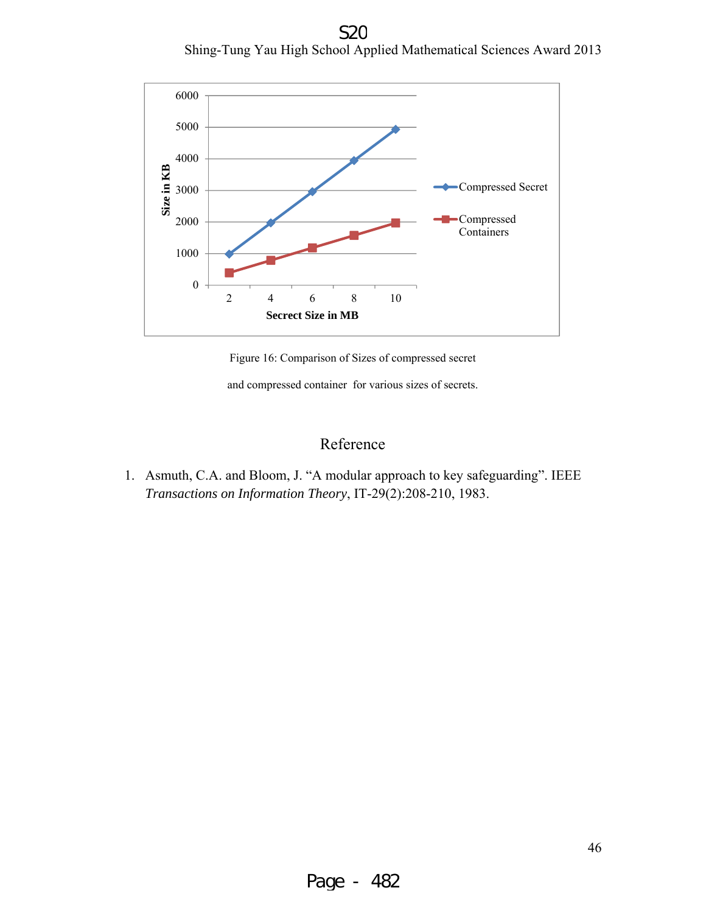Shing-Tung Yau High School Applied Mathematical Sciences Award 2013 S<sub>2</sub>C



Figure 16: Comparison of Sizes of compressed secret

and compressed container for various sizes of secrets.

#### Reference

1. Asmuth, C.A. and Bloom, J. "A modular approach to key safeguarding". IEEE *Transactions on Information Theory*, IT-29(2):208-210, 1983.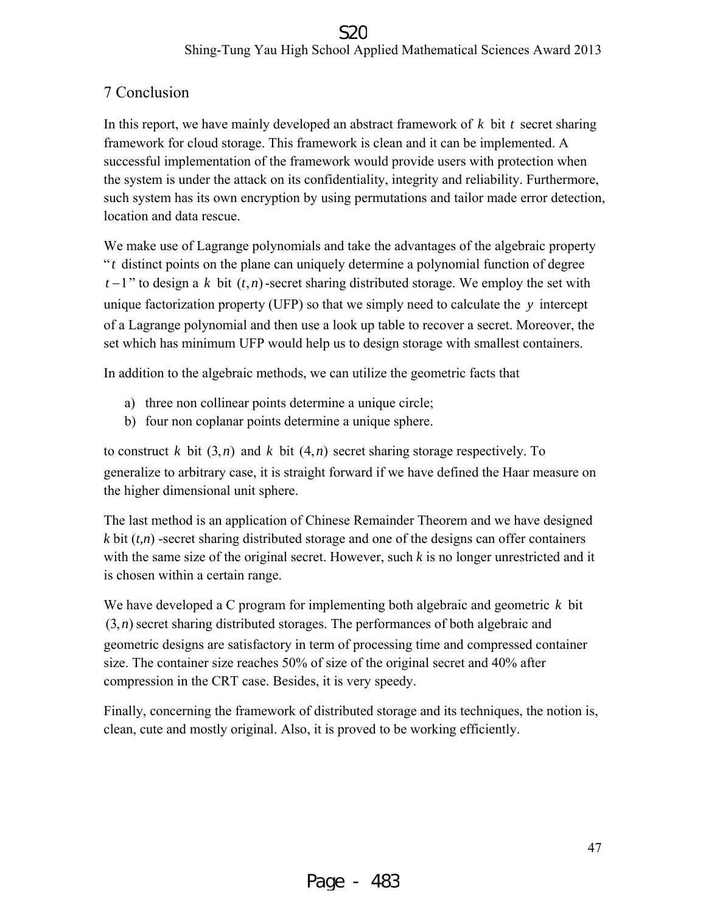#### Shing-Tung Yau High School Applied Mathematical Sciences Award 2013 S2C

#### 7 Conclusion

In this report, we have mainly developed an abstract framework of *k* bit *t* secret sharing framework for cloud storage. This framework is clean and it can be implemented. A successful implementation of the framework would provide users with protection when the system is under the attack on its confidentiality, integrity and reliability. Furthermore, such system has its own encryption by using permutations and tailor made error detection, location and data rescue.

We make use of Lagrange polynomials and take the advantages of the algebraic property " *t* distinct points on the plane can uniquely determine a polynomial function of degree  $t-1$ " to design a k bit  $(t, n)$ -secret sharing distributed storage. We employ the set with unique factorization property (UFP) so that we simply need to calculate the *y* intercept of a Lagrange polynomial and then use a look up table to recover a secret. Moreover, the set which has minimum UFP would help us to design storage with smallest containers.

In addition to the algebraic methods, we can utilize the geometric facts that

- a) three non collinear points determine a unique circle;
- b) four non coplanar points determine a unique sphere.

to construct *k* bit  $(3, n)$  and *k* bit  $(4, n)$  secret sharing storage respectively. To generalize to arbitrary case, it is straight forward if we have defined the Haar measure on the higher dimensional unit sphere.

The last method is an application of Chinese Remainder Theorem and we have designed  $k$  bit  $(t, n)$  -secret sharing distributed storage and one of the designs can offer containers with the same size of the original secret. However, such *k* is no longer unrestricted and it is chosen within a certain range.

We have developed a C program for implementing both algebraic and geometric *k* bit  $(3, n)$  secret sharing distributed storages. The performances of both algebraic and geometric designs are satisfactory in term of processing time and compressed container size. The container size reaches 50% of size of the original secret and 40% after compression in the CRT case. Besides, it is very speedy.

Finally, concerning the framework of distributed storage and its techniques, the notion is, clean, cute and mostly original. Also, it is proved to be working efficiently.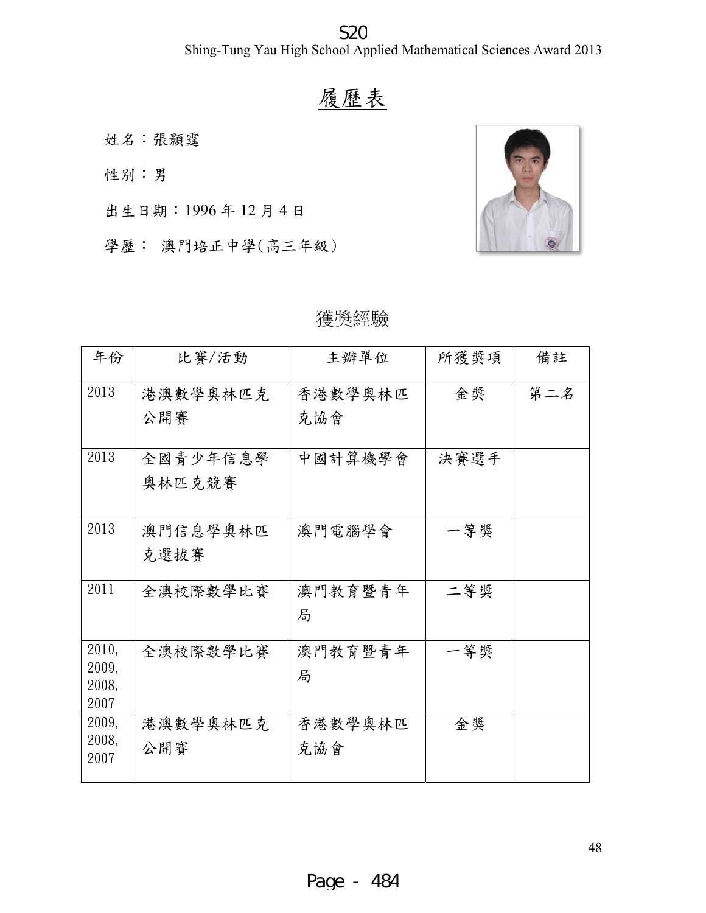S<sub>2</sub>C

Shing-Tung Yau High School Applied Mathematical Sciences Award 2013

# 履 履歷表



#### 獲 獲獎經驗

| Shing-Tung Yau High School Applied Mathematical Sciences Award 20 |          |         |      |     |  |  |
|-------------------------------------------------------------------|----------|---------|------|-----|--|--|
|                                                                   |          | 履歷表     |      |     |  |  |
|                                                                   | 姓名:張顥霆   |         |      |     |  |  |
| 性別:男                                                              |          |         |      |     |  |  |
| 出生日期: 1996年12月4日                                                  |          |         |      |     |  |  |
| 學歷: 澳門培正中學(高三年級)                                                  |          |         |      |     |  |  |
|                                                                   |          |         |      |     |  |  |
|                                                                   |          | 獲獎經驗    |      |     |  |  |
| 年份                                                                | 比賽/活動    | 主辦單位    | 所獲獎項 | 備註  |  |  |
| 2013                                                              | 港澳數學奧林匹克 | 香港數學奧林匹 | 金獎   | 第二名 |  |  |
|                                                                   | 公開賽      | 克協會     |      |     |  |  |
| 2013                                                              | 全國青少年信息學 | 中國計算機學會 | 決賽選手 |     |  |  |
|                                                                   | 奥林匹克競賽   |         |      |     |  |  |
| 2013                                                              | 澳門信息學奧林匹 | 澳門電腦學會  | 一等獎  |     |  |  |
|                                                                   | 克選拔賽     |         |      |     |  |  |
| 2011                                                              | 全澳校際數學比賽 | 澳門教育暨青年 | 二等獎  |     |  |  |
|                                                                   |          | 局       |      |     |  |  |
| 2010,                                                             | 全澳校際數學比賽 | 澳門教育暨青年 | 一等獎  |     |  |  |
| 2009,<br>2008,                                                    |          | 局       |      |     |  |  |
| 2007                                                              |          |         |      |     |  |  |
| 2009,<br>2008,                                                    | 港澳數學奧林匹克 | 香港數學奧林匹 | 金奨   |     |  |  |
| 2007                                                              | 公開賽      | 克協會     |      |     |  |  |
|                                                                   |          |         |      |     |  |  |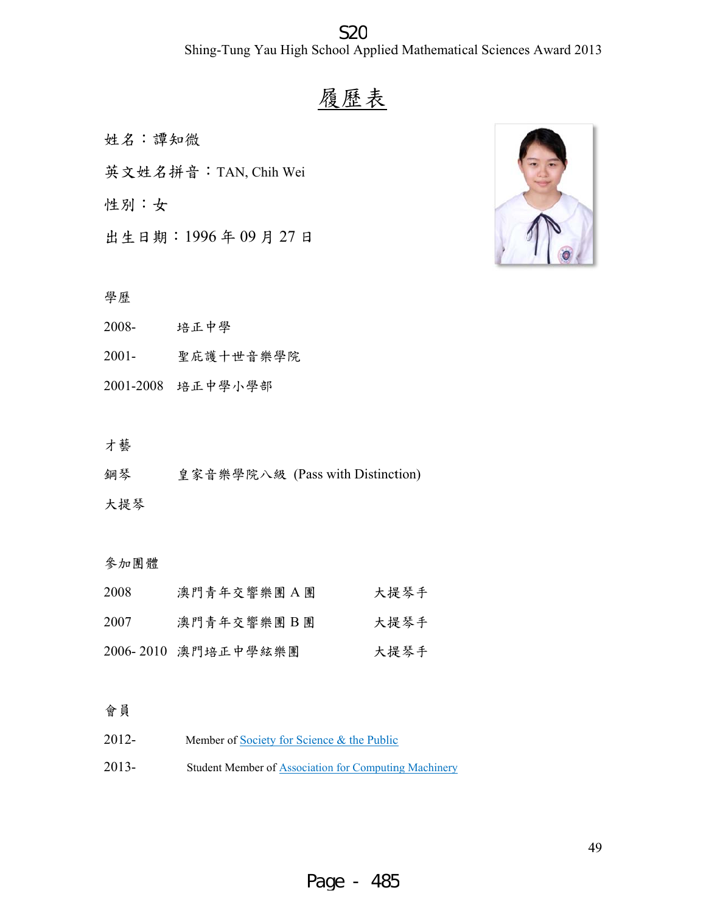#### Shing-Tung Yau High School Applied Mathematical Sciences Award 2013 S<sub>2</sub>C

# 履 履歷表

姓名 名:譚知微

姓名:譚知微<br>英文姓名拼音:TAN, Chih Wei

性別 別:女

出生 生日期:19 996 年 09 月 27 日

#### 學歷

- 2008 - 培正 正中學
- $2001 -$ - 聖庇 庇護十世音樂 樂學院
- 2001 -2008 培正 正中學小學部

#### 才藝

鋼琴 皇家 家音樂學院八 部八級 (Pass w with Distinct tion)

#### 大提琴

# 大提琴<br>參加團體<br>參加團體

| 2008 | 澳門青年交響樂團 A團         | 大提琴手 |
|------|---------------------|------|
| 2007 | 澳門青年交響樂團B團          | 大提琴手 |
|      | 2006-2010 澳門培正中學絃樂團 | 大提琴手 |

#### 會員

2012 2013 - Member of <u>Society for Science & the Public</u> - Student Member of Association for Computing Machinery

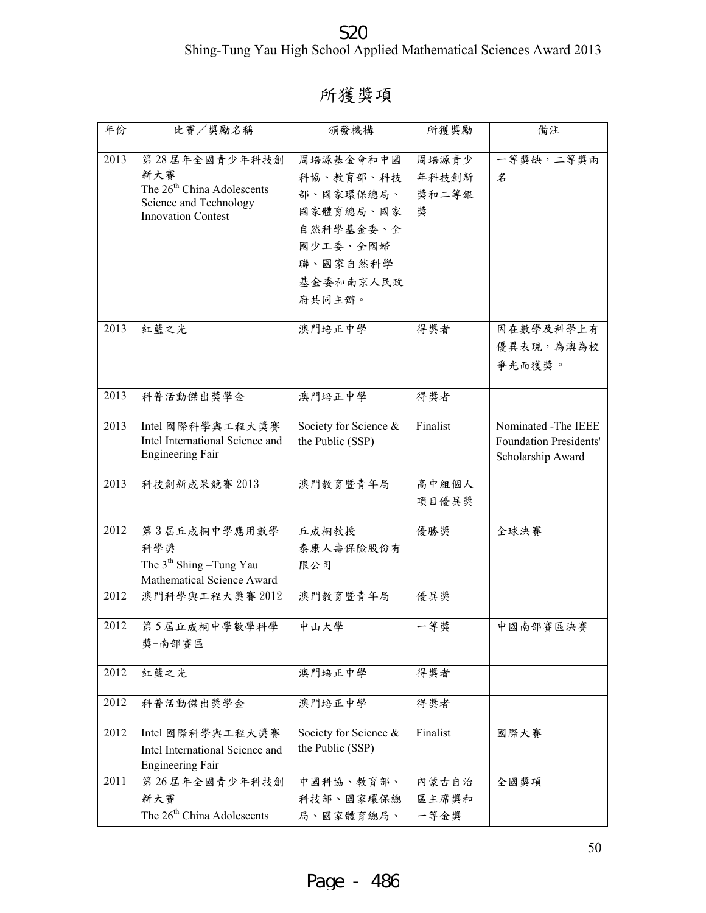Shing-Tung Yau High School Applied Mathematical Sciences Award 2013 S<sub>20</sub>

# 所獲獎項

| 年份   | 比賽/獎勵名稱                                                                                                                | 頒發機構                                                                                                         | 所獲獎勵                         | 備注                                                                        |
|------|------------------------------------------------------------------------------------------------------------------------|--------------------------------------------------------------------------------------------------------------|------------------------------|---------------------------------------------------------------------------|
| 2013 | 第28 居年全國青少年科技創<br>新大賽<br>The 26 <sup>th</sup> China Adolescents<br>Science and Technology<br><b>Innovation Contest</b> | 周培源基金會和中國<br>科協、教育部、科技<br>部、國家環保總局、<br>國家體育總局、國家<br>自然科學基金委、全<br>國少工委、全國婦<br>聯、國家自然科學<br>基金委和南京人民政<br>府共同主辦。 | 周培源青少<br>年科技創新<br>獎和二等銀<br>奬 | 一等獎缺,二等獎兩<br>名                                                            |
| 2013 | 紅藍之光                                                                                                                   | 澳門培正中學                                                                                                       | 得獎者                          | 因在數學及科學上有<br>優異表現,為澳為校<br>爭光而獲獎。                                          |
| 2013 | 科普活動傑出獎學金                                                                                                              | 澳門培正中學                                                                                                       | 得獎者                          |                                                                           |
| 2013 | Intel 國際科學與工程大獎賽<br>Intel International Science and<br><b>Engineering Fair</b>                                         | Society for Science &<br>the Public (SSP)                                                                    | Finalist                     | Nominated -The IEEE<br><b>Foundation Presidents'</b><br>Scholarship Award |
| 2013 | 科技創新成果競賽 2013                                                                                                          | 澳門教育暨青年局                                                                                                     | 高中組個人<br>項目優異獎               |                                                                           |
| 2012 | 第3屆丘成桐中學應用數學<br>科學獎<br>The $3th$ Shing $-T$ ung Yau<br>Mathematical Science Award                                      | 丘成桐教授<br>泰康人壽保險股份有<br>限公司                                                                                    | 優勝獎                          | 全球決賽                                                                      |
| 2012 | 澳門科學與工程大獎賽 2012                                                                                                        | 澳門教育暨青年局                                                                                                     | 優異獎                          |                                                                           |
| 2012 | 第5屆丘成桐中學數學科學<br>獎-南部賽區                                                                                                 | 中山大學                                                                                                         | 一等獎                          | 中國南部賽區決賽                                                                  |
| 2012 | 紅藍之光                                                                                                                   | 澳門培正中學                                                                                                       | 得獎者                          |                                                                           |
| 2012 | 科普活動傑出獎學金                                                                                                              | 澳門培正中學                                                                                                       | 得獎者                          |                                                                           |
| 2012 | Intel 國際科學與工程大獎賽<br>Intel International Science and<br><b>Engineering Fair</b>                                         | Society for Science &<br>the Public (SSP)                                                                    | Finalist                     | 國際大賽                                                                      |
| 2011 | 第26 居年全國青少年科技創<br>新大賽<br>The 26 <sup>th</sup> China Adolescents                                                        | 中國科協、教育部、<br>科技部、國家環保總<br>局、國家體育總局、                                                                          | 內蒙古自治<br>區主席獎和<br>一等金獎       | 全國獎項                                                                      |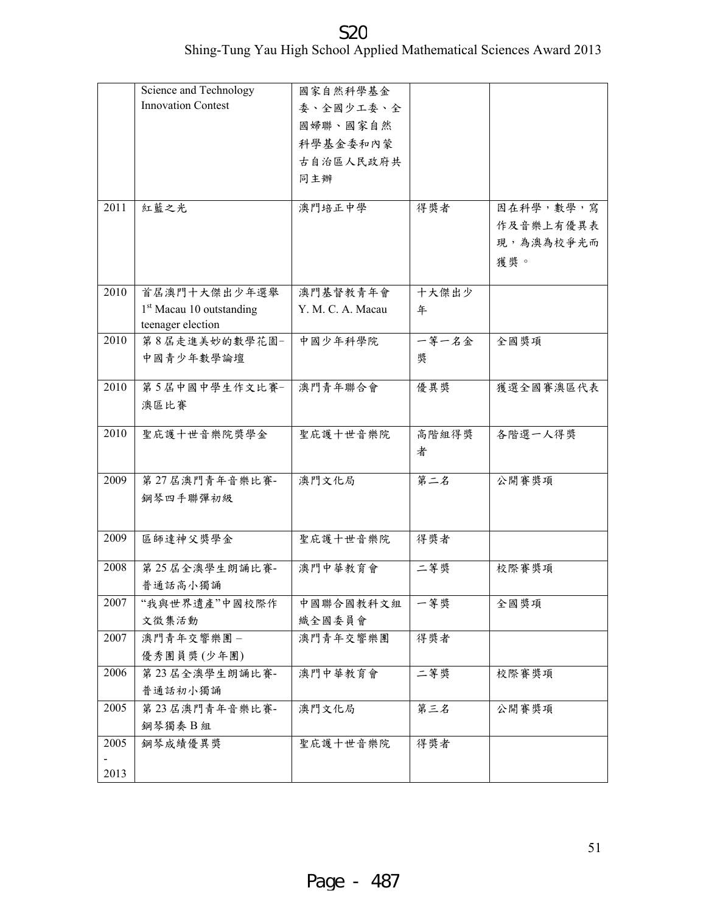|      | Science and Technology                                    | 國家自然科學基金          |       |           |
|------|-----------------------------------------------------------|-------------------|-------|-----------|
|      | <b>Innovation Contest</b>                                 | 委、全國少工委、全         |       |           |
|      |                                                           | 國婦聯、國家自然          |       |           |
|      |                                                           | 科學基金委和內蒙          |       |           |
|      |                                                           | 古自治區人民政府共         |       |           |
|      |                                                           | 同主辦               |       |           |
|      |                                                           |                   |       |           |
| 2011 | 紅藍之光                                                      | 澳門培正中學            | 得獎者   | 因在科學,數學,寫 |
|      |                                                           |                   |       | 作及音樂上有優異表 |
|      |                                                           |                   |       | 現,為澳為校爭光而 |
|      |                                                           |                   |       | 獲獎。       |
|      |                                                           |                   |       |           |
| 2010 | 首居澳門十大傑出少年選舉                                              | 澳門基督教青年會          | 十大傑出少 |           |
|      | 1 <sup>st</sup> Macau 10 outstanding<br>teenager election | Y. M. C. A. Macau | 年     |           |
| 2010 | 第8屆走進美妙的數學花園-                                             | 中國少年科學院           | 一等一名金 | 全國獎項      |
|      | 中國青少年數學論壇                                                 |                   | 奬     |           |
|      |                                                           |                   |       |           |
| 2010 | 第5屆中國中學生作文比賽-                                             | 澳門青年聯合會           | 優異獎   | 獲選全國賽澳區代表 |
|      | 澳區比賽                                                      |                   |       |           |
|      |                                                           |                   |       |           |
| 2010 | 聖庇護十世音樂院獎學金                                               | 聖庇護十世音樂院          | 高階組得獎 | 各階選一人得獎   |
|      |                                                           |                   | 者     |           |
| 2009 | 第27 居澳門青年音樂比賽-                                            | 澳門文化局             | 第二名   | 公開賽獎項     |
|      | 鋼琴四手聯彈初級                                                  |                   |       |           |
|      |                                                           |                   |       |           |
| 2009 | 區師達神父獎學金                                                  | 聖庇護十世音樂院          | 得獎者   |           |
|      |                                                           |                   |       |           |
| 2008 | 第25 居全澳學生朗誦比賽-                                            | 澳門中華教育會           | 二等獎   | 校際賽獎項     |
|      | 普通話高小獨誦                                                   |                   |       |           |
| 2007 | "我與世界遺產"中國校際作                                             | 中國聯合國教科文組         | 一等獎   | 全國獎項      |
|      | 文徵集活動                                                     | 織全國委員會            |       |           |
| 2007 | 澳門青年交響樂團 -                                                | 澳門青年交響樂團          | 得獎者   |           |
|      | 優秀團員獎(少年團)                                                |                   |       |           |
| 2006 | 第23 居全澳學生朗誦比賽-                                            | 澳門中華教育會           | 二等獎   | 校際賽獎項     |
|      | 普通話初小獨誦                                                   |                   |       |           |
| 2005 | 第23 居澳門青年音樂比賽-                                            | 澳門文化局             | 第三名   | 公開賽獎項     |
|      | 鋼琴獨奏B組                                                    |                   |       |           |
| 2005 | 鋼琴成績優異獎                                                   | 聖庇護十世音樂院          | 得獎者   |           |
|      |                                                           |                   |       |           |
| 2013 |                                                           |                   |       |           |

Shing-Tung Yau High School Applied Mathematical Sciences Award 2013 S<sub>20</sub>